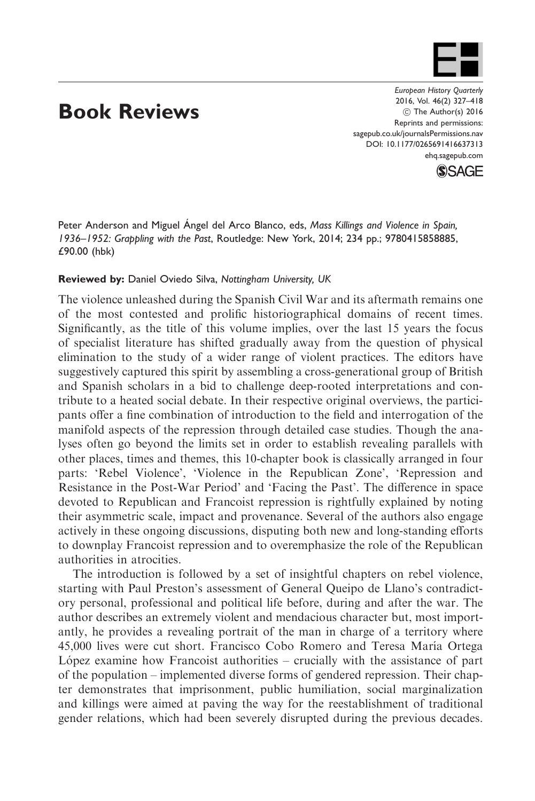# Book Reviews

European History Quarterly 2016, Vol. 46(2) 327–418 (C) The Author(s) 2016 Reprints and permissions: sagepub.co.uk/journalsPermissions.nav DOI: 10.1177/0265691416637313 ehq.sagepub.com



Peter Anderson and Miguel Angel del Arco Blanco, eds, Mass Killings and Violence in Spain, 1936–1952: Grappling with the Past, Routledge: New York, 2014; 234 pp.; 9780415858885, £90.00 (hbk)

# Reviewed by: Daniel Oviedo Silva, Nottingham University, UK

The violence unleashed during the Spanish Civil War and its aftermath remains one of the most contested and prolific historiographical domains of recent times. Significantly, as the title of this volume implies, over the last 15 years the focus of specialist literature has shifted gradually away from the question of physical elimination to the study of a wider range of violent practices. The editors have suggestively captured this spirit by assembling a cross-generational group of British and Spanish scholars in a bid to challenge deep-rooted interpretations and contribute to a heated social debate. In their respective original overviews, the participants offer a fine combination of introduction to the field and interrogation of the manifold aspects of the repression through detailed case studies. Though the analyses often go beyond the limits set in order to establish revealing parallels with other places, times and themes, this 10-chapter book is classically arranged in four parts: 'Rebel Violence', 'Violence in the Republican Zone', 'Repression and Resistance in the Post-War Period' and 'Facing the Past'. The difference in space devoted to Republican and Francoist repression is rightfully explained by noting their asymmetric scale, impact and provenance. Several of the authors also engage actively in these ongoing discussions, disputing both new and long-standing efforts to downplay Francoist repression and to overemphasize the role of the Republican authorities in atrocities.

The introduction is followed by a set of insightful chapters on rebel violence, starting with Paul Preston's assessment of General Queipo de Llano's contradictory personal, professional and political life before, during and after the war. The author describes an extremely violent and mendacious character but, most importantly, he provides a revealing portrait of the man in charge of a territory where 45,000 lives were cut short. Francisco Cobo Romero and Teresa María Ortega López examine how Francoist authorities  $-$  crucially with the assistance of part of the population – implemented diverse forms of gendered repression. Their chapter demonstrates that imprisonment, public humiliation, social marginalization and killings were aimed at paving the way for the reestablishment of traditional gender relations, which had been severely disrupted during the previous decades.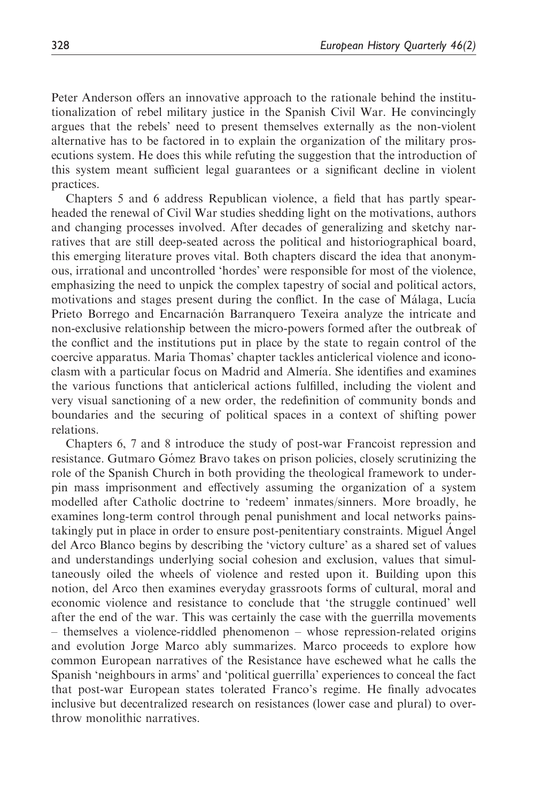Peter Anderson offers an innovative approach to the rationale behind the institutionalization of rebel military justice in the Spanish Civil War. He convincingly argues that the rebels' need to present themselves externally as the non-violent alternative has to be factored in to explain the organization of the military prosecutions system. He does this while refuting the suggestion that the introduction of this system meant sufficient legal guarantees or a significant decline in violent practices.

Chapters 5 and 6 address Republican violence, a field that has partly spearheaded the renewal of Civil War studies shedding light on the motivations, authors and changing processes involved. After decades of generalizing and sketchy narratives that are still deep-seated across the political and historiographical board, this emerging literature proves vital. Both chapters discard the idea that anonymous, irrational and uncontrolled 'hordes' were responsible for most of the violence, emphasizing the need to unpick the complex tapestry of social and political actors, motivations and stages present during the conflict. In the case of Matlaga, Lucia Prieto Borrego and Encarnación Barranquero Texeira analyze the intricate and non-exclusive relationship between the micro-powers formed after the outbreak of the conflict and the institutions put in place by the state to regain control of the coercive apparatus. Maria Thomas' chapter tackles anticlerical violence and iconoclasm with a particular focus on Madrid and Almería. She identifies and examines the various functions that anticlerical actions fulfilled, including the violent and very visual sanctioning of a new order, the redefinition of community bonds and boundaries and the securing of political spaces in a context of shifting power relations.

Chapters 6, 7 and 8 introduce the study of post-war Francoist repression and resistance. Gutmaro Gómez Bravo takes on prison policies, closely scrutinizing the role of the Spanish Church in both providing the theological framework to underpin mass imprisonment and effectively assuming the organization of a system modelled after Catholic doctrine to 'redeem' inmates/sinners. More broadly, he examines long-term control through penal punishment and local networks painstakingly put in place in order to ensure post-penitentiary constraints. Miguel Angel del Arco Blanco begins by describing the 'victory culture' as a shared set of values and understandings underlying social cohesion and exclusion, values that simultaneously oiled the wheels of violence and rested upon it. Building upon this notion, del Arco then examines everyday grassroots forms of cultural, moral and economic violence and resistance to conclude that 'the struggle continued' well after the end of the war. This was certainly the case with the guerrilla movements – themselves a violence-riddled phenomenon – whose repression-related origins and evolution Jorge Marco ably summarizes. Marco proceeds to explore how common European narratives of the Resistance have eschewed what he calls the Spanish 'neighbours in arms' and 'political guerrilla' experiences to conceal the fact that post-war European states tolerated Franco's regime. He finally advocates inclusive but decentralized research on resistances (lower case and plural) to overthrow monolithic narratives.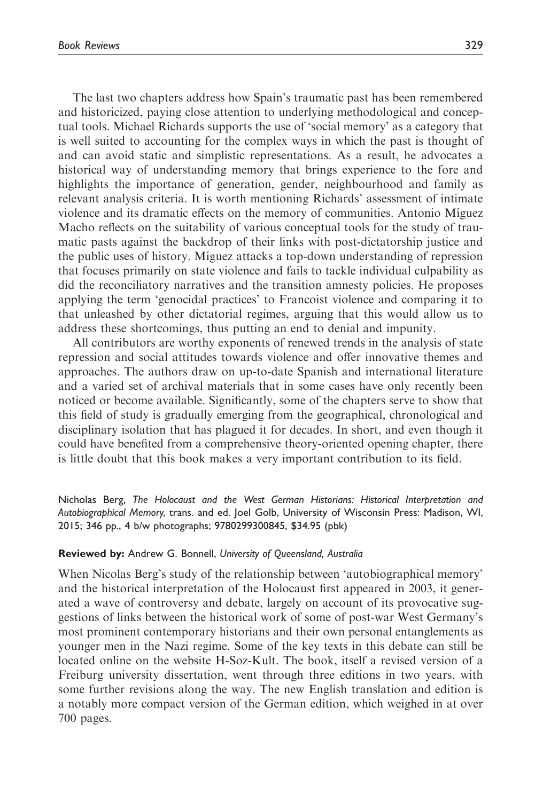The last two chapters address how Spain's traumatic past has been remembered and historicized, paying close attention to underlying methodological and conceptual tools. Michael Richards supports the use of 'social memory' as a category that is well suited to accounting for the complex ways in which the past is thought of and can avoid static and simplistic representations. As a result, he advocates a historical way of understanding memory that brings experience to the fore and highlights the importance of generation, gender, neighbourhood and family as relevant analysis criteria. It is worth mentioning Richards' assessment of intimate violence and its dramatic effects on the memory of communities. Antonio Míguez Macho reflects on the suitability of various conceptual tools for the study of traumatic pasts against the backdrop of their links with post-dictatorship justice and the public uses of history. Mı´guez attacks a top-down understanding of repression that focuses primarily on state violence and fails to tackle individual culpability as did the reconciliatory narratives and the transition amnesty policies. He proposes applying the term 'genocidal practices' to Francoist violence and comparing it to that unleashed by other dictatorial regimes, arguing that this would allow us to address these shortcomings, thus putting an end to denial and impunity.

All contributors are worthy exponents of renewed trends in the analysis of state repression and social attitudes towards violence and offer innovative themes and approaches. The authors draw on up-to-date Spanish and international literature and a varied set of archival materials that in some cases have only recently been noticed or become available. Significantly, some of the chapters serve to show that this field of study is gradually emerging from the geographical, chronological and disciplinary isolation that has plagued it for decades. In short, and even though it could have benefited from a comprehensive theory-oriented opening chapter, there is little doubt that this book makes a very important contribution to its field.

Nicholas Berg, The Holocaust and the West German Historians: Historical Interpretation and Autobiographical Memory, trans. and ed. Joel Golb, University of Wisconsin Press: Madison, WI, 2015; 346 pp., 4 b/w photographs; 9780299300845, \$34.95 (pbk)

# Reviewed by: Andrew G. Bonnell, University of Queensland, Australia

When Nicolas Berg's study of the relationship between 'autobiographical memory' and the historical interpretation of the Holocaust first appeared in 2003, it generated a wave of controversy and debate, largely on account of its provocative suggestions of links between the historical work of some of post-war West Germany's most prominent contemporary historians and their own personal entanglements as younger men in the Nazi regime. Some of the key texts in this debate can still be located online on the website H-Soz-Kult. The book, itself a revised version of a Freiburg university dissertation, went through three editions in two years, with some further revisions along the way. The new English translation and edition is a notably more compact version of the German edition, which weighed in at over 700 pages.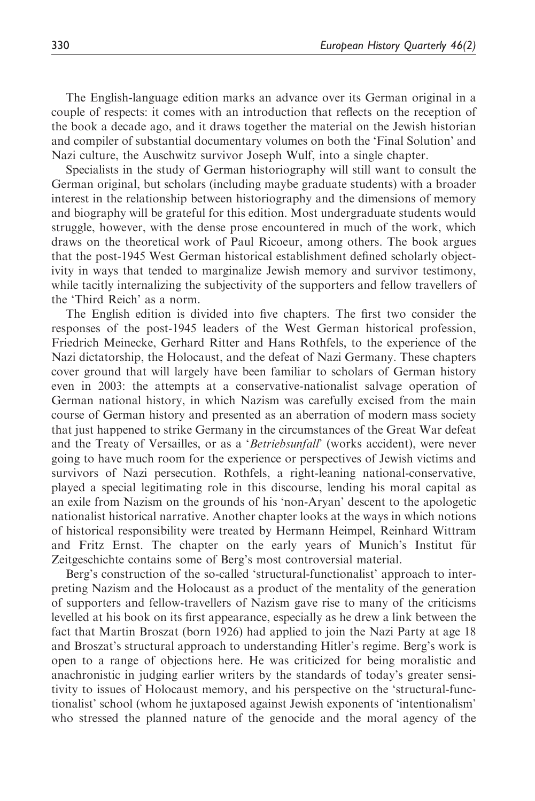The English-language edition marks an advance over its German original in a couple of respects: it comes with an introduction that reflects on the reception of the book a decade ago, and it draws together the material on the Jewish historian and compiler of substantial documentary volumes on both the 'Final Solution' and Nazi culture, the Auschwitz survivor Joseph Wulf, into a single chapter.

Specialists in the study of German historiography will still want to consult the German original, but scholars (including maybe graduate students) with a broader interest in the relationship between historiography and the dimensions of memory and biography will be grateful for this edition. Most undergraduate students would struggle, however, with the dense prose encountered in much of the work, which draws on the theoretical work of Paul Ricoeur, among others. The book argues that the post-1945 West German historical establishment defined scholarly objectivity in ways that tended to marginalize Jewish memory and survivor testimony, while tacitly internalizing the subjectivity of the supporters and fellow travellers of the 'Third Reich' as a norm.

The English edition is divided into five chapters. The first two consider the responses of the post-1945 leaders of the West German historical profession, Friedrich Meinecke, Gerhard Ritter and Hans Rothfels, to the experience of the Nazi dictatorship, the Holocaust, and the defeat of Nazi Germany. These chapters cover ground that will largely have been familiar to scholars of German history even in 2003: the attempts at a conservative-nationalist salvage operation of German national history, in which Nazism was carefully excised from the main course of German history and presented as an aberration of modern mass society that just happened to strike Germany in the circumstances of the Great War defeat and the Treaty of Versailles, or as a 'Betriebsunfall' (works accident), were never going to have much room for the experience or perspectives of Jewish victims and survivors of Nazi persecution. Rothfels, a right-leaning national-conservative, played a special legitimating role in this discourse, lending his moral capital as an exile from Nazism on the grounds of his 'non-Aryan' descent to the apologetic nationalist historical narrative. Another chapter looks at the ways in which notions of historical responsibility were treated by Hermann Heimpel, Reinhard Wittram and Fritz Ernst. The chapter on the early years of Munich's Institut für Zeitgeschichte contains some of Berg's most controversial material.

Berg's construction of the so-called 'structural-functionalist' approach to interpreting Nazism and the Holocaust as a product of the mentality of the generation of supporters and fellow-travellers of Nazism gave rise to many of the criticisms levelled at his book on its first appearance, especially as he drew a link between the fact that Martin Broszat (born 1926) had applied to join the Nazi Party at age 18 and Broszat's structural approach to understanding Hitler's regime. Berg's work is open to a range of objections here. He was criticized for being moralistic and anachronistic in judging earlier writers by the standards of today's greater sensitivity to issues of Holocaust memory, and his perspective on the 'structural-functionalist' school (whom he juxtaposed against Jewish exponents of 'intentionalism' who stressed the planned nature of the genocide and the moral agency of the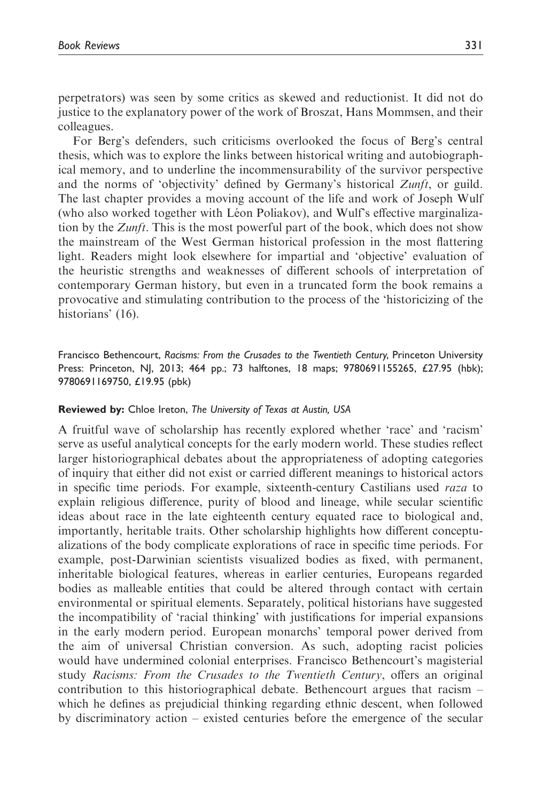perpetrators) was seen by some critics as skewed and reductionist. It did not do justice to the explanatory power of the work of Broszat, Hans Mommsen, and their colleagues.

For Berg's defenders, such criticisms overlooked the focus of Berg's central thesis, which was to explore the links between historical writing and autobiographical memory, and to underline the incommensurability of the survivor perspective and the norms of 'objectivity' defined by Germany's historical Zunft, or guild. The last chapter provides a moving account of the life and work of Joseph Wulf (who also worked together with Léon Poliakov), and Wulf's effective marginalization by the Zunft. This is the most powerful part of the book, which does not show the mainstream of the West German historical profession in the most flattering light. Readers might look elsewhere for impartial and 'objective' evaluation of the heuristic strengths and weaknesses of different schools of interpretation of contemporary German history, but even in a truncated form the book remains a provocative and stimulating contribution to the process of the 'historicizing of the historians' (16).

Francisco Bethencourt, Racisms: From the Crusades to the Twentieth Century, Princeton University Press: Princeton, NJ, 2013; 464 pp.; 73 halftones, 18 maps; 9780691155265, £27.95 (hbk); 9780691169750, £19.95 (pbk)

# Reviewed by: Chloe Ireton, The University of Texas at Austin, USA

A fruitful wave of scholarship has recently explored whether 'race' and 'racism' serve as useful analytical concepts for the early modern world. These studies reflect larger historiographical debates about the appropriateness of adopting categories of inquiry that either did not exist or carried different meanings to historical actors in specific time periods. For example, sixteenth-century Castilians used raza to explain religious difference, purity of blood and lineage, while secular scientific ideas about race in the late eighteenth century equated race to biological and, importantly, heritable traits. Other scholarship highlights how different conceptualizations of the body complicate explorations of race in specific time periods. For example, post-Darwinian scientists visualized bodies as fixed, with permanent, inheritable biological features, whereas in earlier centuries, Europeans regarded bodies as malleable entities that could be altered through contact with certain environmental or spiritual elements. Separately, political historians have suggested the incompatibility of 'racial thinking' with justifications for imperial expansions in the early modern period. European monarchs' temporal power derived from the aim of universal Christian conversion. As such, adopting racist policies would have undermined colonial enterprises. Francisco Bethencourt's magisterial study Racisms: From the Crusades to the Twentieth Century, offers an original contribution to this historiographical debate. Bethencourt argues that racism – which he defines as prejudicial thinking regarding ethnic descent, when followed by discriminatory action – existed centuries before the emergence of the secular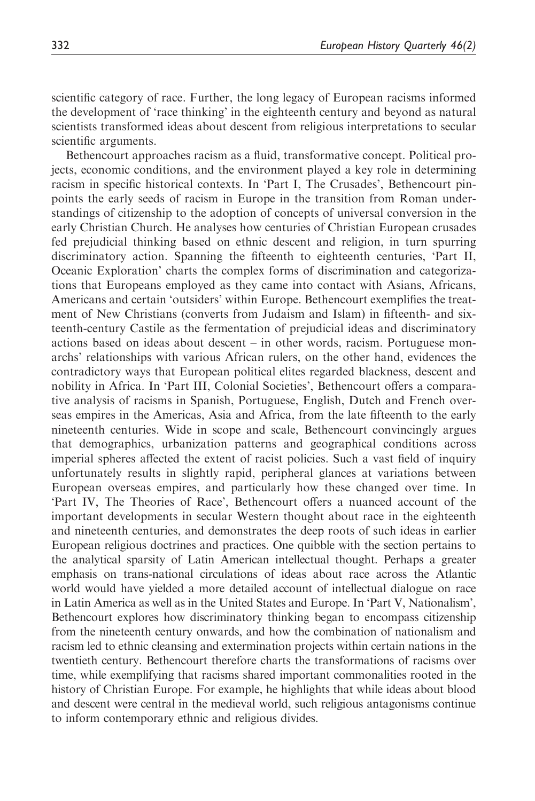scientific category of race. Further, the long legacy of European racisms informed the development of 'race thinking' in the eighteenth century and beyond as natural scientists transformed ideas about descent from religious interpretations to secular scientific arguments.

Bethencourt approaches racism as a fluid, transformative concept. Political projects, economic conditions, and the environment played a key role in determining racism in specific historical contexts. In 'Part I, The Crusades', Bethencourt pinpoints the early seeds of racism in Europe in the transition from Roman understandings of citizenship to the adoption of concepts of universal conversion in the early Christian Church. He analyses how centuries of Christian European crusades fed prejudicial thinking based on ethnic descent and religion, in turn spurring discriminatory action. Spanning the fifteenth to eighteenth centuries, 'Part II, Oceanic Exploration' charts the complex forms of discrimination and categorizations that Europeans employed as they came into contact with Asians, Africans, Americans and certain 'outsiders' within Europe. Bethencourt exemplifies the treatment of New Christians (converts from Judaism and Islam) in fifteenth- and sixteenth-century Castile as the fermentation of prejudicial ideas and discriminatory actions based on ideas about descent – in other words, racism. Portuguese monarchs' relationships with various African rulers, on the other hand, evidences the contradictory ways that European political elites regarded blackness, descent and nobility in Africa. In 'Part III, Colonial Societies', Bethencourt offers a comparative analysis of racisms in Spanish, Portuguese, English, Dutch and French overseas empires in the Americas, Asia and Africa, from the late fifteenth to the early nineteenth centuries. Wide in scope and scale, Bethencourt convincingly argues that demographics, urbanization patterns and geographical conditions across imperial spheres affected the extent of racist policies. Such a vast field of inquiry unfortunately results in slightly rapid, peripheral glances at variations between European overseas empires, and particularly how these changed over time. In 'Part IV, The Theories of Race', Bethencourt offers a nuanced account of the important developments in secular Western thought about race in the eighteenth and nineteenth centuries, and demonstrates the deep roots of such ideas in earlier European religious doctrines and practices. One quibble with the section pertains to the analytical sparsity of Latin American intellectual thought. Perhaps a greater emphasis on trans-national circulations of ideas about race across the Atlantic world would have yielded a more detailed account of intellectual dialogue on race in Latin America as well as in the United States and Europe. In 'Part V, Nationalism', Bethencourt explores how discriminatory thinking began to encompass citizenship from the nineteenth century onwards, and how the combination of nationalism and racism led to ethnic cleansing and extermination projects within certain nations in the twentieth century. Bethencourt therefore charts the transformations of racisms over time, while exemplifying that racisms shared important commonalities rooted in the history of Christian Europe. For example, he highlights that while ideas about blood and descent were central in the medieval world, such religious antagonisms continue to inform contemporary ethnic and religious divides.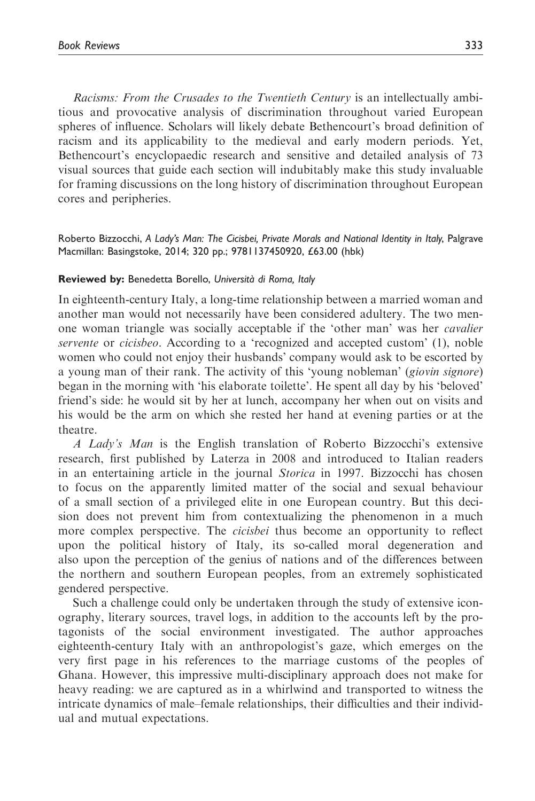Racisms: From the Crusades to the Twentieth Century is an intellectually ambitious and provocative analysis of discrimination throughout varied European spheres of influence. Scholars will likely debate Bethencourt's broad definition of racism and its applicability to the medieval and early modern periods. Yet, Bethencourt's encyclopaedic research and sensitive and detailed analysis of 73 visual sources that guide each section will indubitably make this study invaluable for framing discussions on the long history of discrimination throughout European cores and peripheries.

Roberto Bizzocchi, A Lady's Man: The Cicisbei, Private Morals and National Identity in Italy, Palgrave Macmillan: Basingstoke, 2014; 320 pp.; 9781137450920, £63.00 (hbk)

# Reviewed by: Benedetta Borello, Università di Roma, Italy

In eighteenth-century Italy, a long-time relationship between a married woman and another man would not necessarily have been considered adultery. The two menone woman triangle was socially acceptable if the 'other man' was her cavalier servente or cicisbeo. According to a 'recognized and accepted custom' (1), noble women who could not enjoy their husbands' company would ask to be escorted by a young man of their rank. The activity of this 'young nobleman' (giovin signore) began in the morning with 'his elaborate toilette'. He spent all day by his 'beloved' friend's side: he would sit by her at lunch, accompany her when out on visits and his would be the arm on which she rested her hand at evening parties or at the theatre.

A Lady's Man is the English translation of Roberto Bizzocchi's extensive research, first published by Laterza in 2008 and introduced to Italian readers in an entertaining article in the journal *Storica* in 1997. Bizzocchi has chosen to focus on the apparently limited matter of the social and sexual behaviour of a small section of a privileged elite in one European country. But this decision does not prevent him from contextualizing the phenomenon in a much more complex perspective. The *cicisbei* thus become an opportunity to reflect upon the political history of Italy, its so-called moral degeneration and also upon the perception of the genius of nations and of the differences between the northern and southern European peoples, from an extremely sophisticated gendered perspective.

Such a challenge could only be undertaken through the study of extensive iconography, literary sources, travel logs, in addition to the accounts left by the protagonists of the social environment investigated. The author approaches eighteenth-century Italy with an anthropologist's gaze, which emerges on the very first page in his references to the marriage customs of the peoples of Ghana. However, this impressive multi-disciplinary approach does not make for heavy reading: we are captured as in a whirlwind and transported to witness the intricate dynamics of male–female relationships, their difficulties and their individual and mutual expectations.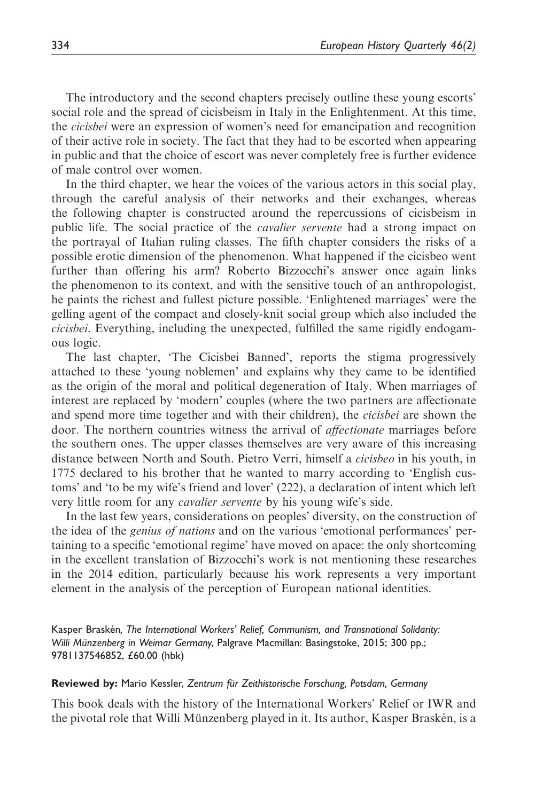The introductory and the second chapters precisely outline these young escorts' social role and the spread of cicisbeism in Italy in the Enlightenment. At this time, the *cicisbei* were an expression of women's need for emancipation and recognition of their active role in society. The fact that they had to be escorted when appearing in public and that the choice of escort was never completely free is further evidence of male control over women.

In the third chapter, we hear the voices of the various actors in this social play, through the careful analysis of their networks and their exchanges, whereas the following chapter is constructed around the repercussions of cicisbeism in public life. The social practice of the *cavalier servente* had a strong impact on the portrayal of Italian ruling classes. The fifth chapter considers the risks of a possible erotic dimension of the phenomenon. What happened if the cicisbeo went further than offering his arm? Roberto Bizzocchi's answer once again links the phenomenon to its context, and with the sensitive touch of an anthropologist, he paints the richest and fullest picture possible. 'Enlightened marriages' were the gelling agent of the compact and closely-knit social group which also included the cicisbei. Everything, including the unexpected, fulfilled the same rigidly endogamous logic.

The last chapter, 'The Cicisbei Banned', reports the stigma progressively attached to these 'young noblemen' and explains why they came to be identified as the origin of the moral and political degeneration of Italy. When marriages of interest are replaced by 'modern' couples (where the two partners are affectionate and spend more time together and with their children), the *cicisbei* are shown the door. The northern countries witness the arrival of affectionate marriages before the southern ones. The upper classes themselves are very aware of this increasing distance between North and South. Pietro Verri, himself a cicisbeo in his youth, in 1775 declared to his brother that he wanted to marry according to 'English customs' and 'to be my wife's friend and lover' (222), a declaration of intent which left very little room for any *cavalier servente* by his young wife's side.

In the last few years, considerations on peoples' diversity, on the construction of the idea of the *genius of nations* and on the various 'emotional performances' pertaining to a specific 'emotional regime' have moved on apace: the only shortcoming in the excellent translation of Bizzocchi's work is not mentioning these researches in the 2014 edition, particularly because his work represents a very important element in the analysis of the perception of European national identities.

Kasper Braskén, The International Workers' Relief, Communism, and Transnational Solidarity: Willi Münzenberg in Weimar Germany, Palgrave Macmillan: Basingstoke, 2015; 300 pp.; 9781137546852, £60.00 (hbk)

# Reviewed by: Mario Kessler, Zentrum für Zeithistorische Forschung, Potsdam, Germany

This book deals with the history of the International Workers' Relief or IWR and the pivotal role that Willi Münzenberg played in it. Its author, Kasper Braskén, is a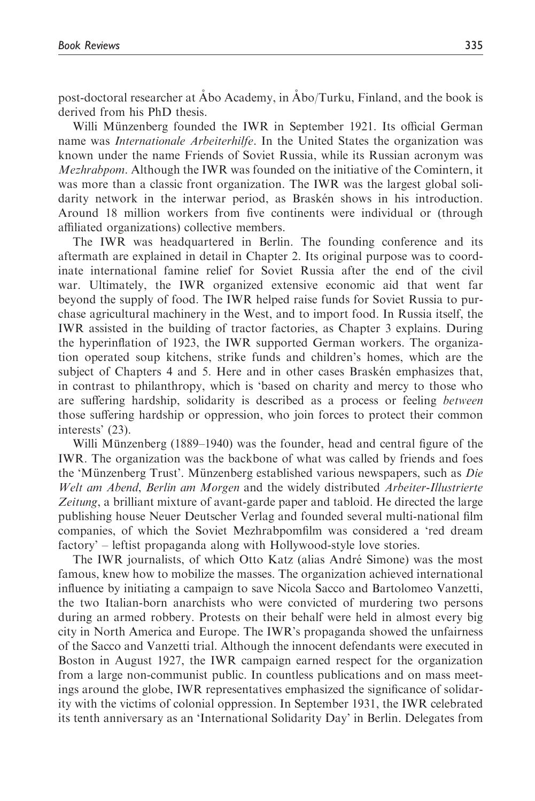post-doctoral researcher at Åbo Academy, in Åbo/Turku, Finland, and the book is derived from his PhD thesis.

Willi Münzenberg founded the IWR in September 1921. Its official German name was Internationale Arbeiterhilfe. In the United States the organization was known under the name Friends of Soviet Russia, while its Russian acronym was Mezhrabpom. Although the IWR was founded on the initiative of the Comintern, it was more than a classic front organization. The IWR was the largest global solidarity network in the interwar period, as Braskén shows in his introduction. Around 18 million workers from five continents were individual or (through affiliated organizations) collective members.

The IWR was headquartered in Berlin. The founding conference and its aftermath are explained in detail in Chapter 2. Its original purpose was to coordinate international famine relief for Soviet Russia after the end of the civil war. Ultimately, the IWR organized extensive economic aid that went far beyond the supply of food. The IWR helped raise funds for Soviet Russia to purchase agricultural machinery in the West, and to import food. In Russia itself, the IWR assisted in the building of tractor factories, as Chapter 3 explains. During the hyperinflation of 1923, the IWR supported German workers. The organization operated soup kitchens, strike funds and children's homes, which are the subject of Chapters 4 and 5. Here and in other cases Braskén emphasizes that, in contrast to philanthropy, which is 'based on charity and mercy to those who are suffering hardship, solidarity is described as a process or feeling between those suffering hardship or oppression, who join forces to protect their common interests' (23).

Willi Münzenberg (1889–1940) was the founder, head and central figure of the IWR. The organization was the backbone of what was called by friends and foes the 'Münzenberg Trust'. Münzenberg established various newspapers, such as *Die* Welt am Abend, Berlin am Morgen and the widely distributed Arbeiter-Illustrierte Zeitung, a brilliant mixture of avant-garde paper and tabloid. He directed the large publishing house Neuer Deutscher Verlag and founded several multi-national film companies, of which the Soviet Mezhrabpomfilm was considered a 'red dream factory' – leftist propaganda along with Hollywood-style love stories.

The IWR journalists, of which Otto Katz (alias Andre´ Simone) was the most famous, knew how to mobilize the masses. The organization achieved international influence by initiating a campaign to save Nicola Sacco and Bartolomeo Vanzetti, the two Italian-born anarchists who were convicted of murdering two persons during an armed robbery. Protests on their behalf were held in almost every big city in North America and Europe. The IWR's propaganda showed the unfairness of the Sacco and Vanzetti trial. Although the innocent defendants were executed in Boston in August 1927, the IWR campaign earned respect for the organization from a large non-communist public. In countless publications and on mass meetings around the globe, IWR representatives emphasized the significance of solidarity with the victims of colonial oppression. In September 1931, the IWR celebrated its tenth anniversary as an 'International Solidarity Day' in Berlin. Delegates from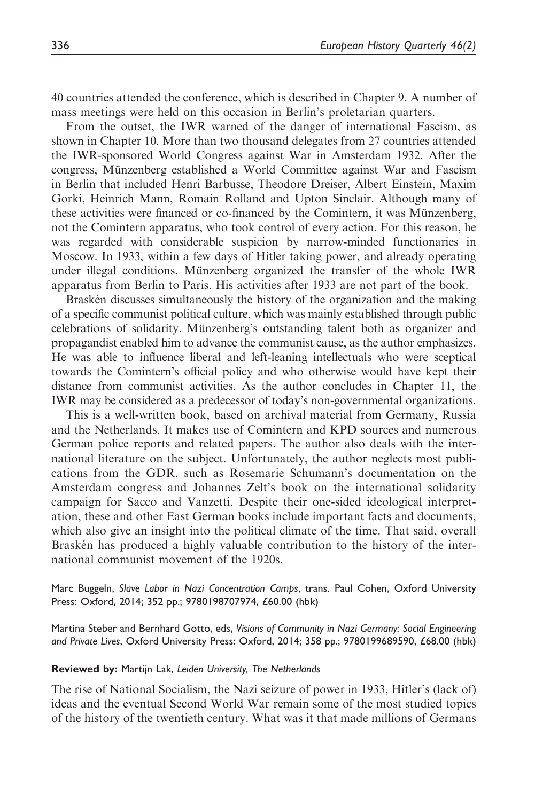40 countries attended the conference, which is described in Chapter 9. A number of mass meetings were held on this occasion in Berlin's proletarian quarters.

From the outset, the IWR warned of the danger of international Fascism, as shown in Chapter 10. More than two thousand delegates from 27 countries attended the IWR-sponsored World Congress against War in Amsterdam 1932. After the congress, Münzenberg established a World Committee against War and Fascism in Berlin that included Henri Barbusse, Theodore Dreiser, Albert Einstein, Maxim Gorki, Heinrich Mann, Romain Rolland and Upton Sinclair. Although many of these activities were financed or co-financed by the Comintern, it was Münzenberg, not the Comintern apparatus, who took control of every action. For this reason, he was regarded with considerable suspicion by narrow-minded functionaries in Moscow. In 1933, within a few days of Hitler taking power, and already operating under illegal conditions, Münzenberg organized the transfer of the whole IWR apparatus from Berlin to Paris. His activities after 1933 are not part of the book.

Braskén discusses simultaneously the history of the organization and the making of a specific communist political culture, which was mainly established through public celebrations of solidarity. Münzenberg's outstanding talent both as organizer and propagandist enabled him to advance the communist cause, as the author emphasizes. He was able to influence liberal and left-leaning intellectuals who were sceptical towards the Comintern's official policy and who otherwise would have kept their distance from communist activities. As the author concludes in Chapter 11, the IWR may be considered as a predecessor of today's non-governmental organizations.

This is a well-written book, based on archival material from Germany, Russia and the Netherlands. It makes use of Comintern and KPD sources and numerous German police reports and related papers. The author also deals with the international literature on the subject. Unfortunately, the author neglects most publications from the GDR, such as Rosemarie Schumann's documentation on the Amsterdam congress and Johannes Zelt's book on the international solidarity campaign for Sacco and Vanzetti. Despite their one-sided ideological interpretation, these and other East German books include important facts and documents, which also give an insight into the political climate of the time. That said, overall Brasket has produced a highly valuable contribution to the history of the international communist movement of the 1920s.

Marc Buggeln, Slave Labor in Nazi Concentration Camps, trans. Paul Cohen, Oxford University Press: Oxford, 2014; 352 pp.; 9780198707974, £60.00 (hbk)

Martina Steber and Bernhard Gotto, eds, Visions of Community in Nazi Germany: Social Engineering and Private Lives, Oxford University Press: Oxford, 2014; 358 pp.; 9780199689590, £68.00 (hbk)

#### Reviewed by: Martijn Lak, Leiden University, The Netherlands

The rise of National Socialism, the Nazi seizure of power in 1933, Hitler's (lack of) ideas and the eventual Second World War remain some of the most studied topics of the history of the twentieth century. What was it that made millions of Germans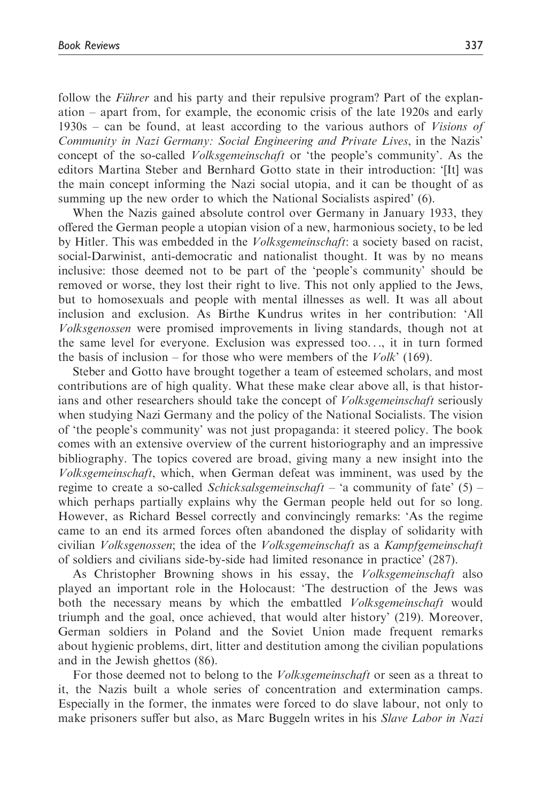follow the *Führer* and his party and their repulsive program? Part of the explanation – apart from, for example, the economic crisis of the late 1920s and early  $1930s$  – can be found, at least according to the various authors of *Visions of* Community in Nazi Germany: Social Engineering and Private Lives, in the Nazis' concept of the so-called Volksgemeinschaft or 'the people's community'. As the editors Martina Steber and Bernhard Gotto state in their introduction: '[It] was the main concept informing the Nazi social utopia, and it can be thought of as summing up the new order to which the National Socialists aspired' (6).

When the Nazis gained absolute control over Germany in January 1933, they offered the German people a utopian vision of a new, harmonious society, to be led by Hitler. This was embedded in the *Volksgemeinschaft*: a society based on racist, social-Darwinist, anti-democratic and nationalist thought. It was by no means inclusive: those deemed not to be part of the 'people's community' should be removed or worse, they lost their right to live. This not only applied to the Jews, but to homosexuals and people with mental illnesses as well. It was all about inclusion and exclusion. As Birthe Kundrus writes in her contribution: 'All Volksgenossen were promised improvements in living standards, though not at the same level for everyone. Exclusion was expressed too..., it in turn formed the basis of inclusion – for those who were members of the  $Volk'$  (169).

Steber and Gotto have brought together a team of esteemed scholars, and most contributions are of high quality. What these make clear above all, is that historians and other researchers should take the concept of *Volksgemeinschaft* seriously when studying Nazi Germany and the policy of the National Socialists. The vision of 'the people's community' was not just propaganda: it steered policy. The book comes with an extensive overview of the current historiography and an impressive bibliography. The topics covered are broad, giving many a new insight into the Volksgemeinschaft, which, when German defeat was imminent, was used by the regime to create a so-called *Schicksalsgemeinschaft* – 'a community of fate' (5) – which perhaps partially explains why the German people held out for so long. However, as Richard Bessel correctly and convincingly remarks: 'As the regime came to an end its armed forces often abandoned the display of solidarity with civilian Volksgenossen; the idea of the Volksgemeinschaft as a Kampfgemeinschaft of soldiers and civilians side-by-side had limited resonance in practice' (287).

As Christopher Browning shows in his essay, the Volksgemeinschaft also played an important role in the Holocaust: 'The destruction of the Jews was both the necessary means by which the embattled *Volksgemeinschaft* would triumph and the goal, once achieved, that would alter history' (219). Moreover, German soldiers in Poland and the Soviet Union made frequent remarks about hygienic problems, dirt, litter and destitution among the civilian populations and in the Jewish ghettos (86).

For those deemed not to belong to the *Volksgemeinschaft* or seen as a threat to it, the Nazis built a whole series of concentration and extermination camps. Especially in the former, the inmates were forced to do slave labour, not only to make prisoners suffer but also, as Marc Buggeln writes in his *Slave Labor in Nazi*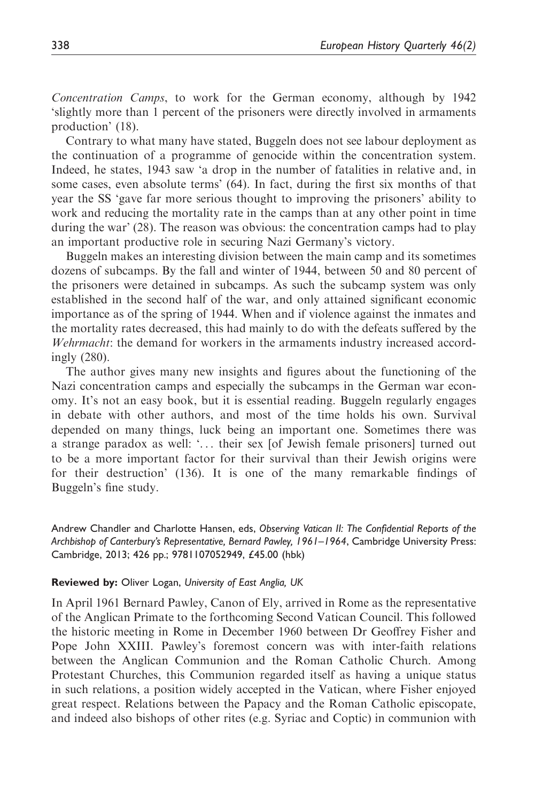Concentration Camps, to work for the German economy, although by 1942 'slightly more than 1 percent of the prisoners were directly involved in armaments production' (18).

Contrary to what many have stated, Buggeln does not see labour deployment as the continuation of a programme of genocide within the concentration system. Indeed, he states, 1943 saw 'a drop in the number of fatalities in relative and, in some cases, even absolute terms' (64). In fact, during the first six months of that year the SS 'gave far more serious thought to improving the prisoners' ability to work and reducing the mortality rate in the camps than at any other point in time during the war' (28). The reason was obvious: the concentration camps had to play an important productive role in securing Nazi Germany's victory.

Buggeln makes an interesting division between the main camp and its sometimes dozens of subcamps. By the fall and winter of 1944, between 50 and 80 percent of the prisoners were detained in subcamps. As such the subcamp system was only established in the second half of the war, and only attained significant economic importance as of the spring of 1944. When and if violence against the inmates and the mortality rates decreased, this had mainly to do with the defeats suffered by the Wehrmacht: the demand for workers in the armaments industry increased accordingly (280).

The author gives many new insights and figures about the functioning of the Nazi concentration camps and especially the subcamps in the German war economy. It's not an easy book, but it is essential reading. Buggeln regularly engages in debate with other authors, and most of the time holds his own. Survival depended on many things, luck being an important one. Sometimes there was a strange paradox as well: '... their sex [of Jewish female prisoners] turned out to be a more important factor for their survival than their Jewish origins were for their destruction' (136). It is one of the many remarkable findings of Buggeln's fine study.

Andrew Chandler and Charlotte Hansen, eds, Observing Vatican II: The Confidential Reports of the Archbishop of Canterbury's Representative, Bernard Pawley, 1961–1964, Cambridge University Press: Cambridge, 2013; 426 pp.; 9781107052949, £45.00 (hbk)

# **Reviewed by:** Oliver Logan, University of East Anglia, UK

In April 1961 Bernard Pawley, Canon of Ely, arrived in Rome as the representative of the Anglican Primate to the forthcoming Second Vatican Council. This followed the historic meeting in Rome in December 1960 between Dr Geoffrey Fisher and Pope John XXIII. Pawley's foremost concern was with inter-faith relations between the Anglican Communion and the Roman Catholic Church. Among Protestant Churches, this Communion regarded itself as having a unique status in such relations, a position widely accepted in the Vatican, where Fisher enjoyed great respect. Relations between the Papacy and the Roman Catholic episcopate, and indeed also bishops of other rites (e.g. Syriac and Coptic) in communion with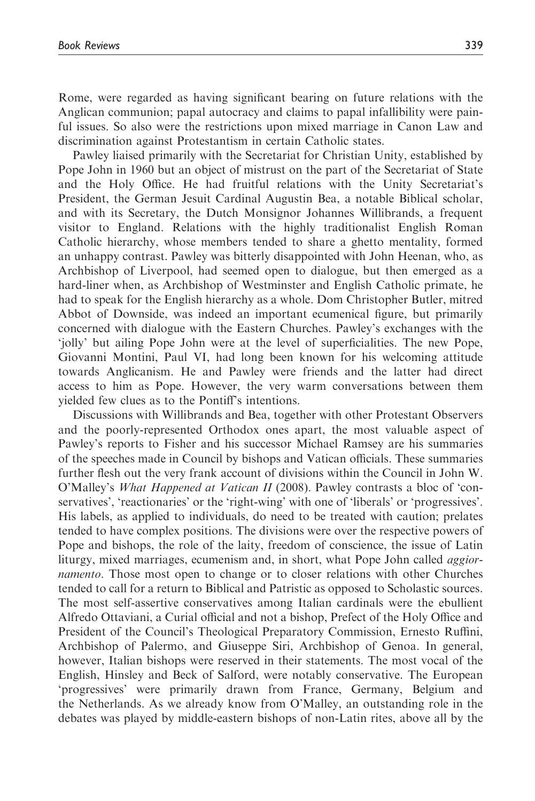Rome, were regarded as having significant bearing on future relations with the Anglican communion; papal autocracy and claims to papal infallibility were painful issues. So also were the restrictions upon mixed marriage in Canon Law and discrimination against Protestantism in certain Catholic states.

Pawley liaised primarily with the Secretariat for Christian Unity, established by Pope John in 1960 but an object of mistrust on the part of the Secretariat of State and the Holy Office. He had fruitful relations with the Unity Secretariat's President, the German Jesuit Cardinal Augustin Bea, a notable Biblical scholar, and with its Secretary, the Dutch Monsignor Johannes Willibrands, a frequent visitor to England. Relations with the highly traditionalist English Roman Catholic hierarchy, whose members tended to share a ghetto mentality, formed an unhappy contrast. Pawley was bitterly disappointed with John Heenan, who, as Archbishop of Liverpool, had seemed open to dialogue, but then emerged as a hard-liner when, as Archbishop of Westminster and English Catholic primate, he had to speak for the English hierarchy as a whole. Dom Christopher Butler, mitred Abbot of Downside, was indeed an important ecumenical figure, but primarily concerned with dialogue with the Eastern Churches. Pawley's exchanges with the 'jolly' but ailing Pope John were at the level of superficialities. The new Pope, Giovanni Montini, Paul VI, had long been known for his welcoming attitude towards Anglicanism. He and Pawley were friends and the latter had direct access to him as Pope. However, the very warm conversations between them yielded few clues as to the Pontiff's intentions.

Discussions with Willibrands and Bea, together with other Protestant Observers and the poorly-represented Orthodox ones apart, the most valuable aspect of Pawley's reports to Fisher and his successor Michael Ramsey are his summaries of the speeches made in Council by bishops and Vatican officials. These summaries further flesh out the very frank account of divisions within the Council in John W. O'Malley's What Happened at Vatican II (2008). Pawley contrasts a bloc of 'conservatives', 'reactionaries' or the 'right-wing' with one of 'liberals' or 'progressives'. His labels, as applied to individuals, do need to be treated with caution; prelates tended to have complex positions. The divisions were over the respective powers of Pope and bishops, the role of the laity, freedom of conscience, the issue of Latin liturgy, mixed marriages, ecumenism and, in short, what Pope John called aggiornamento. Those most open to change or to closer relations with other Churches tended to call for a return to Biblical and Patristic as opposed to Scholastic sources. The most self-assertive conservatives among Italian cardinals were the ebullient Alfredo Ottaviani, a Curial official and not a bishop, Prefect of the Holy Office and President of the Council's Theological Preparatory Commission, Ernesto Ruffini, Archbishop of Palermo, and Giuseppe Siri, Archbishop of Genoa. In general, however, Italian bishops were reserved in their statements. The most vocal of the English, Hinsley and Beck of Salford, were notably conservative. The European 'progressives' were primarily drawn from France, Germany, Belgium and the Netherlands. As we already know from O'Malley, an outstanding role in the debates was played by middle-eastern bishops of non-Latin rites, above all by the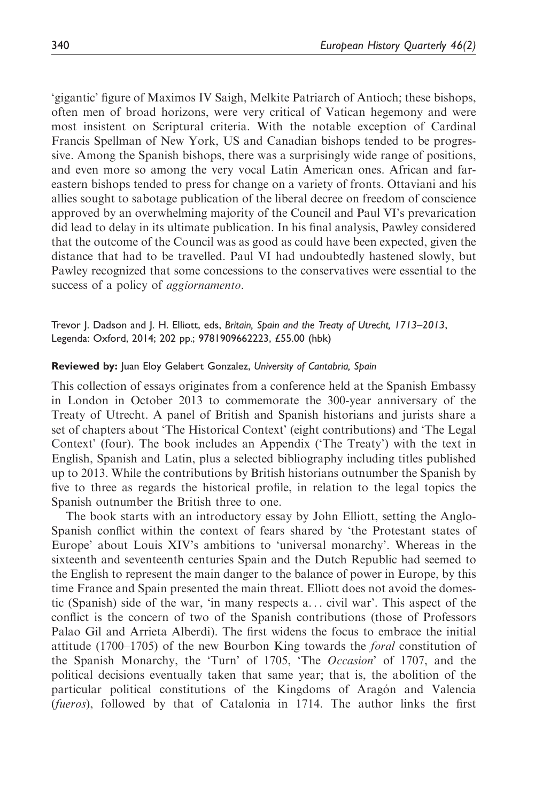'gigantic' figure of Maximos IV Saigh, Melkite Patriarch of Antioch; these bishops, often men of broad horizons, were very critical of Vatican hegemony and were most insistent on Scriptural criteria. With the notable exception of Cardinal Francis Spellman of New York, US and Canadian bishops tended to be progressive. Among the Spanish bishops, there was a surprisingly wide range of positions, and even more so among the very vocal Latin American ones. African and fareastern bishops tended to press for change on a variety of fronts. Ottaviani and his allies sought to sabotage publication of the liberal decree on freedom of conscience approved by an overwhelming majority of the Council and Paul VI's prevarication did lead to delay in its ultimate publication. In his final analysis, Pawley considered that the outcome of the Council was as good as could have been expected, given the distance that had to be travelled. Paul VI had undoubtedly hastened slowly, but Pawley recognized that some concessions to the conservatives were essential to the success of a policy of *aggiornamento*.

Trevor J. Dadson and J. H. Elliott, eds, Britain, Spain and the Treaty of Utrecht, 1713–2013, Legenda: Oxford, 2014; 202 pp.; 9781909662223, £55.00 (hbk)

# Reviewed by: Juan Eloy Gelabert Gonzalez, University of Cantabria, Spain

This collection of essays originates from a conference held at the Spanish Embassy in London in October 2013 to commemorate the 300-year anniversary of the Treaty of Utrecht. A panel of British and Spanish historians and jurists share a set of chapters about 'The Historical Context' (eight contributions) and 'The Legal Context' (four). The book includes an Appendix ('The Treaty') with the text in English, Spanish and Latin, plus a selected bibliography including titles published up to 2013. While the contributions by British historians outnumber the Spanish by five to three as regards the historical profile, in relation to the legal topics the Spanish outnumber the British three to one.

The book starts with an introductory essay by John Elliott, setting the Anglo-Spanish conflict within the context of fears shared by 'the Protestant states of Europe' about Louis XIV's ambitions to 'universal monarchy'. Whereas in the sixteenth and seventeenth centuries Spain and the Dutch Republic had seemed to the English to represent the main danger to the balance of power in Europe, by this time France and Spain presented the main threat. Elliott does not avoid the domestic (Spanish) side of the war, 'in many respects a... civil war'. This aspect of the conflict is the concern of two of the Spanish contributions (those of Professors Palao Gil and Arrieta Alberdi). The first widens the focus to embrace the initial attitude (1700–1705) of the new Bourbon King towards the foral constitution of the Spanish Monarchy, the 'Turn' of 1705, 'The Occasion' of 1707, and the political decisions eventually taken that same year; that is, the abolition of the particular political constitutions of the Kingdoms of Aragón and Valencia (fueros), followed by that of Catalonia in 1714. The author links the first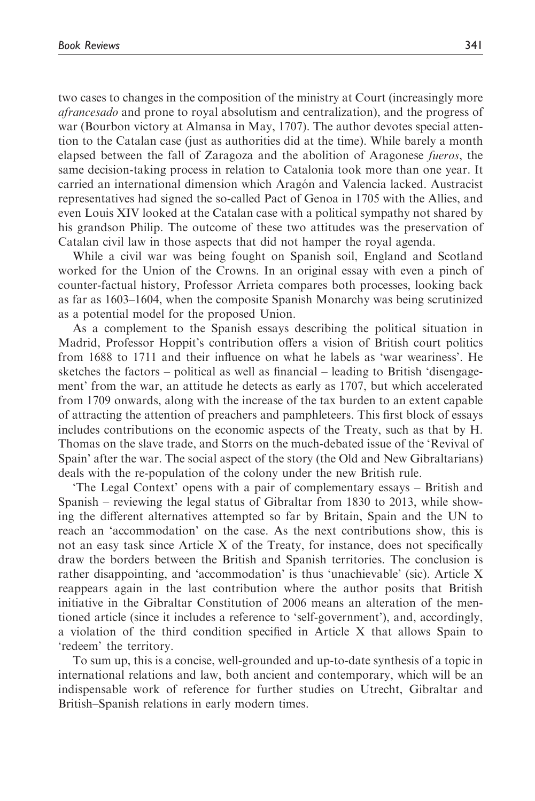two cases to changes in the composition of the ministry at Court (increasingly more afrancesado and prone to royal absolutism and centralization), and the progress of war (Bourbon victory at Almansa in May, 1707). The author devotes special attention to the Catalan case (just as authorities did at the time). While barely a month elapsed between the fall of Zaragoza and the abolition of Aragonese fueros, the same decision-taking process in relation to Catalonia took more than one year. It carried an international dimension which Aragón and Valencia lacked. Austracist representatives had signed the so-called Pact of Genoa in 1705 with the Allies, and even Louis XIV looked at the Catalan case with a political sympathy not shared by his grandson Philip. The outcome of these two attitudes was the preservation of Catalan civil law in those aspects that did not hamper the royal agenda.

While a civil war was being fought on Spanish soil, England and Scotland worked for the Union of the Crowns. In an original essay with even a pinch of counter-factual history, Professor Arrieta compares both processes, looking back as far as 1603–1604, when the composite Spanish Monarchy was being scrutinized as a potential model for the proposed Union.

As a complement to the Spanish essays describing the political situation in Madrid, Professor Hoppit's contribution offers a vision of British court politics from 1688 to 1711 and their influence on what he labels as 'war weariness'. He sketches the factors – political as well as financial – leading to British 'disengagement' from the war, an attitude he detects as early as 1707, but which accelerated from 1709 onwards, along with the increase of the tax burden to an extent capable of attracting the attention of preachers and pamphleteers. This first block of essays includes contributions on the economic aspects of the Treaty, such as that by H. Thomas on the slave trade, and Storrs on the much-debated issue of the 'Revival of Spain' after the war. The social aspect of the story (the Old and New Gibraltarians) deals with the re-population of the colony under the new British rule.

'The Legal Context' opens with a pair of complementary essays – British and Spanish – reviewing the legal status of Gibraltar from 1830 to 2013, while showing the different alternatives attempted so far by Britain, Spain and the UN to reach an 'accommodation' on the case. As the next contributions show, this is not an easy task since Article X of the Treaty, for instance, does not specifically draw the borders between the British and Spanish territories. The conclusion is rather disappointing, and 'accommodation' is thus 'unachievable' (sic). Article X reappears again in the last contribution where the author posits that British initiative in the Gibraltar Constitution of 2006 means an alteration of the mentioned article (since it includes a reference to 'self-government'), and, accordingly, a violation of the third condition specified in Article X that allows Spain to 'redeem' the territory.

To sum up, this is a concise, well-grounded and up-to-date synthesis of a topic in international relations and law, both ancient and contemporary, which will be an indispensable work of reference for further studies on Utrecht, Gibraltar and British–Spanish relations in early modern times.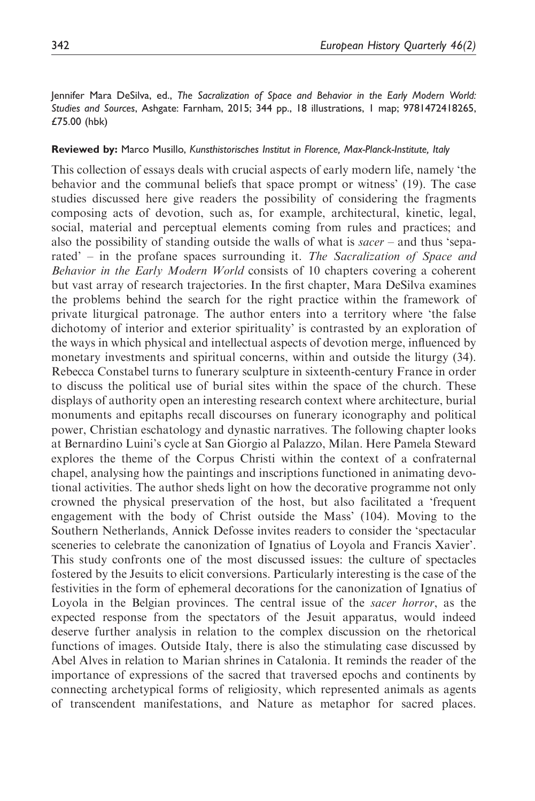Jennifer Mara DeSilva, ed., The Sacralization of Space and Behavior in the Early Modern World: Studies and Sources, Ashgate: Farnham, 2015; 344 pp., 18 illustrations, 1 map; 9781472418265, £75.00 (hbk)

# Reviewed by: Marco Musillo, Kunsthistorisches Institut in Florence, Max-Planck-Institute, Italy

This collection of essays deals with crucial aspects of early modern life, namely 'the behavior and the communal beliefs that space prompt or witness' (19). The case studies discussed here give readers the possibility of considering the fragments composing acts of devotion, such as, for example, architectural, kinetic, legal, social, material and perceptual elements coming from rules and practices; and also the possibility of standing outside the walls of what is sacer – and thus 'separated' – in the profane spaces surrounding it. The Sacralization of Space and Behavior in the Early Modern World consists of 10 chapters covering a coherent but vast array of research trajectories. In the first chapter, Mara DeSilva examines the problems behind the search for the right practice within the framework of private liturgical patronage. The author enters into a territory where 'the false dichotomy of interior and exterior spirituality' is contrasted by an exploration of the ways in which physical and intellectual aspects of devotion merge, influenced by monetary investments and spiritual concerns, within and outside the liturgy (34). Rebecca Constabel turns to funerary sculpture in sixteenth-century France in order to discuss the political use of burial sites within the space of the church. These displays of authority open an interesting research context where architecture, burial monuments and epitaphs recall discourses on funerary iconography and political power, Christian eschatology and dynastic narratives. The following chapter looks at Bernardino Luini's cycle at San Giorgio al Palazzo, Milan. Here Pamela Steward explores the theme of the Corpus Christi within the context of a confraternal chapel, analysing how the paintings and inscriptions functioned in animating devotional activities. The author sheds light on how the decorative programme not only crowned the physical preservation of the host, but also facilitated a 'frequent engagement with the body of Christ outside the Mass' (104). Moving to the Southern Netherlands, Annick Defosse invites readers to consider the 'spectacular sceneries to celebrate the canonization of Ignatius of Loyola and Francis Xavier'. This study confronts one of the most discussed issues: the culture of spectacles fostered by the Jesuits to elicit conversions. Particularly interesting is the case of the festivities in the form of ephemeral decorations for the canonization of Ignatius of Loyola in the Belgian provinces. The central issue of the sacer horror, as the expected response from the spectators of the Jesuit apparatus, would indeed deserve further analysis in relation to the complex discussion on the rhetorical functions of images. Outside Italy, there is also the stimulating case discussed by Abel Alves in relation to Marian shrines in Catalonia. It reminds the reader of the importance of expressions of the sacred that traversed epochs and continents by connecting archetypical forms of religiosity, which represented animals as agents of transcendent manifestations, and Nature as metaphor for sacred places.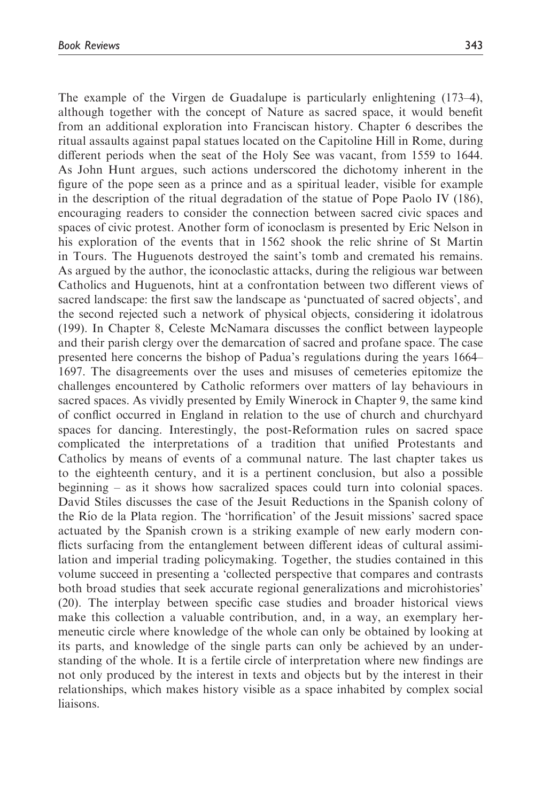The example of the Virgen de Guadalupe is particularly enlightening (173–4), although together with the concept of Nature as sacred space, it would benefit from an additional exploration into Franciscan history. Chapter 6 describes the ritual assaults against papal statues located on the Capitoline Hill in Rome, during different periods when the seat of the Holy See was vacant, from 1559 to 1644. As John Hunt argues, such actions underscored the dichotomy inherent in the figure of the pope seen as a prince and as a spiritual leader, visible for example in the description of the ritual degradation of the statue of Pope Paolo IV (186), encouraging readers to consider the connection between sacred civic spaces and spaces of civic protest. Another form of iconoclasm is presented by Eric Nelson in his exploration of the events that in 1562 shook the relic shrine of St Martin in Tours. The Huguenots destroyed the saint's tomb and cremated his remains. As argued by the author, the iconoclastic attacks, during the religious war between Catholics and Huguenots, hint at a confrontation between two different views of sacred landscape: the first saw the landscape as 'punctuated of sacred objects', and the second rejected such a network of physical objects, considering it idolatrous (199). In Chapter 8, Celeste McNamara discusses the conflict between laypeople and their parish clergy over the demarcation of sacred and profane space. The case presented here concerns the bishop of Padua's regulations during the years 1664– 1697. The disagreements over the uses and misuses of cemeteries epitomize the challenges encountered by Catholic reformers over matters of lay behaviours in sacred spaces. As vividly presented by Emily Winerock in Chapter 9, the same kind of conflict occurred in England in relation to the use of church and churchyard spaces for dancing. Interestingly, the post-Reformation rules on sacred space complicated the interpretations of a tradition that unified Protestants and Catholics by means of events of a communal nature. The last chapter takes us to the eighteenth century, and it is a pertinent conclusion, but also a possible beginning – as it shows how sacralized spaces could turn into colonial spaces. David Stiles discusses the case of the Jesuit Reductions in the Spanish colony of the Rı´o de la Plata region. The 'horrification' of the Jesuit missions' sacred space actuated by the Spanish crown is a striking example of new early modern conflicts surfacing from the entanglement between different ideas of cultural assimilation and imperial trading policymaking. Together, the studies contained in this volume succeed in presenting a 'collected perspective that compares and contrasts both broad studies that seek accurate regional generalizations and microhistories' (20). The interplay between specific case studies and broader historical views make this collection a valuable contribution, and, in a way, an exemplary hermeneutic circle where knowledge of the whole can only be obtained by looking at its parts, and knowledge of the single parts can only be achieved by an understanding of the whole. It is a fertile circle of interpretation where new findings are not only produced by the interest in texts and objects but by the interest in their relationships, which makes history visible as a space inhabited by complex social liaisons.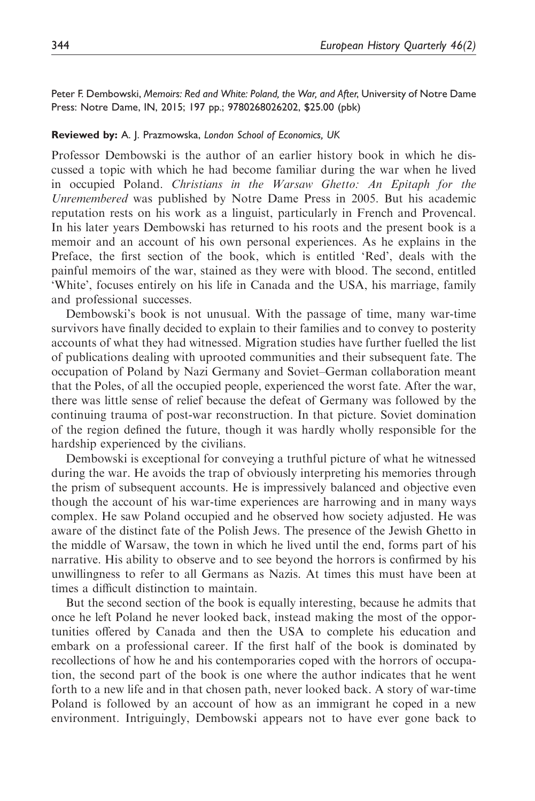Peter F. Dembowski, Memoirs: Red and White: Poland, the War, and After, University of Notre Dame Press: Notre Dame, IN, 2015; 197 pp.; 9780268026202, \$25.00 (pbk)

### Reviewed by: A. J. Prazmowska, London School of Economics, UK

Professor Dembowski is the author of an earlier history book in which he discussed a topic with which he had become familiar during the war when he lived in occupied Poland. Christians in the Warsaw Ghetto: An Epitaph for the Unremembered was published by Notre Dame Press in 2005. But his academic reputation rests on his work as a linguist, particularly in French and Provencal. In his later years Dembowski has returned to his roots and the present book is a memoir and an account of his own personal experiences. As he explains in the Preface, the first section of the book, which is entitled 'Red', deals with the painful memoirs of the war, stained as they were with blood. The second, entitled 'White', focuses entirely on his life in Canada and the USA, his marriage, family and professional successes.

Dembowski's book is not unusual. With the passage of time, many war-time survivors have finally decided to explain to their families and to convey to posterity accounts of what they had witnessed. Migration studies have further fuelled the list of publications dealing with uprooted communities and their subsequent fate. The occupation of Poland by Nazi Germany and Soviet–German collaboration meant that the Poles, of all the occupied people, experienced the worst fate. After the war, there was little sense of relief because the defeat of Germany was followed by the continuing trauma of post-war reconstruction. In that picture. Soviet domination of the region defined the future, though it was hardly wholly responsible for the hardship experienced by the civilians.

Dembowski is exceptional for conveying a truthful picture of what he witnessed during the war. He avoids the trap of obviously interpreting his memories through the prism of subsequent accounts. He is impressively balanced and objective even though the account of his war-time experiences are harrowing and in many ways complex. He saw Poland occupied and he observed how society adjusted. He was aware of the distinct fate of the Polish Jews. The presence of the Jewish Ghetto in the middle of Warsaw, the town in which he lived until the end, forms part of his narrative. His ability to observe and to see beyond the horrors is confirmed by his unwillingness to refer to all Germans as Nazis. At times this must have been at times a difficult distinction to maintain.

But the second section of the book is equally interesting, because he admits that once he left Poland he never looked back, instead making the most of the opportunities offered by Canada and then the USA to complete his education and embark on a professional career. If the first half of the book is dominated by recollections of how he and his contemporaries coped with the horrors of occupation, the second part of the book is one where the author indicates that he went forth to a new life and in that chosen path, never looked back. A story of war-time Poland is followed by an account of how as an immigrant he coped in a new environment. Intriguingly, Dembowski appears not to have ever gone back to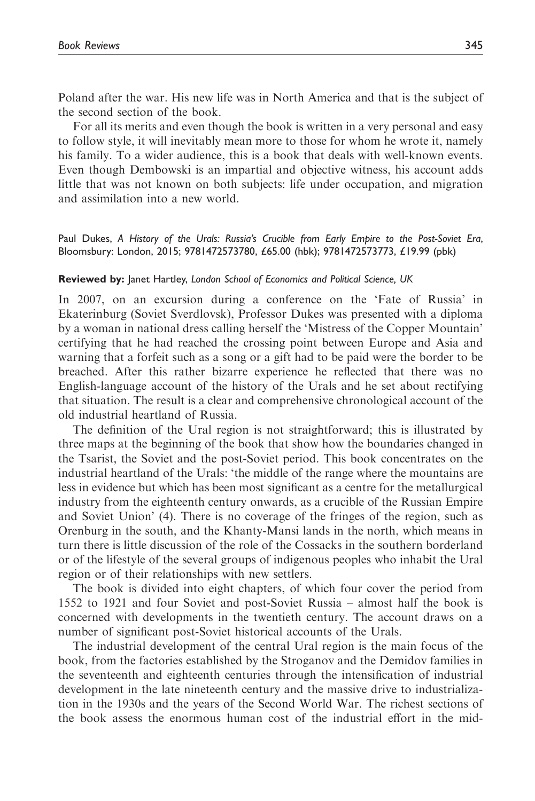Poland after the war. His new life was in North America and that is the subject of the second section of the book.

For all its merits and even though the book is written in a very personal and easy to follow style, it will inevitably mean more to those for whom he wrote it, namely his family. To a wider audience, this is a book that deals with well-known events. Even though Dembowski is an impartial and objective witness, his account adds little that was not known on both subjects: life under occupation, and migration and assimilation into a new world.

Paul Dukes, A History of the Urals: Russia's Crucible from Early Empire to the Post-Soviet Era, Bloomsbury: London, 2015; 9781472573780, £65.00 (hbk); 9781472573773, £19.99 (pbk)

#### **Reviewed by:** Janet Hartley, London School of Economics and Political Science, UK

In 2007, on an excursion during a conference on the 'Fate of Russia' in Ekaterinburg (Soviet Sverdlovsk), Professor Dukes was presented with a diploma by a woman in national dress calling herself the 'Mistress of the Copper Mountain' certifying that he had reached the crossing point between Europe and Asia and warning that a forfeit such as a song or a gift had to be paid were the border to be breached. After this rather bizarre experience he reflected that there was no English-language account of the history of the Urals and he set about rectifying that situation. The result is a clear and comprehensive chronological account of the old industrial heartland of Russia.

The definition of the Ural region is not straightforward; this is illustrated by three maps at the beginning of the book that show how the boundaries changed in the Tsarist, the Soviet and the post-Soviet period. This book concentrates on the industrial heartland of the Urals: 'the middle of the range where the mountains are less in evidence but which has been most significant as a centre for the metallurgical industry from the eighteenth century onwards, as a crucible of the Russian Empire and Soviet Union' (4). There is no coverage of the fringes of the region, such as Orenburg in the south, and the Khanty-Mansi lands in the north, which means in turn there is little discussion of the role of the Cossacks in the southern borderland or of the lifestyle of the several groups of indigenous peoples who inhabit the Ural region or of their relationships with new settlers.

The book is divided into eight chapters, of which four cover the period from 1552 to 1921 and four Soviet and post-Soviet Russia – almost half the book is concerned with developments in the twentieth century. The account draws on a number of significant post-Soviet historical accounts of the Urals.

The industrial development of the central Ural region is the main focus of the book, from the factories established by the Stroganov and the Demidov families in the seventeenth and eighteenth centuries through the intensification of industrial development in the late nineteenth century and the massive drive to industrialization in the 1930s and the years of the Second World War. The richest sections of the book assess the enormous human cost of the industrial effort in the mid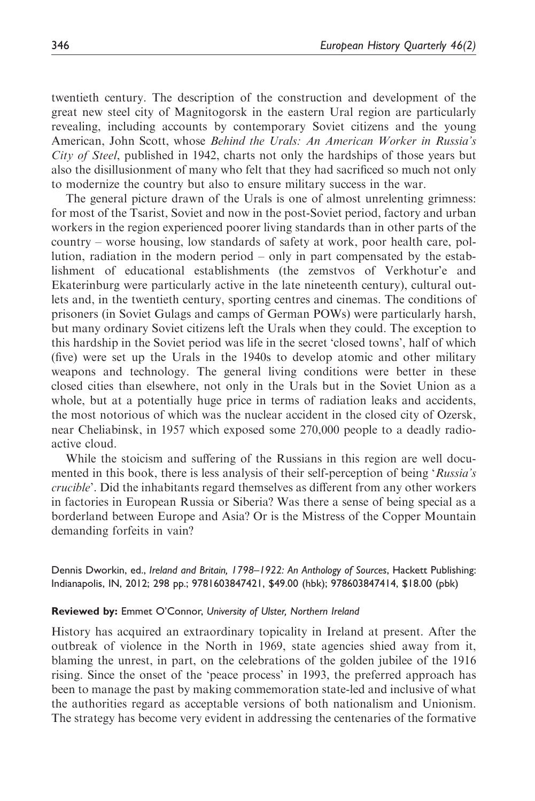twentieth century. The description of the construction and development of the great new steel city of Magnitogorsk in the eastern Ural region are particularly revealing, including accounts by contemporary Soviet citizens and the young American, John Scott, whose Behind the Urals: An American Worker in Russia's City of Steel, published in 1942, charts not only the hardships of those years but also the disillusionment of many who felt that they had sacrificed so much not only to modernize the country but also to ensure military success in the war.

The general picture drawn of the Urals is one of almost unrelenting grimness: for most of the Tsarist, Soviet and now in the post-Soviet period, factory and urban workers in the region experienced poorer living standards than in other parts of the country – worse housing, low standards of safety at work, poor health care, pollution, radiation in the modern period – only in part compensated by the establishment of educational establishments (the zemstvos of Verkhotur'e and Ekaterinburg were particularly active in the late nineteenth century), cultural outlets and, in the twentieth century, sporting centres and cinemas. The conditions of prisoners (in Soviet Gulags and camps of German POWs) were particularly harsh, but many ordinary Soviet citizens left the Urals when they could. The exception to this hardship in the Soviet period was life in the secret 'closed towns', half of which (five) were set up the Urals in the 1940s to develop atomic and other military weapons and technology. The general living conditions were better in these closed cities than elsewhere, not only in the Urals but in the Soviet Union as a whole, but at a potentially huge price in terms of radiation leaks and accidents, the most notorious of which was the nuclear accident in the closed city of Ozersk, near Cheliabinsk, in 1957 which exposed some 270,000 people to a deadly radioactive cloud.

While the stoicism and suffering of the Russians in this region are well documented in this book, there is less analysis of their self-perception of being 'Russia's crucible'. Did the inhabitants regard themselves as different from any other workers in factories in European Russia or Siberia? Was there a sense of being special as a borderland between Europe and Asia? Or is the Mistress of the Copper Mountain demanding forfeits in vain?

Dennis Dworkin, ed., Ireland and Britain, 1798–1922: An Anthology of Sources, Hackett Publishing: Indianapolis, IN, 2012; 298 pp.; 9781603847421, \$49.00 (hbk); 978603847414, \$18.00 (pbk)

# Reviewed by: Emmet O'Connor, University of Ulster, Northern Ireland

History has acquired an extraordinary topicality in Ireland at present. After the outbreak of violence in the North in 1969, state agencies shied away from it, blaming the unrest, in part, on the celebrations of the golden jubilee of the 1916 rising. Since the onset of the 'peace process' in 1993, the preferred approach has been to manage the past by making commemoration state-led and inclusive of what the authorities regard as acceptable versions of both nationalism and Unionism. The strategy has become very evident in addressing the centenaries of the formative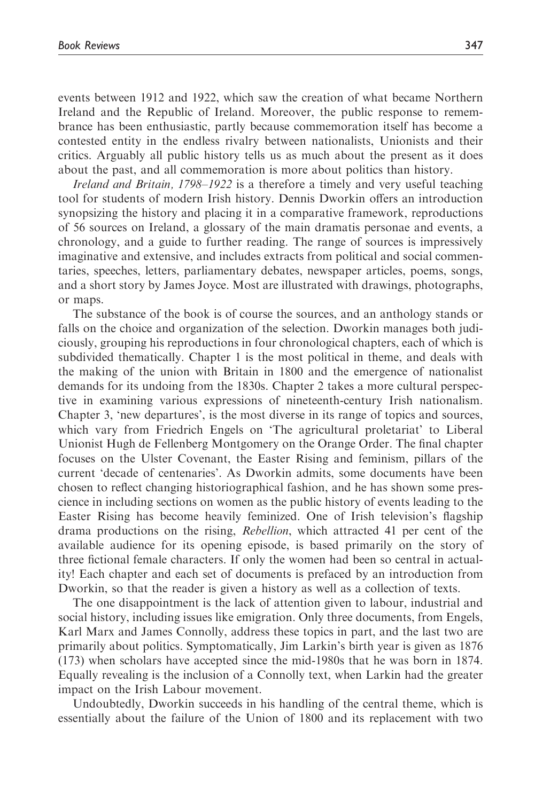events between 1912 and 1922, which saw the creation of what became Northern Ireland and the Republic of Ireland. Moreover, the public response to remembrance has been enthusiastic, partly because commemoration itself has become a contested entity in the endless rivalry between nationalists, Unionists and their critics. Arguably all public history tells us as much about the present as it does about the past, and all commemoration is more about politics than history.

Ireland and Britain, 1798–1922 is a therefore a timely and very useful teaching tool for students of modern Irish history. Dennis Dworkin offers an introduction synopsizing the history and placing it in a comparative framework, reproductions of 56 sources on Ireland, a glossary of the main dramatis personae and events, a chronology, and a guide to further reading. The range of sources is impressively imaginative and extensive, and includes extracts from political and social commentaries, speeches, letters, parliamentary debates, newspaper articles, poems, songs, and a short story by James Joyce. Most are illustrated with drawings, photographs, or maps.

The substance of the book is of course the sources, and an anthology stands or falls on the choice and organization of the selection. Dworkin manages both judiciously, grouping his reproductions in four chronological chapters, each of which is subdivided thematically. Chapter 1 is the most political in theme, and deals with the making of the union with Britain in 1800 and the emergence of nationalist demands for its undoing from the 1830s. Chapter 2 takes a more cultural perspective in examining various expressions of nineteenth-century Irish nationalism. Chapter 3, 'new departures', is the most diverse in its range of topics and sources, which vary from Friedrich Engels on 'The agricultural proletariat' to Liberal Unionist Hugh de Fellenberg Montgomery on the Orange Order. The final chapter focuses on the Ulster Covenant, the Easter Rising and feminism, pillars of the current 'decade of centenaries'. As Dworkin admits, some documents have been chosen to reflect changing historiographical fashion, and he has shown some prescience in including sections on women as the public history of events leading to the Easter Rising has become heavily feminized. One of Irish television's flagship drama productions on the rising, Rebellion, which attracted 41 per cent of the available audience for its opening episode, is based primarily on the story of three fictional female characters. If only the women had been so central in actuality! Each chapter and each set of documents is prefaced by an introduction from Dworkin, so that the reader is given a history as well as a collection of texts.

The one disappointment is the lack of attention given to labour, industrial and social history, including issues like emigration. Only three documents, from Engels, Karl Marx and James Connolly, address these topics in part, and the last two are primarily about politics. Symptomatically, Jim Larkin's birth year is given as 1876 (173) when scholars have accepted since the mid-1980s that he was born in 1874. Equally revealing is the inclusion of a Connolly text, when Larkin had the greater impact on the Irish Labour movement.

Undoubtedly, Dworkin succeeds in his handling of the central theme, which is essentially about the failure of the Union of 1800 and its replacement with two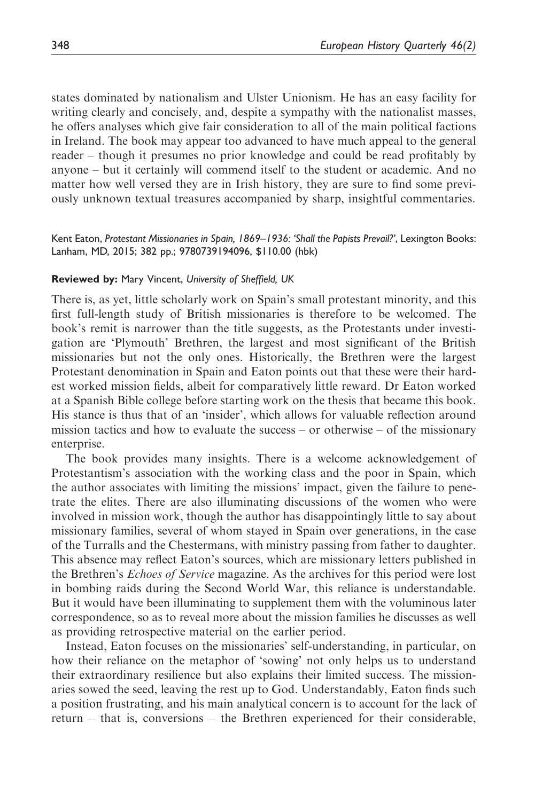states dominated by nationalism and Ulster Unionism. He has an easy facility for writing clearly and concisely, and, despite a sympathy with the nationalist masses, he offers analyses which give fair consideration to all of the main political factions in Ireland. The book may appear too advanced to have much appeal to the general reader – though it presumes no prior knowledge and could be read profitably by anyone – but it certainly will commend itself to the student or academic. And no matter how well versed they are in Irish history, they are sure to find some previously unknown textual treasures accompanied by sharp, insightful commentaries.

# Kent Eaton, Protestant Missionaries in Spain, 1869–1936: 'Shall the Papists Prevail?', Lexington Books: Lanham, MD, 2015; 382 pp.; 9780739194096, \$110.00 (hbk)

# **Reviewed by:** Mary Vincent, University of Sheffield, UK

There is, as yet, little scholarly work on Spain's small protestant minority, and this first full-length study of British missionaries is therefore to be welcomed. The book's remit is narrower than the title suggests, as the Protestants under investigation are 'Plymouth' Brethren, the largest and most significant of the British missionaries but not the only ones. Historically, the Brethren were the largest Protestant denomination in Spain and Eaton points out that these were their hardest worked mission fields, albeit for comparatively little reward. Dr Eaton worked at a Spanish Bible college before starting work on the thesis that became this book. His stance is thus that of an 'insider', which allows for valuable reflection around mission tactics and how to evaluate the success – or otherwise – of the missionary enterprise.

The book provides many insights. There is a welcome acknowledgement of Protestantism's association with the working class and the poor in Spain, which the author associates with limiting the missions' impact, given the failure to penetrate the elites. There are also illuminating discussions of the women who were involved in mission work, though the author has disappointingly little to say about missionary families, several of whom stayed in Spain over generations, in the case of the Turralls and the Chestermans, with ministry passing from father to daughter. This absence may reflect Eaton's sources, which are missionary letters published in the Brethren's Echoes of Service magazine. As the archives for this period were lost in bombing raids during the Second World War, this reliance is understandable. But it would have been illuminating to supplement them with the voluminous later correspondence, so as to reveal more about the mission families he discusses as well as providing retrospective material on the earlier period.

Instead, Eaton focuses on the missionaries' self-understanding, in particular, on how their reliance on the metaphor of 'sowing' not only helps us to understand their extraordinary resilience but also explains their limited success. The missionaries sowed the seed, leaving the rest up to God. Understandably, Eaton finds such a position frustrating, and his main analytical concern is to account for the lack of return – that is, conversions – the Brethren experienced for their considerable,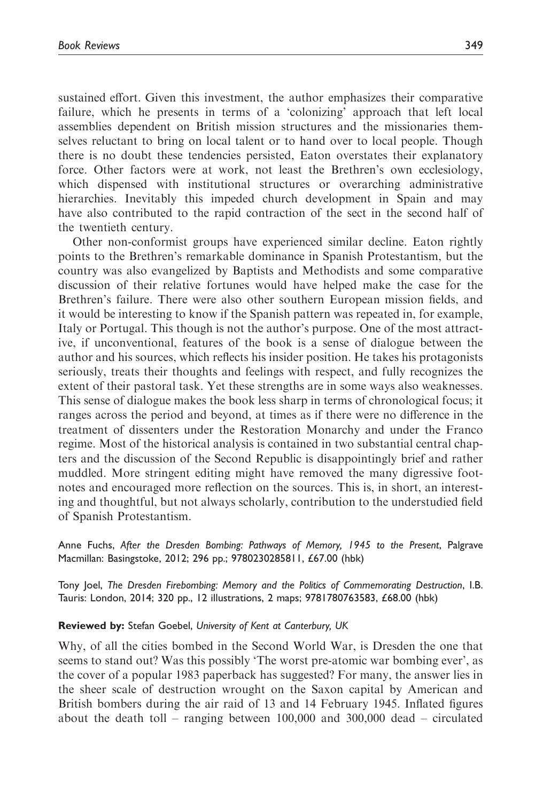sustained effort. Given this investment, the author emphasizes their comparative failure, which he presents in terms of a 'colonizing' approach that left local assemblies dependent on British mission structures and the missionaries themselves reluctant to bring on local talent or to hand over to local people. Though there is no doubt these tendencies persisted, Eaton overstates their explanatory force. Other factors were at work, not least the Brethren's own ecclesiology, which dispensed with institutional structures or overarching administrative hierarchies. Inevitably this impeded church development in Spain and may have also contributed to the rapid contraction of the sect in the second half of the twentieth century.

Other non-conformist groups have experienced similar decline. Eaton rightly points to the Brethren's remarkable dominance in Spanish Protestantism, but the country was also evangelized by Baptists and Methodists and some comparative discussion of their relative fortunes would have helped make the case for the Brethren's failure. There were also other southern European mission fields, and it would be interesting to know if the Spanish pattern was repeated in, for example, Italy or Portugal. This though is not the author's purpose. One of the most attractive, if unconventional, features of the book is a sense of dialogue between the author and his sources, which reflects his insider position. He takes his protagonists seriously, treats their thoughts and feelings with respect, and fully recognizes the extent of their pastoral task. Yet these strengths are in some ways also weaknesses. This sense of dialogue makes the book less sharp in terms of chronological focus; it ranges across the period and beyond, at times as if there were no difference in the treatment of dissenters under the Restoration Monarchy and under the Franco regime. Most of the historical analysis is contained in two substantial central chapters and the discussion of the Second Republic is disappointingly brief and rather muddled. More stringent editing might have removed the many digressive footnotes and encouraged more reflection on the sources. This is, in short, an interesting and thoughtful, but not always scholarly, contribution to the understudied field of Spanish Protestantism.

Anne Fuchs, After the Dresden Bombing: Pathways of Memory, 1945 to the Present, Palgrave Macmillan: Basingstoke, 2012; 296 pp.; 9780230285811, £67.00 (hbk)

Tony Joel, The Dresden Firebombing: Memory and the Politics of Commemorating Destruction, I.B. Tauris: London, 2014; 320 pp., 12 illustrations, 2 maps; 9781780763583, £68.00 (hbk)

#### Reviewed by: Stefan Goebel, University of Kent at Canterbury, UK

Why, of all the cities bombed in the Second World War, is Dresden the one that seems to stand out? Was this possibly 'The worst pre-atomic war bombing ever', as the cover of a popular 1983 paperback has suggested? For many, the answer lies in the sheer scale of destruction wrought on the Saxon capital by American and British bombers during the air raid of 13 and 14 February 1945. Inflated figures about the death toll – ranging between 100,000 and 300,000 dead – circulated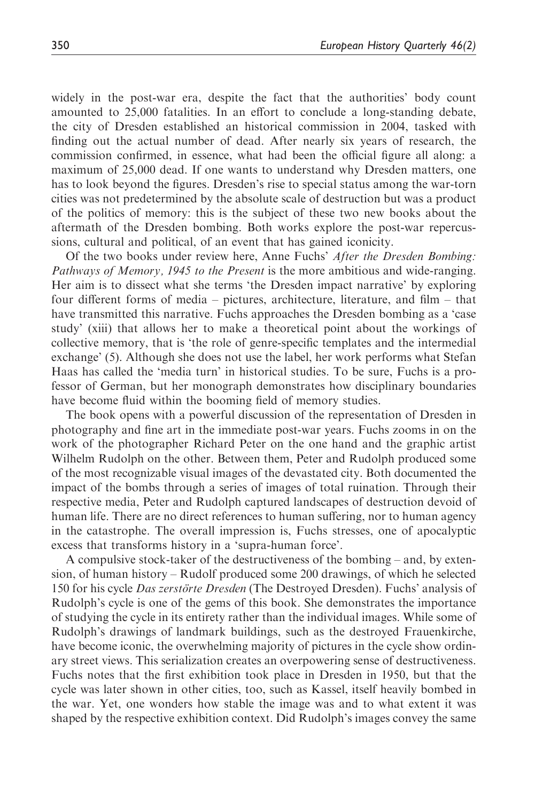widely in the post-war era, despite the fact that the authorities' body count amounted to 25,000 fatalities. In an effort to conclude a long-standing debate, the city of Dresden established an historical commission in 2004, tasked with finding out the actual number of dead. After nearly six years of research, the commission confirmed, in essence, what had been the official figure all along: a maximum of 25,000 dead. If one wants to understand why Dresden matters, one has to look beyond the figures. Dresden's rise to special status among the war-torn cities was not predetermined by the absolute scale of destruction but was a product of the politics of memory: this is the subject of these two new books about the aftermath of the Dresden bombing. Both works explore the post-war repercussions, cultural and political, of an event that has gained iconicity.

Of the two books under review here, Anne Fuchs' After the Dresden Bombing: Pathways of Memory, 1945 to the Present is the more ambitious and wide-ranging. Her aim is to dissect what she terms 'the Dresden impact narrative' by exploring four different forms of media – pictures, architecture, literature, and film – that have transmitted this narrative. Fuchs approaches the Dresden bombing as a 'case study' (xiii) that allows her to make a theoretical point about the workings of collective memory, that is 'the role of genre-specific templates and the intermedial exchange' (5). Although she does not use the label, her work performs what Stefan Haas has called the 'media turn' in historical studies. To be sure, Fuchs is a professor of German, but her monograph demonstrates how disciplinary boundaries have become fluid within the booming field of memory studies.

The book opens with a powerful discussion of the representation of Dresden in photography and fine art in the immediate post-war years. Fuchs zooms in on the work of the photographer Richard Peter on the one hand and the graphic artist Wilhelm Rudolph on the other. Between them, Peter and Rudolph produced some of the most recognizable visual images of the devastated city. Both documented the impact of the bombs through a series of images of total ruination. Through their respective media, Peter and Rudolph captured landscapes of destruction devoid of human life. There are no direct references to human suffering, nor to human agency in the catastrophe. The overall impression is, Fuchs stresses, one of apocalyptic excess that transforms history in a 'supra-human force'.

A compulsive stock-taker of the destructiveness of the bombing – and, by extension, of human history – Rudolf produced some 200 drawings, of which he selected 150 for his cycle *Das zerstörte Dresden* (The Destroyed Dresden). Fuchs' analysis of Rudolph's cycle is one of the gems of this book. She demonstrates the importance of studying the cycle in its entirety rather than the individual images. While some of Rudolph's drawings of landmark buildings, such as the destroyed Frauenkirche, have become iconic, the overwhelming majority of pictures in the cycle show ordinary street views. This serialization creates an overpowering sense of destructiveness. Fuchs notes that the first exhibition took place in Dresden in 1950, but that the cycle was later shown in other cities, too, such as Kassel, itself heavily bombed in the war. Yet, one wonders how stable the image was and to what extent it was shaped by the respective exhibition context. Did Rudolph's images convey the same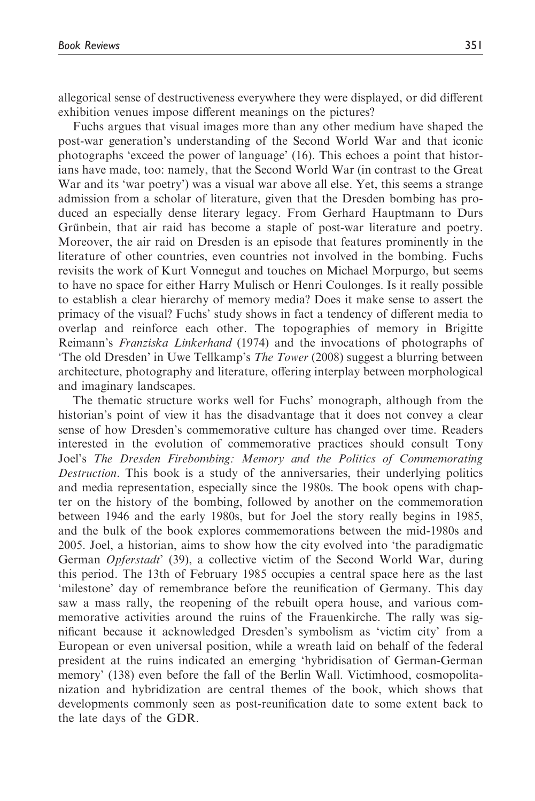allegorical sense of destructiveness everywhere they were displayed, or did different exhibition venues impose different meanings on the pictures?

Fuchs argues that visual images more than any other medium have shaped the post-war generation's understanding of the Second World War and that iconic photographs 'exceed the power of language' (16). This echoes a point that historians have made, too: namely, that the Second World War (in contrast to the Great War and its 'war poetry') was a visual war above all else. Yet, this seems a strange admission from a scholar of literature, given that the Dresden bombing has produced an especially dense literary legacy. From Gerhard Hauptmann to Durs Grünbein, that air raid has become a staple of post-war literature and poetry. Moreover, the air raid on Dresden is an episode that features prominently in the literature of other countries, even countries not involved in the bombing. Fuchs revisits the work of Kurt Vonnegut and touches on Michael Morpurgo, but seems to have no space for either Harry Mulisch or Henri Coulonges. Is it really possible to establish a clear hierarchy of memory media? Does it make sense to assert the primacy of the visual? Fuchs' study shows in fact a tendency of different media to overlap and reinforce each other. The topographies of memory in Brigitte Reimann's Franziska Linkerhand (1974) and the invocations of photographs of 'The old Dresden' in Uwe Tellkamp's The Tower (2008) suggest a blurring between architecture, photography and literature, offering interplay between morphological and imaginary landscapes.

The thematic structure works well for Fuchs' monograph, although from the historian's point of view it has the disadvantage that it does not convey a clear sense of how Dresden's commemorative culture has changed over time. Readers interested in the evolution of commemorative practices should consult Tony Joel's The Dresden Firebombing: Memory and the Politics of Commemorating Destruction. This book is a study of the anniversaries, their underlying politics and media representation, especially since the 1980s. The book opens with chapter on the history of the bombing, followed by another on the commemoration between 1946 and the early 1980s, but for Joel the story really begins in 1985, and the bulk of the book explores commemorations between the mid-1980s and 2005. Joel, a historian, aims to show how the city evolved into 'the paradigmatic German *Opferstadt'* (39), a collective victim of the Second World War, during this period. The 13th of February 1985 occupies a central space here as the last 'milestone' day of remembrance before the reunification of Germany. This day saw a mass rally, the reopening of the rebuilt opera house, and various commemorative activities around the ruins of the Frauenkirche. The rally was significant because it acknowledged Dresden's symbolism as 'victim city' from a European or even universal position, while a wreath laid on behalf of the federal president at the ruins indicated an emerging 'hybridisation of German-German memory' (138) even before the fall of the Berlin Wall. Victimhood, cosmopolitanization and hybridization are central themes of the book, which shows that developments commonly seen as post-reunification date to some extent back to the late days of the GDR.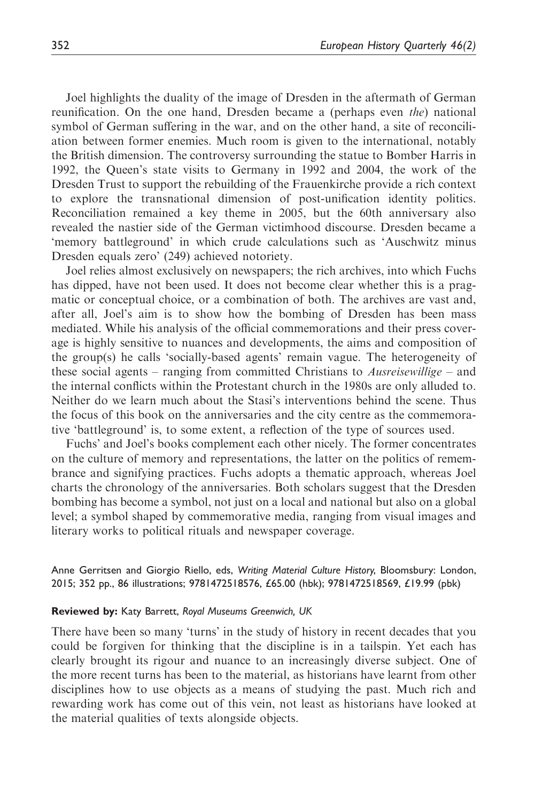Joel highlights the duality of the image of Dresden in the aftermath of German reunification. On the one hand, Dresden became a (perhaps even the) national symbol of German suffering in the war, and on the other hand, a site of reconciliation between former enemies. Much room is given to the international, notably the British dimension. The controversy surrounding the statue to Bomber Harris in 1992, the Queen's state visits to Germany in 1992 and 2004, the work of the Dresden Trust to support the rebuilding of the Frauenkirche provide a rich context to explore the transnational dimension of post-unification identity politics. Reconciliation remained a key theme in 2005, but the 60th anniversary also revealed the nastier side of the German victimhood discourse. Dresden became a 'memory battleground' in which crude calculations such as 'Auschwitz minus Dresden equals zero' (249) achieved notoriety.

Joel relies almost exclusively on newspapers; the rich archives, into which Fuchs has dipped, have not been used. It does not become clear whether this is a pragmatic or conceptual choice, or a combination of both. The archives are vast and, after all, Joel's aim is to show how the bombing of Dresden has been mass mediated. While his analysis of the official commemorations and their press coverage is highly sensitive to nuances and developments, the aims and composition of the group(s) he calls 'socially-based agents' remain vague. The heterogeneity of these social agents – ranging from committed Christians to Ausreisewillige – and the internal conflicts within the Protestant church in the 1980s are only alluded to. Neither do we learn much about the Stasi's interventions behind the scene. Thus the focus of this book on the anniversaries and the city centre as the commemorative 'battleground' is, to some extent, a reflection of the type of sources used.

Fuchs' and Joel's books complement each other nicely. The former concentrates on the culture of memory and representations, the latter on the politics of remembrance and signifying practices. Fuchs adopts a thematic approach, whereas Joel charts the chronology of the anniversaries. Both scholars suggest that the Dresden bombing has become a symbol, not just on a local and national but also on a global level; a symbol shaped by commemorative media, ranging from visual images and literary works to political rituals and newspaper coverage.

Anne Gerritsen and Giorgio Riello, eds, Writing Material Culture History, Bloomsbury: London, 2015; 352 pp., 86 illustrations; 9781472518576, £65.00 (hbk); 9781472518569, £19.99 (pbk)

#### Reviewed by: Katy Barrett, Royal Museums Greenwich, UK

There have been so many 'turns' in the study of history in recent decades that you could be forgiven for thinking that the discipline is in a tailspin. Yet each has clearly brought its rigour and nuance to an increasingly diverse subject. One of the more recent turns has been to the material, as historians have learnt from other disciplines how to use objects as a means of studying the past. Much rich and rewarding work has come out of this vein, not least as historians have looked at the material qualities of texts alongside objects.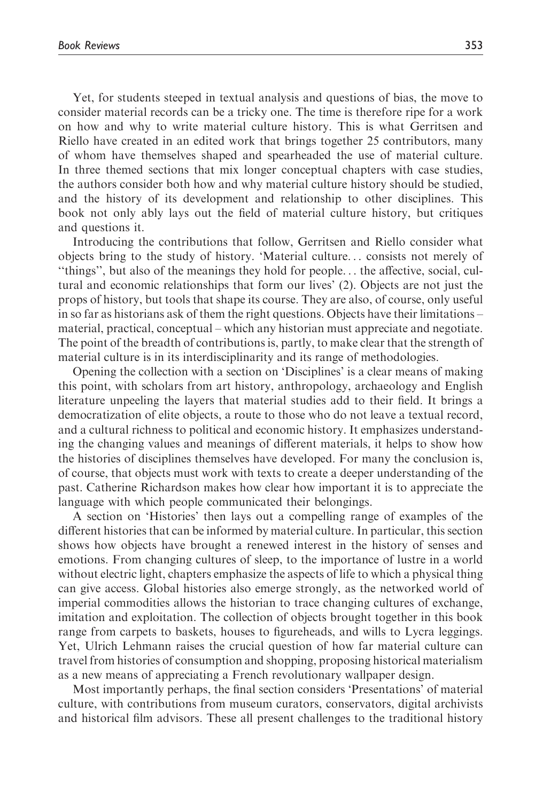Yet, for students steeped in textual analysis and questions of bias, the move to consider material records can be a tricky one. The time is therefore ripe for a work on how and why to write material culture history. This is what Gerritsen and Riello have created in an edited work that brings together 25 contributors, many of whom have themselves shaped and spearheaded the use of material culture. In three themed sections that mix longer conceptual chapters with case studies, the authors consider both how and why material culture history should be studied, and the history of its development and relationship to other disciplines. This book not only ably lays out the field of material culture history, but critiques and questions it.

Introducing the contributions that follow, Gerritsen and Riello consider what objects bring to the study of history. 'Material culture... consists not merely of ''things'', but also of the meanings they hold for people... the affective, social, cultural and economic relationships that form our lives' (2). Objects are not just the props of history, but tools that shape its course. They are also, of course, only useful in so far as historians ask of them the right questions. Objects have their limitations – material, practical, conceptual – which any historian must appreciate and negotiate. The point of the breadth of contributions is, partly, to make clear that the strength of material culture is in its interdisciplinarity and its range of methodologies.

Opening the collection with a section on 'Disciplines' is a clear means of making this point, with scholars from art history, anthropology, archaeology and English literature unpeeling the layers that material studies add to their field. It brings a democratization of elite objects, a route to those who do not leave a textual record, and a cultural richness to political and economic history. It emphasizes understanding the changing values and meanings of different materials, it helps to show how the histories of disciplines themselves have developed. For many the conclusion is, of course, that objects must work with texts to create a deeper understanding of the past. Catherine Richardson makes how clear how important it is to appreciate the language with which people communicated their belongings.

A section on 'Histories' then lays out a compelling range of examples of the different histories that can be informed by material culture. In particular, this section shows how objects have brought a renewed interest in the history of senses and emotions. From changing cultures of sleep, to the importance of lustre in a world without electric light, chapters emphasize the aspects of life to which a physical thing can give access. Global histories also emerge strongly, as the networked world of imperial commodities allows the historian to trace changing cultures of exchange, imitation and exploitation. The collection of objects brought together in this book range from carpets to baskets, houses to figureheads, and wills to Lycra leggings. Yet, Ulrich Lehmann raises the crucial question of how far material culture can travel from histories of consumption and shopping, proposing historical materialism as a new means of appreciating a French revolutionary wallpaper design.

Most importantly perhaps, the final section considers 'Presentations' of material culture, with contributions from museum curators, conservators, digital archivists and historical film advisors. These all present challenges to the traditional history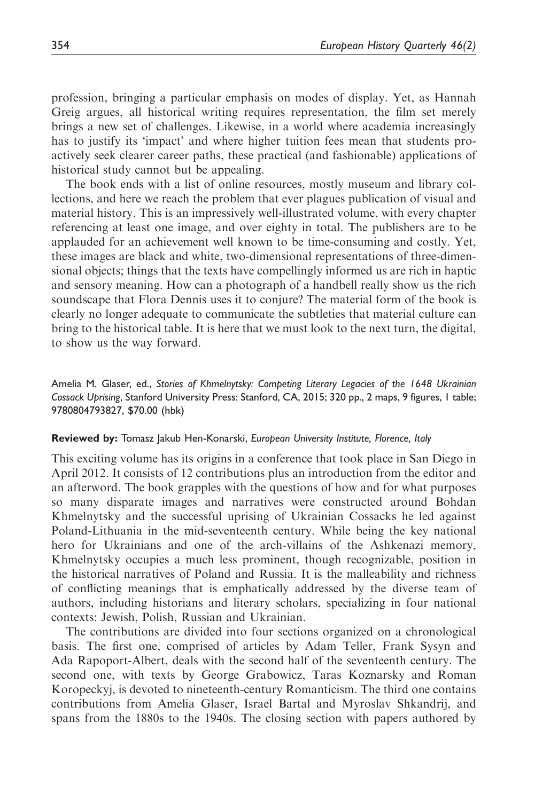profession, bringing a particular emphasis on modes of display. Yet, as Hannah Greig argues, all historical writing requires representation, the film set merely brings a new set of challenges. Likewise, in a world where academia increasingly has to justify its 'impact' and where higher tuition fees mean that students proactively seek clearer career paths, these practical (and fashionable) applications of historical study cannot but be appealing.

The book ends with a list of online resources, mostly museum and library collections, and here we reach the problem that ever plagues publication of visual and material history. This is an impressively well-illustrated volume, with every chapter referencing at least one image, and over eighty in total. The publishers are to be applauded for an achievement well known to be time-consuming and costly. Yet, these images are black and white, two-dimensional representations of three-dimensional objects; things that the texts have compellingly informed us are rich in haptic and sensory meaning. How can a photograph of a handbell really show us the rich soundscape that Flora Dennis uses it to conjure? The material form of the book is clearly no longer adequate to communicate the subtleties that material culture can bring to the historical table. It is here that we must look to the next turn, the digital, to show us the way forward.

Amelia M. Glaser, ed., Stories of Khmelnytsky: Competing Literary Legacies of the 1648 Ukrainian Cossack Uprising, Stanford University Press: Stanford, CA, 2015; 320 pp., 2 maps, 9 figures, 1 table; 9780804793827, \$70.00 (hbk)

#### Reviewed by: Tomasz Jakub Hen-Konarski, European University Institute, Florence, Italy

This exciting volume has its origins in a conference that took place in San Diego in April 2012. It consists of 12 contributions plus an introduction from the editor and an afterword. The book grapples with the questions of how and for what purposes so many disparate images and narratives were constructed around Bohdan Khmelnytsky and the successful uprising of Ukrainian Cossacks he led against Poland-Lithuania in the mid-seventeenth century. While being the key national hero for Ukrainians and one of the arch-villains of the Ashkenazi memory, Khmelnytsky occupies a much less prominent, though recognizable, position in the historical narratives of Poland and Russia. It is the malleability and richness of conflicting meanings that is emphatically addressed by the diverse team of authors, including historians and literary scholars, specializing in four national contexts: Jewish, Polish, Russian and Ukrainian.

The contributions are divided into four sections organized on a chronological basis. The first one, comprised of articles by Adam Teller, Frank Sysyn and Ada Rapoport-Albert, deals with the second half of the seventeenth century. The second one, with texts by George Grabowicz, Taras Koznarsky and Roman Koropeckyj, is devoted to nineteenth-century Romanticism. The third one contains contributions from Amelia Glaser, Israel Bartal and Myroslav Shkandrij, and spans from the 1880s to the 1940s. The closing section with papers authored by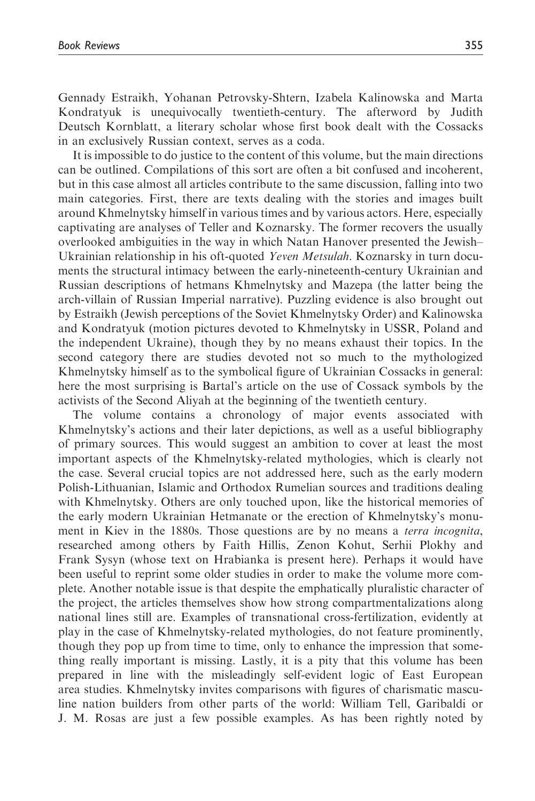Gennady Estraikh, Yohanan Petrovsky-Shtern, Izabela Kalinowska and Marta Kondratyuk is unequivocally twentieth-century. The afterword by Judith Deutsch Kornblatt, a literary scholar whose first book dealt with the Cossacks in an exclusively Russian context, serves as a coda.

It is impossible to do justice to the content of this volume, but the main directions can be outlined. Compilations of this sort are often a bit confused and incoherent, but in this case almost all articles contribute to the same discussion, falling into two main categories. First, there are texts dealing with the stories and images built around Khmelnytsky himself in various times and by various actors. Here, especially captivating are analyses of Teller and Koznarsky. The former recovers the usually overlooked ambiguities in the way in which Natan Hanover presented the Jewish– Ukrainian relationship in his oft-quoted Yeven Metsulah. Koznarsky in turn documents the structural intimacy between the early-nineteenth-century Ukrainian and Russian descriptions of hetmans Khmelnytsky and Mazepa (the latter being the arch-villain of Russian Imperial narrative). Puzzling evidence is also brought out by Estraikh (Jewish perceptions of the Soviet Khmelnytsky Order) and Kalinowska and Kondratyuk (motion pictures devoted to Khmelnytsky in USSR, Poland and the independent Ukraine), though they by no means exhaust their topics. In the second category there are studies devoted not so much to the mythologized Khmelnytsky himself as to the symbolical figure of Ukrainian Cossacks in general: here the most surprising is Bartal's article on the use of Cossack symbols by the activists of the Second Aliyah at the beginning of the twentieth century.

The volume contains a chronology of major events associated with Khmelnytsky's actions and their later depictions, as well as a useful bibliography of primary sources. This would suggest an ambition to cover at least the most important aspects of the Khmelnytsky-related mythologies, which is clearly not the case. Several crucial topics are not addressed here, such as the early modern Polish-Lithuanian, Islamic and Orthodox Rumelian sources and traditions dealing with Khmelnytsky. Others are only touched upon, like the historical memories of the early modern Ukrainian Hetmanate or the erection of Khmelnytsky's monument in Kiev in the 1880s. Those questions are by no means a terra incognita, researched among others by Faith Hillis, Zenon Kohut, Serhii Plokhy and Frank Sysyn (whose text on Hrabianka is present here). Perhaps it would have been useful to reprint some older studies in order to make the volume more complete. Another notable issue is that despite the emphatically pluralistic character of the project, the articles themselves show how strong compartmentalizations along national lines still are. Examples of transnational cross-fertilization, evidently at play in the case of Khmelnytsky-related mythologies, do not feature prominently, though they pop up from time to time, only to enhance the impression that something really important is missing. Lastly, it is a pity that this volume has been prepared in line with the misleadingly self-evident logic of East European area studies. Khmelnytsky invites comparisons with figures of charismatic masculine nation builders from other parts of the world: William Tell, Garibaldi or J. M. Rosas are just a few possible examples. As has been rightly noted by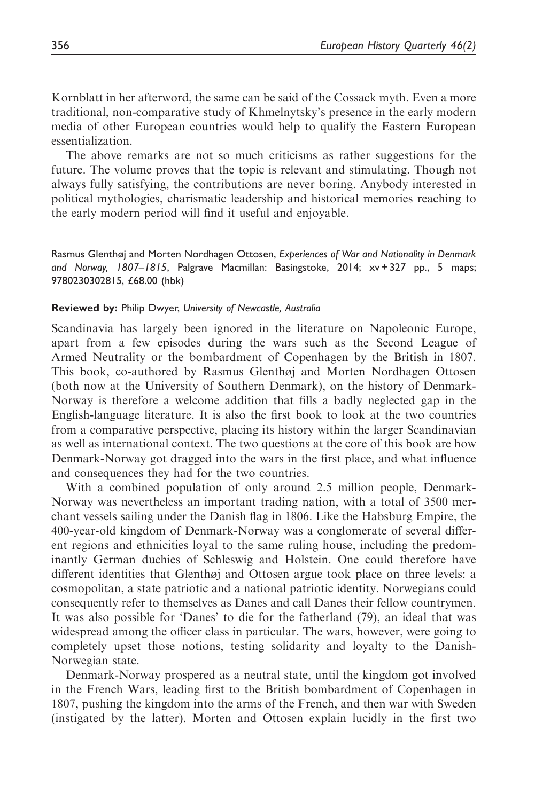Kornblatt in her afterword, the same can be said of the Cossack myth. Even a more traditional, non-comparative study of Khmelnytsky's presence in the early modern media of other European countries would help to qualify the Eastern European essentialization.

The above remarks are not so much criticisms as rather suggestions for the future. The volume proves that the topic is relevant and stimulating. Though not always fully satisfying, the contributions are never boring. Anybody interested in political mythologies, charismatic leadership and historical memories reaching to the early modern period will find it useful and enjoyable.

Rasmus Glenthøj and Morten Nordhagen Ottosen, Experiences of War and Nationality in Denmark and Norway, 1807–1815, Palgrave Macmillan: Basingstoke, 2014; xv + 327 pp., 5 maps; 9780230302815, £68.00 (hbk)

# Reviewed by: Philip Dwyer, University of Newcastle, Australia

Scandinavia has largely been ignored in the literature on Napoleonic Europe, apart from a few episodes during the wars such as the Second League of Armed Neutrality or the bombardment of Copenhagen by the British in 1807. This book, co-authored by Rasmus Glenthøj and Morten Nordhagen Ottosen (both now at the University of Southern Denmark), on the history of Denmark-Norway is therefore a welcome addition that fills a badly neglected gap in the English-language literature. It is also the first book to look at the two countries from a comparative perspective, placing its history within the larger Scandinavian as well as international context. The two questions at the core of this book are how Denmark-Norway got dragged into the wars in the first place, and what influence and consequences they had for the two countries.

With a combined population of only around 2.5 million people, Denmark-Norway was nevertheless an important trading nation, with a total of 3500 merchant vessels sailing under the Danish flag in 1806. Like the Habsburg Empire, the 400-year-old kingdom of Denmark-Norway was a conglomerate of several different regions and ethnicities loyal to the same ruling house, including the predominantly German duchies of Schleswig and Holstein. One could therefore have different identities that Glenthøj and Ottosen argue took place on three levels: a cosmopolitan, a state patriotic and a national patriotic identity. Norwegians could consequently refer to themselves as Danes and call Danes their fellow countrymen. It was also possible for 'Danes' to die for the fatherland (79), an ideal that was widespread among the officer class in particular. The wars, however, were going to completely upset those notions, testing solidarity and loyalty to the Danish-Norwegian state.

Denmark-Norway prospered as a neutral state, until the kingdom got involved in the French Wars, leading first to the British bombardment of Copenhagen in 1807, pushing the kingdom into the arms of the French, and then war with Sweden (instigated by the latter). Morten and Ottosen explain lucidly in the first two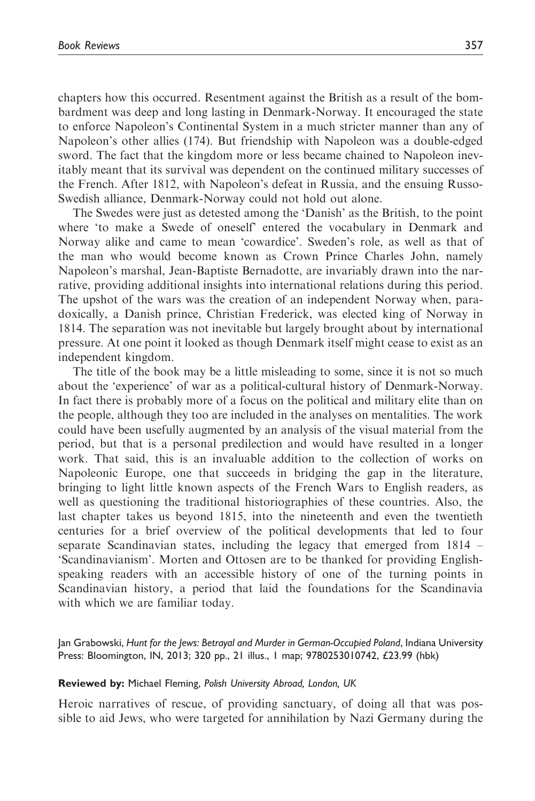chapters how this occurred. Resentment against the British as a result of the bombardment was deep and long lasting in Denmark-Norway. It encouraged the state to enforce Napoleon's Continental System in a much stricter manner than any of Napoleon's other allies (174). But friendship with Napoleon was a double-edged sword. The fact that the kingdom more or less became chained to Napoleon inevitably meant that its survival was dependent on the continued military successes of the French. After 1812, with Napoleon's defeat in Russia, and the ensuing Russo-Swedish alliance, Denmark-Norway could not hold out alone.

The Swedes were just as detested among the 'Danish' as the British, to the point where 'to make a Swede of oneself' entered the vocabulary in Denmark and Norway alike and came to mean 'cowardice'. Sweden's role, as well as that of the man who would become known as Crown Prince Charles John, namely Napoleon's marshal, Jean-Baptiste Bernadotte, are invariably drawn into the narrative, providing additional insights into international relations during this period. The upshot of the wars was the creation of an independent Norway when, paradoxically, a Danish prince, Christian Frederick, was elected king of Norway in 1814. The separation was not inevitable but largely brought about by international pressure. At one point it looked as though Denmark itself might cease to exist as an independent kingdom.

The title of the book may be a little misleading to some, since it is not so much about the 'experience' of war as a political-cultural history of Denmark-Norway. In fact there is probably more of a focus on the political and military elite than on the people, although they too are included in the analyses on mentalities. The work could have been usefully augmented by an analysis of the visual material from the period, but that is a personal predilection and would have resulted in a longer work. That said, this is an invaluable addition to the collection of works on Napoleonic Europe, one that succeeds in bridging the gap in the literature, bringing to light little known aspects of the French Wars to English readers, as well as questioning the traditional historiographies of these countries. Also, the last chapter takes us beyond 1815, into the nineteenth and even the twentieth centuries for a brief overview of the political developments that led to four separate Scandinavian states, including the legacy that emerged from 1814 – 'Scandinavianism'. Morten and Ottosen are to be thanked for providing Englishspeaking readers with an accessible history of one of the turning points in Scandinavian history, a period that laid the foundations for the Scandinavia with which we are familiar today.

Jan Grabowski, Hunt for the Jews: Betrayal and Murder in German-Occupied Poland, Indiana University Press: Bloomington, IN, 2013; 320 pp., 21 illus., 1 map; 9780253010742, £23.99 (hbk)

# Reviewed by: Michael Fleming, Polish University Abroad, London, UK

Heroic narratives of rescue, of providing sanctuary, of doing all that was possible to aid Jews, who were targeted for annihilation by Nazi Germany during the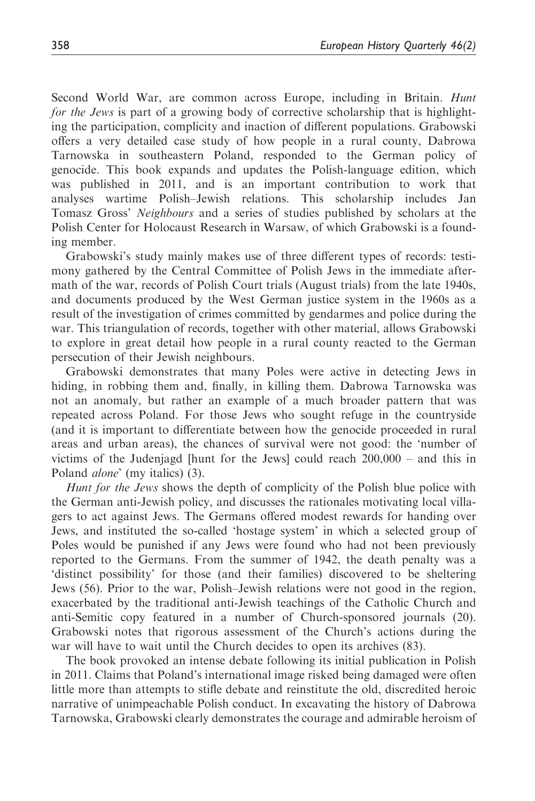Second World War, are common across Europe, including in Britain. Hunt for the Jews is part of a growing body of corrective scholarship that is highlighting the participation, complicity and inaction of different populations. Grabowski offers a very detailed case study of how people in a rural county, Dabrowa Tarnowska in southeastern Poland, responded to the German policy of genocide. This book expands and updates the Polish-language edition, which was published in 2011, and is an important contribution to work that analyses wartime Polish–Jewish relations. This scholarship includes Jan Tomasz Gross' Neighbours and a series of studies published by scholars at the Polish Center for Holocaust Research in Warsaw, of which Grabowski is a founding member.

Grabowski's study mainly makes use of three different types of records: testimony gathered by the Central Committee of Polish Jews in the immediate aftermath of the war, records of Polish Court trials (August trials) from the late 1940s, and documents produced by the West German justice system in the 1960s as a result of the investigation of crimes committed by gendarmes and police during the war. This triangulation of records, together with other material, allows Grabowski to explore in great detail how people in a rural county reacted to the German persecution of their Jewish neighbours.

Grabowski demonstrates that many Poles were active in detecting Jews in hiding, in robbing them and, finally, in killing them. Dabrowa Tarnowska was not an anomaly, but rather an example of a much broader pattern that was repeated across Poland. For those Jews who sought refuge in the countryside (and it is important to differentiate between how the genocide proceeded in rural areas and urban areas), the chances of survival were not good: the 'number of victims of the Judenjagd [hunt for the Jews] could reach 200,000 – and this in Poland *alone*' (my italics) (3).

Hunt for the Jews shows the depth of complicity of the Polish blue police with the German anti-Jewish policy, and discusses the rationales motivating local villagers to act against Jews. The Germans offered modest rewards for handing over Jews, and instituted the so-called 'hostage system' in which a selected group of Poles would be punished if any Jews were found who had not been previously reported to the Germans. From the summer of 1942, the death penalty was a 'distinct possibility' for those (and their families) discovered to be sheltering Jews (56). Prior to the war, Polish–Jewish relations were not good in the region, exacerbated by the traditional anti-Jewish teachings of the Catholic Church and anti-Semitic copy featured in a number of Church-sponsored journals (20). Grabowski notes that rigorous assessment of the Church's actions during the war will have to wait until the Church decides to open its archives (83).

The book provoked an intense debate following its initial publication in Polish in 2011. Claims that Poland's international image risked being damaged were often little more than attempts to stifle debate and reinstitute the old, discredited heroic narrative of unimpeachable Polish conduct. In excavating the history of Dabrowa Tarnowska, Grabowski clearly demonstrates the courage and admirable heroism of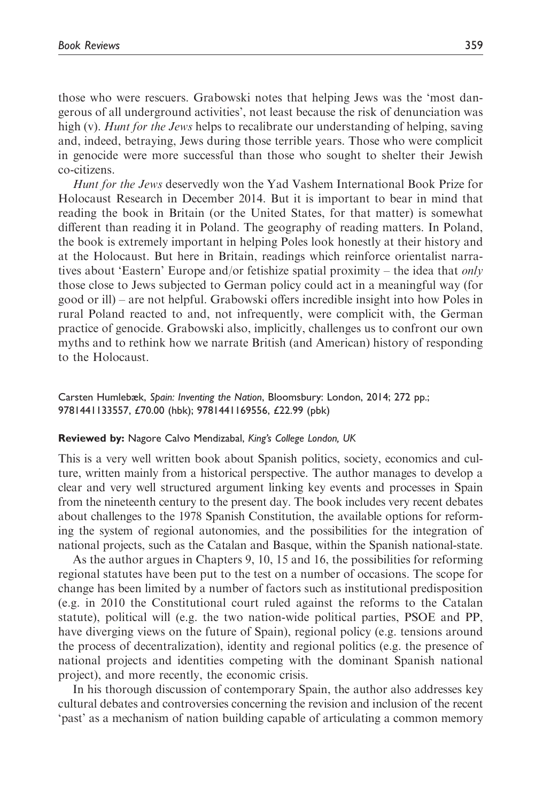those who were rescuers. Grabowski notes that helping Jews was the 'most dangerous of all underground activities', not least because the risk of denunciation was high (v). *Hunt for the Jews* helps to recalibrate our understanding of helping, saving and, indeed, betraying, Jews during those terrible years. Those who were complicit in genocide were more successful than those who sought to shelter their Jewish co-citizens.

Hunt for the Jews deservedly won the Yad Vashem International Book Prize for Holocaust Research in December 2014. But it is important to bear in mind that reading the book in Britain (or the United States, for that matter) is somewhat different than reading it in Poland. The geography of reading matters. In Poland, the book is extremely important in helping Poles look honestly at their history and at the Holocaust. But here in Britain, readings which reinforce orientalist narratives about 'Eastern' Europe and/or fetishize spatial proximity – the idea that only those close to Jews subjected to German policy could act in a meaningful way (for good or ill) – are not helpful. Grabowski offers incredible insight into how Poles in rural Poland reacted to and, not infrequently, were complicit with, the German practice of genocide. Grabowski also, implicitly, challenges us to confront our own myths and to rethink how we narrate British (and American) history of responding to the Holocaust.

Carsten Humlebæk, Spain: Inventing the Nation, Bloomsbury: London, 2014; 272 pp.; 9781441133557, £70.00 (hbk); 9781441169556, £22.99 (pbk)

#### Reviewed by: Nagore Calvo Mendizabal, King's College London, UK

This is a very well written book about Spanish politics, society, economics and culture, written mainly from a historical perspective. The author manages to develop a clear and very well structured argument linking key events and processes in Spain from the nineteenth century to the present day. The book includes very recent debates about challenges to the 1978 Spanish Constitution, the available options for reforming the system of regional autonomies, and the possibilities for the integration of national projects, such as the Catalan and Basque, within the Spanish national-state.

As the author argues in Chapters 9, 10, 15 and 16, the possibilities for reforming regional statutes have been put to the test on a number of occasions. The scope for change has been limited by a number of factors such as institutional predisposition (e.g. in 2010 the Constitutional court ruled against the reforms to the Catalan statute), political will (e.g. the two nation-wide political parties, PSOE and PP, have diverging views on the future of Spain), regional policy (e.g. tensions around the process of decentralization), identity and regional politics (e.g. the presence of national projects and identities competing with the dominant Spanish national project), and more recently, the economic crisis.

In his thorough discussion of contemporary Spain, the author also addresses key cultural debates and controversies concerning the revision and inclusion of the recent 'past' as a mechanism of nation building capable of articulating a common memory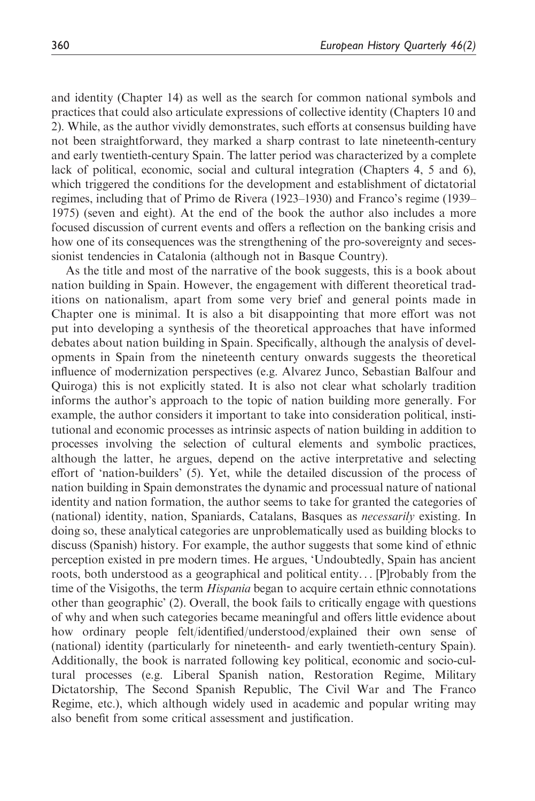and identity (Chapter 14) as well as the search for common national symbols and practices that could also articulate expressions of collective identity (Chapters 10 and 2). While, as the author vividly demonstrates, such efforts at consensus building have not been straightforward, they marked a sharp contrast to late nineteenth-century and early twentieth-century Spain. The latter period was characterized by a complete lack of political, economic, social and cultural integration (Chapters 4, 5 and 6), which triggered the conditions for the development and establishment of dictatorial regimes, including that of Primo de Rivera (1923–1930) and Franco's regime (1939– 1975) (seven and eight). At the end of the book the author also includes a more focused discussion of current events and offers a reflection on the banking crisis and how one of its consequences was the strengthening of the pro-sovereignty and secessionist tendencies in Catalonia (although not in Basque Country).

As the title and most of the narrative of the book suggests, this is a book about nation building in Spain. However, the engagement with different theoretical traditions on nationalism, apart from some very brief and general points made in Chapter one is minimal. It is also a bit disappointing that more effort was not put into developing a synthesis of the theoretical approaches that have informed debates about nation building in Spain. Specifically, although the analysis of developments in Spain from the nineteenth century onwards suggests the theoretical influence of modernization perspectives (e.g. Alvarez Junco, Sebastian Balfour and Quiroga) this is not explicitly stated. It is also not clear what scholarly tradition informs the author's approach to the topic of nation building more generally. For example, the author considers it important to take into consideration political, institutional and economic processes as intrinsic aspects of nation building in addition to processes involving the selection of cultural elements and symbolic practices, although the latter, he argues, depend on the active interpretative and selecting effort of 'nation-builders' (5). Yet, while the detailed discussion of the process of nation building in Spain demonstrates the dynamic and processual nature of national identity and nation formation, the author seems to take for granted the categories of (national) identity, nation, Spaniards, Catalans, Basques as necessarily existing. In doing so, these analytical categories are unproblematically used as building blocks to discuss (Spanish) history. For example, the author suggests that some kind of ethnic perception existed in pre modern times. He argues, 'Undoubtedly, Spain has ancient roots, both understood as a geographical and political entity... [P]robably from the time of the Visigoths, the term *Hispania* began to acquire certain ethnic connotations other than geographic' (2). Overall, the book fails to critically engage with questions of why and when such categories became meaningful and offers little evidence about how ordinary people felt/identified/understood/explained their own sense of (national) identity (particularly for nineteenth- and early twentieth-century Spain). Additionally, the book is narrated following key political, economic and socio-cultural processes (e.g. Liberal Spanish nation, Restoration Regime, Military Dictatorship, The Second Spanish Republic, The Civil War and The Franco Regime, etc.), which although widely used in academic and popular writing may also benefit from some critical assessment and justification.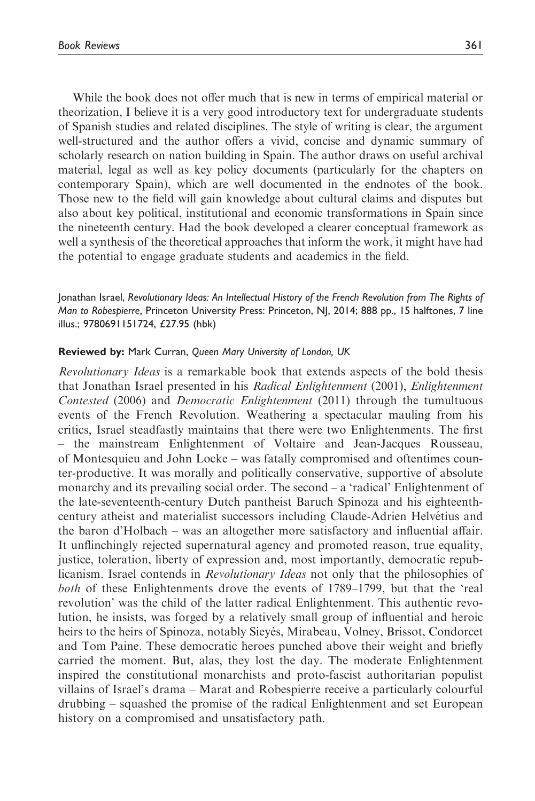While the book does not offer much that is new in terms of empirical material or theorization, I believe it is a very good introductory text for undergraduate students of Spanish studies and related disciplines. The style of writing is clear, the argument well-structured and the author offers a vivid, concise and dynamic summary of scholarly research on nation building in Spain. The author draws on useful archival material, legal as well as key policy documents (particularly for the chapters on contemporary Spain), which are well documented in the endnotes of the book. Those new to the field will gain knowledge about cultural claims and disputes but also about key political, institutional and economic transformations in Spain since the nineteenth century. Had the book developed a clearer conceptual framework as well a synthesis of the theoretical approaches that inform the work, it might have had the potential to engage graduate students and academics in the field.

Jonathan Israel, Revolutionary Ideas: An Intellectual History of the French Revolution from The Rights of Man to Robespierre, Princeton University Press: Princeton, NJ, 2014; 888 pp., 15 halftones, 7 line illus.; 9780691151724, £27.95 (hbk)

### Reviewed by: Mark Curran, Queen Mary University of London, UK

Revolutionary Ideas is a remarkable book that extends aspects of the bold thesis that Jonathan Israel presented in his Radical Enlightenment (2001), Enlightenment Contested (2006) and Democratic Enlightenment (2011) through the tumultuous events of the French Revolution. Weathering a spectacular mauling from his critics, Israel steadfastly maintains that there were two Enlightenments. The first – the mainstream Enlightenment of Voltaire and Jean-Jacques Rousseau, of Montesquieu and John Locke – was fatally compromised and oftentimes counter-productive. It was morally and politically conservative, supportive of absolute monarchy and its prevailing social order. The second – a 'radical' Enlightenment of the late-seventeenth-century Dutch pantheist Baruch Spinoza and his eighteenthcentury atheist and materialist successors including Claude-Adrien Helvétius and the baron d'Holbach – was an altogether more satisfactory and influential affair. It unflinchingly rejected supernatural agency and promoted reason, true equality, justice, toleration, liberty of expression and, most importantly, democratic republicanism. Israel contends in Revolutionary Ideas not only that the philosophies of both of these Enlightenments drove the events of 1789–1799, but that the 'real revolution' was the child of the latter radical Enlightenment. This authentic revolution, he insists, was forged by a relatively small group of influential and heroic heirs to the heirs of Spinoza, notably Sieyès, Mirabeau, Volney, Brissot, Condorcet and Tom Paine. These democratic heroes punched above their weight and briefly carried the moment. But, alas, they lost the day. The moderate Enlightenment inspired the constitutional monarchists and proto-fascist authoritarian populist villains of Israel's drama – Marat and Robespierre receive a particularly colourful drubbing – squashed the promise of the radical Enlightenment and set European history on a compromised and unsatisfactory path.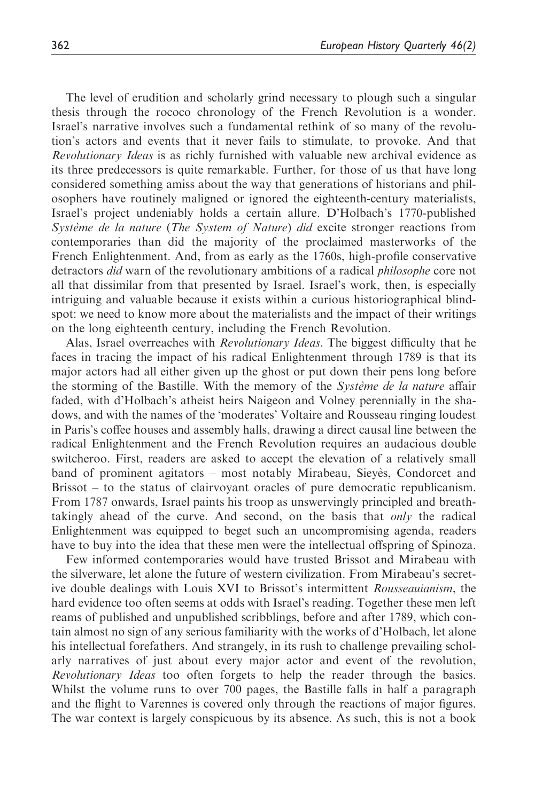The level of erudition and scholarly grind necessary to plough such a singular thesis through the rococo chronology of the French Revolution is a wonder. Israel's narrative involves such a fundamental rethink of so many of the revolution's actors and events that it never fails to stimulate, to provoke. And that Revolutionary Ideas is as richly furnished with valuable new archival evidence as its three predecessors is quite remarkable. Further, for those of us that have long considered something amiss about the way that generations of historians and philosophers have routinely maligned or ignored the eighteenth-century materialists, Israel's project undeniably holds a certain allure. D'Holbach's 1770-published Système de la nature (The System of Nature) did excite stronger reactions from contemporaries than did the majority of the proclaimed masterworks of the French Enlightenment. And, from as early as the 1760s, high-profile conservative detractors did warn of the revolutionary ambitions of a radical philosophe core not all that dissimilar from that presented by Israel. Israel's work, then, is especially intriguing and valuable because it exists within a curious historiographical blindspot: we need to know more about the materialists and the impact of their writings on the long eighteenth century, including the French Revolution.

Alas, Israel overreaches with *Revolutionary Ideas*. The biggest difficulty that he faces in tracing the impact of his radical Enlightenment through 1789 is that its major actors had all either given up the ghost or put down their pens long before the storming of the Bastille. With the memory of the *Système de la nature* affair faded, with d'Holbach's atheist heirs Naigeon and Volney perennially in the shadows, and with the names of the 'moderates' Voltaire and Rousseau ringing loudest in Paris's coffee houses and assembly halls, drawing a direct causal line between the radical Enlightenment and the French Revolution requires an audacious double switcheroo. First, readers are asked to accept the elevation of a relatively small band of prominent agitators – most notably Mirabeau, Sieyès, Condorcet and Brissot – to the status of clairvoyant oracles of pure democratic republicanism. From 1787 onwards, Israel paints his troop as unswervingly principled and breathtakingly ahead of the curve. And second, on the basis that  $\omega n/v$  the radical Enlightenment was equipped to beget such an uncompromising agenda, readers have to buy into the idea that these men were the intellectual offspring of Spinoza.

Few informed contemporaries would have trusted Brissot and Mirabeau with the silverware, let alone the future of western civilization. From Mirabeau's secretive double dealings with Louis XVI to Brissot's intermittent Rousseauianism, the hard evidence too often seems at odds with Israel's reading. Together these men left reams of published and unpublished scribblings, before and after 1789, which contain almost no sign of any serious familiarity with the works of d'Holbach, let alone his intellectual forefathers. And strangely, in its rush to challenge prevailing scholarly narratives of just about every major actor and event of the revolution, Revolutionary Ideas too often forgets to help the reader through the basics. Whilst the volume runs to over 700 pages, the Bastille falls in half a paragraph and the flight to Varennes is covered only through the reactions of major figures. The war context is largely conspicuous by its absence. As such, this is not a book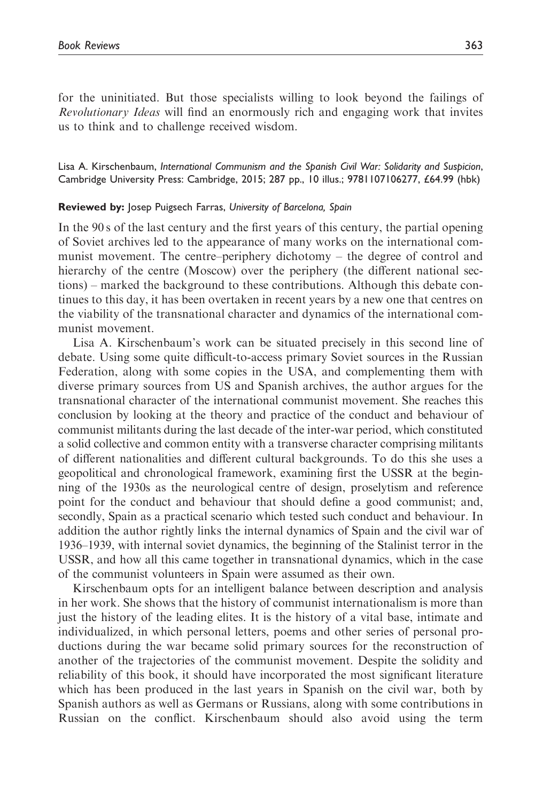for the uninitiated. But those specialists willing to look beyond the failings of Revolutionary Ideas will find an enormously rich and engaging work that invites us to think and to challenge received wisdom.

Lisa A. Kirschenbaum, International Communism and the Spanish Civil War: Solidarity and Suspicion, Cambridge University Press: Cambridge, 2015; 287 pp., 10 illus.; 9781107106277, £64.99 (hbk)

## Reviewed by: Josep Puigsech Farras, University of Barcelona, Spain

In the 90 s of the last century and the first years of this century, the partial opening of Soviet archives led to the appearance of many works on the international communist movement. The centre–periphery dichotomy – the degree of control and hierarchy of the centre (Moscow) over the periphery (the different national sections) – marked the background to these contributions. Although this debate continues to this day, it has been overtaken in recent years by a new one that centres on the viability of the transnational character and dynamics of the international communist movement.

Lisa A. Kirschenbaum's work can be situated precisely in this second line of debate. Using some quite difficult-to-access primary Soviet sources in the Russian Federation, along with some copies in the USA, and complementing them with diverse primary sources from US and Spanish archives, the author argues for the transnational character of the international communist movement. She reaches this conclusion by looking at the theory and practice of the conduct and behaviour of communist militants during the last decade of the inter-war period, which constituted a solid collective and common entity with a transverse character comprising militants of different nationalities and different cultural backgrounds. To do this she uses a geopolitical and chronological framework, examining first the USSR at the beginning of the 1930s as the neurological centre of design, proselytism and reference point for the conduct and behaviour that should define a good communist; and, secondly, Spain as a practical scenario which tested such conduct and behaviour. In addition the author rightly links the internal dynamics of Spain and the civil war of 1936–1939, with internal soviet dynamics, the beginning of the Stalinist terror in the USSR, and how all this came together in transnational dynamics, which in the case of the communist volunteers in Spain were assumed as their own.

Kirschenbaum opts for an intelligent balance between description and analysis in her work. She shows that the history of communist internationalism is more than just the history of the leading elites. It is the history of a vital base, intimate and individualized, in which personal letters, poems and other series of personal productions during the war became solid primary sources for the reconstruction of another of the trajectories of the communist movement. Despite the solidity and reliability of this book, it should have incorporated the most significant literature which has been produced in the last years in Spanish on the civil war, both by Spanish authors as well as Germans or Russians, along with some contributions in Russian on the conflict. Kirschenbaum should also avoid using the term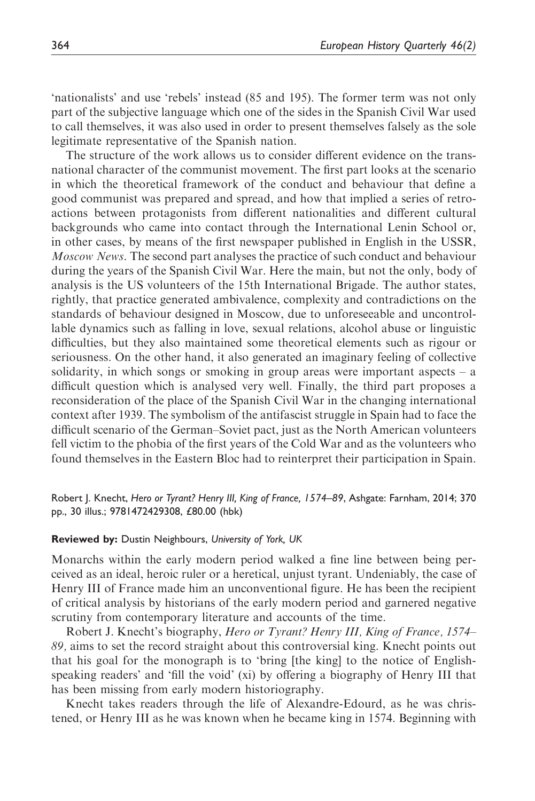'nationalists' and use 'rebels' instead (85 and 195). The former term was not only part of the subjective language which one of the sides in the Spanish Civil War used to call themselves, it was also used in order to present themselves falsely as the sole legitimate representative of the Spanish nation.

The structure of the work allows us to consider different evidence on the transnational character of the communist movement. The first part looks at the scenario in which the theoretical framework of the conduct and behaviour that define a good communist was prepared and spread, and how that implied a series of retroactions between protagonists from different nationalities and different cultural backgrounds who came into contact through the International Lenin School or, in other cases, by means of the first newspaper published in English in the USSR, Moscow News. The second part analyses the practice of such conduct and behaviour during the years of the Spanish Civil War. Here the main, but not the only, body of analysis is the US volunteers of the 15th International Brigade. The author states, rightly, that practice generated ambivalence, complexity and contradictions on the standards of behaviour designed in Moscow, due to unforeseeable and uncontrollable dynamics such as falling in love, sexual relations, alcohol abuse or linguistic difficulties, but they also maintained some theoretical elements such as rigour or seriousness. On the other hand, it also generated an imaginary feeling of collective solidarity, in which songs or smoking in group areas were important aspects – a difficult question which is analysed very well. Finally, the third part proposes a reconsideration of the place of the Spanish Civil War in the changing international context after 1939. The symbolism of the antifascist struggle in Spain had to face the difficult scenario of the German–Soviet pact, just as the North American volunteers fell victim to the phobia of the first years of the Cold War and as the volunteers who found themselves in the Eastern Bloc had to reinterpret their participation in Spain.

# Robert J. Knecht, Hero or Tyrant? Henry III, King of France, 1574–89, Ashgate: Farnham, 2014; 370 pp., 30 illus.; 9781472429308, £80.00 (hbk)

## Reviewed by: Dustin Neighbours, University of York, UK

Monarchs within the early modern period walked a fine line between being perceived as an ideal, heroic ruler or a heretical, unjust tyrant. Undeniably, the case of Henry III of France made him an unconventional figure. He has been the recipient of critical analysis by historians of the early modern period and garnered negative scrutiny from contemporary literature and accounts of the time.

Robert J. Knecht's biography, Hero or Tyrant? Henry III, King of France, 1574– 89, aims to set the record straight about this controversial king. Knecht points out that his goal for the monograph is to 'bring [the king] to the notice of Englishspeaking readers' and 'fill the void' (xi) by offering a biography of Henry III that has been missing from early modern historiography.

Knecht takes readers through the life of Alexandre-Edourd, as he was christened, or Henry III as he was known when he became king in 1574. Beginning with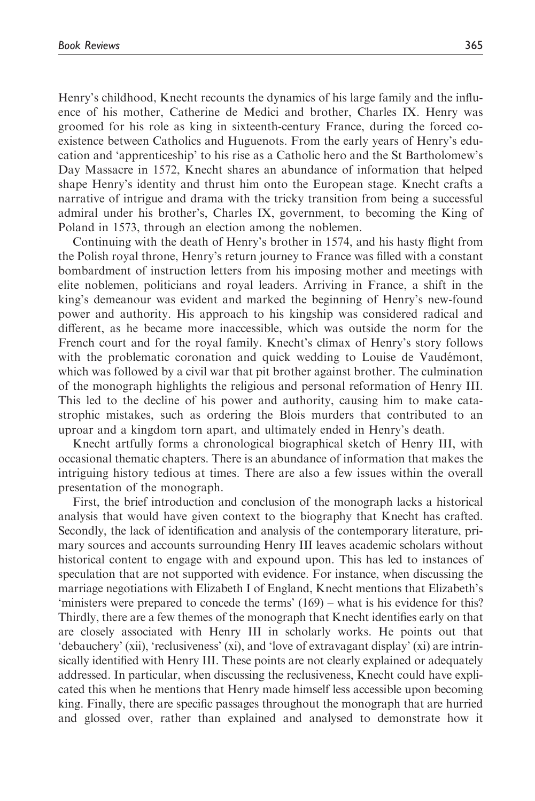Henry's childhood, Knecht recounts the dynamics of his large family and the influence of his mother, Catherine de Medici and brother, Charles IX. Henry was groomed for his role as king in sixteenth-century France, during the forced coexistence between Catholics and Huguenots. From the early years of Henry's education and 'apprenticeship' to his rise as a Catholic hero and the St Bartholomew's Day Massacre in 1572, Knecht shares an abundance of information that helped shape Henry's identity and thrust him onto the European stage. Knecht crafts a narrative of intrigue and drama with the tricky transition from being a successful admiral under his brother's, Charles IX, government, to becoming the King of Poland in 1573, through an election among the noblemen.

Continuing with the death of Henry's brother in 1574, and his hasty flight from the Polish royal throne, Henry's return journey to France was filled with a constant bombardment of instruction letters from his imposing mother and meetings with elite noblemen, politicians and royal leaders. Arriving in France, a shift in the king's demeanour was evident and marked the beginning of Henry's new-found power and authority. His approach to his kingship was considered radical and different, as he became more inaccessible, which was outside the norm for the French court and for the royal family. Knecht's climax of Henry's story follows with the problematic coronation and quick wedding to Louise de Vaudémont, which was followed by a civil war that pit brother against brother. The culmination of the monograph highlights the religious and personal reformation of Henry III. This led to the decline of his power and authority, causing him to make catastrophic mistakes, such as ordering the Blois murders that contributed to an uproar and a kingdom torn apart, and ultimately ended in Henry's death.

Knecht artfully forms a chronological biographical sketch of Henry III, with occasional thematic chapters. There is an abundance of information that makes the intriguing history tedious at times. There are also a few issues within the overall presentation of the monograph.

First, the brief introduction and conclusion of the monograph lacks a historical analysis that would have given context to the biography that Knecht has crafted. Secondly, the lack of identification and analysis of the contemporary literature, primary sources and accounts surrounding Henry III leaves academic scholars without historical content to engage with and expound upon. This has led to instances of speculation that are not supported with evidence. For instance, when discussing the marriage negotiations with Elizabeth I of England, Knecht mentions that Elizabeth's 'ministers were prepared to concede the terms' (169) – what is his evidence for this? Thirdly, there are a few themes of the monograph that Knecht identifies early on that are closely associated with Henry III in scholarly works. He points out that 'debauchery' (xii), 'reclusiveness' (xi), and 'love of extravagant display' (xi) are intrinsically identified with Henry III. These points are not clearly explained or adequately addressed. In particular, when discussing the reclusiveness, Knecht could have explicated this when he mentions that Henry made himself less accessible upon becoming king. Finally, there are specific passages throughout the monograph that are hurried and glossed over, rather than explained and analysed to demonstrate how it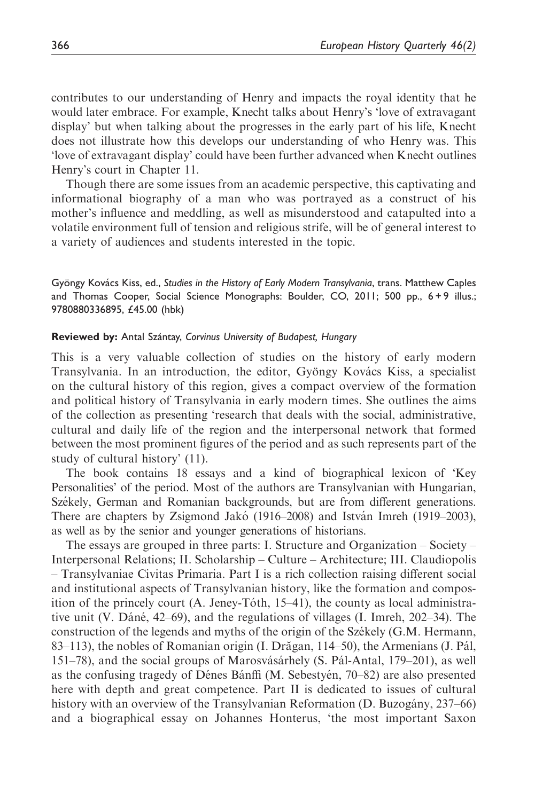contributes to our understanding of Henry and impacts the royal identity that he would later embrace. For example, Knecht talks about Henry's 'love of extravagant display' but when talking about the progresses in the early part of his life, Knecht does not illustrate how this develops our understanding of who Henry was. This 'love of extravagant display' could have been further advanced when Knecht outlines Henry's court in Chapter 11.

Though there are some issues from an academic perspective, this captivating and informational biography of a man who was portrayed as a construct of his mother's influence and meddling, as well as misunderstood and catapulted into a volatile environment full of tension and religious strife, will be of general interest to a variety of audiences and students interested in the topic.

Gyöngy Kovács Kiss, ed., Studies in the History of Early Modern Transylvania, trans. Matthew Caples and Thomas Cooper, Social Science Monographs: Boulder, CO, 2011; 500 pp., 6+9 illus.; 9780880336895, £45.00 (hbk)

### Reviewed by: Antal Szántay, Corvinus University of Budapest, Hungary

This is a very valuable collection of studies on the history of early modern Transylvania. In an introduction, the editor, Gyöngy Kovács Kiss, a specialist on the cultural history of this region, gives a compact overview of the formation and political history of Transylvania in early modern times. She outlines the aims of the collection as presenting 'research that deals with the social, administrative, cultural and daily life of the region and the interpersonal network that formed between the most prominent figures of the period and as such represents part of the study of cultural history' (11).

The book contains 18 essays and a kind of biographical lexicon of 'Key Personalities' of the period. Most of the authors are Transylvanian with Hungarian, Székely, German and Romanian backgrounds, but are from different generations. There are chapters by Zsigmond Jakó (1916–2008) and István Imreh (1919–2003), as well as by the senior and younger generations of historians.

The essays are grouped in three parts: I. Structure and Organization – Society – Interpersonal Relations; II. Scholarship – Culture – Architecture; III. Claudiopolis – Transylvaniae Civitas Primaria. Part I is a rich collection raising different social and institutional aspects of Transylvanian history, like the formation and composition of the princely court  $(A,$  Jeney-Toth, 15–41), the county as local administrative unit (V. Dáné,  $42-69$ ), and the regulations of villages (I. Imreh,  $202-34$ ). The construction of the legends and myths of the origin of the Székely (G.M. Hermann,  $83-113$ ), the nobles of Romanian origin (I. Drăgan, 114–50), the Armenians (J. Pál, 151–78), and the social groups of Marosvásárhely (S. Pál-Antal, 179–201), as well as the confusing tragedy of Dénes Bánffi (M. Sebestyén, 70–82) are also presented here with depth and great competence. Part II is dedicated to issues of cultural history with an overview of the Transylvanian Reformation (D. Buzogány, 237–66) and a biographical essay on Johannes Honterus, 'the most important Saxon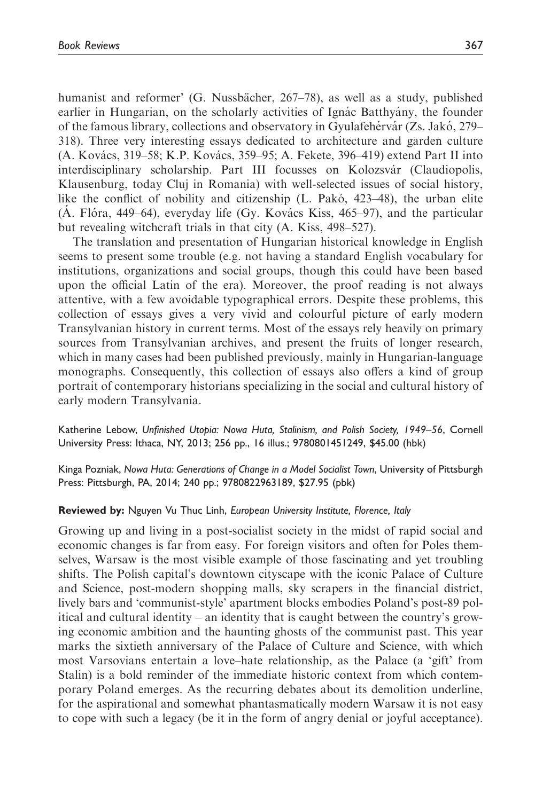humanist and reformer' (G. Nussbächer, 267–78), as well as a study, published earlier in Hungarian, on the scholarly activities of Ignac Batthyany, the founder of the famous library, collections and observatory in Gyulafehérvár ( $\mathbb{Z}$ s. Jako $\acute{o}$ , 279– 318). Three very interesting essays dedicated to architecture and garden culture (A. Kova´cs, 319–58; K.P. Kova´cs, 359–95; A. Fekete, 396–419) extend Part II into interdisciplinary scholarship. Part III focusses on Kolozsvár (Claudiopolis, Klausenburg, today Cluj in Romania) with well-selected issues of social history, like the conflict of nobility and citizenship  $(L. \text{ Pakó}, 423-48)$ , the urban elite  $(A.$  Flóra, 449–64), everyday life  $(Gy.$  Kovács Kiss, 465–97), and the particular but revealing witchcraft trials in that city (A. Kiss, 498–527).

The translation and presentation of Hungarian historical knowledge in English seems to present some trouble (e.g. not having a standard English vocabulary for institutions, organizations and social groups, though this could have been based upon the official Latin of the era). Moreover, the proof reading is not always attentive, with a few avoidable typographical errors. Despite these problems, this collection of essays gives a very vivid and colourful picture of early modern Transylvanian history in current terms. Most of the essays rely heavily on primary sources from Transylvanian archives, and present the fruits of longer research, which in many cases had been published previously, mainly in Hungarian-language monographs. Consequently, this collection of essays also offers a kind of group portrait of contemporary historians specializing in the social and cultural history of early modern Transylvania.

Katherine Lebow, Unfinished Utopia: Nowa Huta, Stalinism, and Polish Society, 1949–56, Cornell University Press: Ithaca, NY, 2013; 256 pp., 16 illus.; 9780801451249, \$45.00 (hbk)

Kinga Pozniak, Nowa Huta: Generations of Change in a Model Socialist Town, University of Pittsburgh Press: Pittsburgh, PA, 2014; 240 pp.; 9780822963189, \$27.95 (pbk)

## Reviewed by: Nguyen Vu Thuc Linh, European University Institute, Florence, Italy

Growing up and living in a post-socialist society in the midst of rapid social and economic changes is far from easy. For foreign visitors and often for Poles themselves, Warsaw is the most visible example of those fascinating and yet troubling shifts. The Polish capital's downtown cityscape with the iconic Palace of Culture and Science, post-modern shopping malls, sky scrapers in the financial district, lively bars and 'communist-style' apartment blocks embodies Poland's post-89 political and cultural identity – an identity that is caught between the country's growing economic ambition and the haunting ghosts of the communist past. This year marks the sixtieth anniversary of the Palace of Culture and Science, with which most Varsovians entertain a love–hate relationship, as the Palace (a 'gift' from Stalin) is a bold reminder of the immediate historic context from which contemporary Poland emerges. As the recurring debates about its demolition underline, for the aspirational and somewhat phantasmatically modern Warsaw it is not easy to cope with such a legacy (be it in the form of angry denial or joyful acceptance).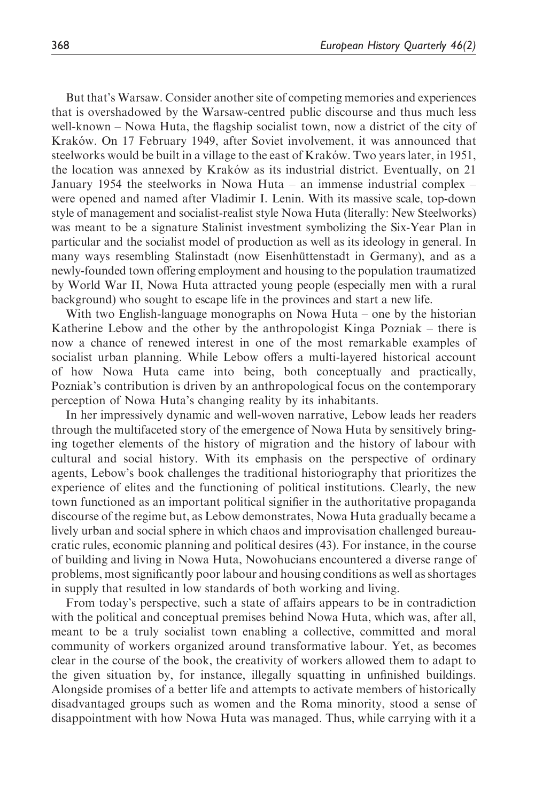But that's Warsaw. Consider another site of competing memories and experiences that is overshadowed by the Warsaw-centred public discourse and thus much less well-known – Nowa Huta, the flagship socialist town, now a district of the city of Kraków. On 17 February 1949, after Soviet involvement, it was announced that steelworks would be built in a village to the east of Kraków. Two years later, in 1951, the location was annexed by Kraków as its industrial district. Eventually, on 21 January 1954 the steelworks in Nowa Huta – an immense industrial complex – were opened and named after Vladimir I. Lenin. With its massive scale, top-down style of management and socialist-realist style Nowa Huta (literally: New Steelworks) was meant to be a signature Stalinist investment symbolizing the Six-Year Plan in particular and the socialist model of production as well as its ideology in general. In many ways resembling Stalinstadt (now Eisenhüttenstadt in Germany), and as a newly-founded town offering employment and housing to the population traumatized by World War II, Nowa Huta attracted young people (especially men with a rural background) who sought to escape life in the provinces and start a new life.

With two English-language monographs on Nowa Huta – one by the historian Katherine Lebow and the other by the anthropologist Kinga Pozniak – there is now a chance of renewed interest in one of the most remarkable examples of socialist urban planning. While Lebow offers a multi-layered historical account of how Nowa Huta came into being, both conceptually and practically, Pozniak's contribution is driven by an anthropological focus on the contemporary perception of Nowa Huta's changing reality by its inhabitants.

In her impressively dynamic and well-woven narrative, Lebow leads her readers through the multifaceted story of the emergence of Nowa Huta by sensitively bringing together elements of the history of migration and the history of labour with cultural and social history. With its emphasis on the perspective of ordinary agents, Lebow's book challenges the traditional historiography that prioritizes the experience of elites and the functioning of political institutions. Clearly, the new town functioned as an important political signifier in the authoritative propaganda discourse of the regime but, as Lebow demonstrates, Nowa Huta gradually became a lively urban and social sphere in which chaos and improvisation challenged bureaucratic rules, economic planning and political desires (43). For instance, in the course of building and living in Nowa Huta, Nowohucians encountered a diverse range of problems, most significantly poor labour and housing conditions as well as shortages in supply that resulted in low standards of both working and living.

From today's perspective, such a state of affairs appears to be in contradiction with the political and conceptual premises behind Nowa Huta, which was, after all, meant to be a truly socialist town enabling a collective, committed and moral community of workers organized around transformative labour. Yet, as becomes clear in the course of the book, the creativity of workers allowed them to adapt to the given situation by, for instance, illegally squatting in unfinished buildings. Alongside promises of a better life and attempts to activate members of historically disadvantaged groups such as women and the Roma minority, stood a sense of disappointment with how Nowa Huta was managed. Thus, while carrying with it a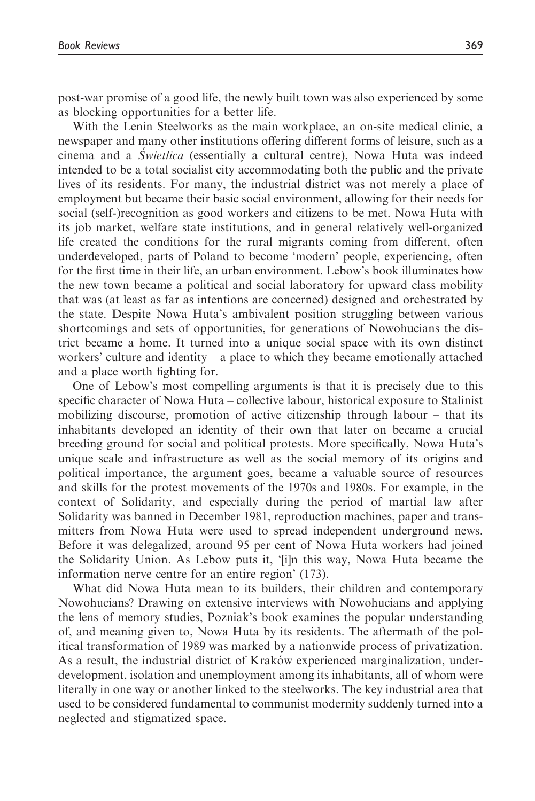post-war promise of a good life, the newly built town was also experienced by some as blocking opportunities for a better life.

With the Lenin Steelworks as the main workplace, an on-site medical clinic, a newspaper and many other institutions offering different forms of leisure, such as a cinema and a *Świetlica* (essentially a cultural centre), Nowa Huta was indeed intended to be a total socialist city accommodating both the public and the private lives of its residents. For many, the industrial district was not merely a place of employment but became their basic social environment, allowing for their needs for social (self-)recognition as good workers and citizens to be met. Nowa Huta with its job market, welfare state institutions, and in general relatively well-organized life created the conditions for the rural migrants coming from different, often underdeveloped, parts of Poland to become 'modern' people, experiencing, often for the first time in their life, an urban environment. Lebow's book illuminates how the new town became a political and social laboratory for upward class mobility that was (at least as far as intentions are concerned) designed and orchestrated by the state. Despite Nowa Huta's ambivalent position struggling between various shortcomings and sets of opportunities, for generations of Nowohucians the district became a home. It turned into a unique social space with its own distinct workers' culture and identity – a place to which they became emotionally attached and a place worth fighting for.

One of Lebow's most compelling arguments is that it is precisely due to this specific character of Nowa Huta – collective labour, historical exposure to Stalinist mobilizing discourse, promotion of active citizenship through labour – that its inhabitants developed an identity of their own that later on became a crucial breeding ground for social and political protests. More specifically, Nowa Huta's unique scale and infrastructure as well as the social memory of its origins and political importance, the argument goes, became a valuable source of resources and skills for the protest movements of the 1970s and 1980s. For example, in the context of Solidarity, and especially during the period of martial law after Solidarity was banned in December 1981, reproduction machines, paper and transmitters from Nowa Huta were used to spread independent underground news. Before it was delegalized, around 95 per cent of Nowa Huta workers had joined the Solidarity Union. As Lebow puts it, '[i]n this way, Nowa Huta became the information nerve centre for an entire region' (173).

What did Nowa Huta mean to its builders, their children and contemporary Nowohucians? Drawing on extensive interviews with Nowohucians and applying the lens of memory studies, Pozniak's book examines the popular understanding of, and meaning given to, Nowa Huta by its residents. The aftermath of the political transformation of 1989 was marked by a nationwide process of privatization. As a result, the industrial district of Kraków experienced marginalization, underdevelopment, isolation and unemployment among its inhabitants, all of whom were literally in one way or another linked to the steelworks. The key industrial area that used to be considered fundamental to communist modernity suddenly turned into a neglected and stigmatized space.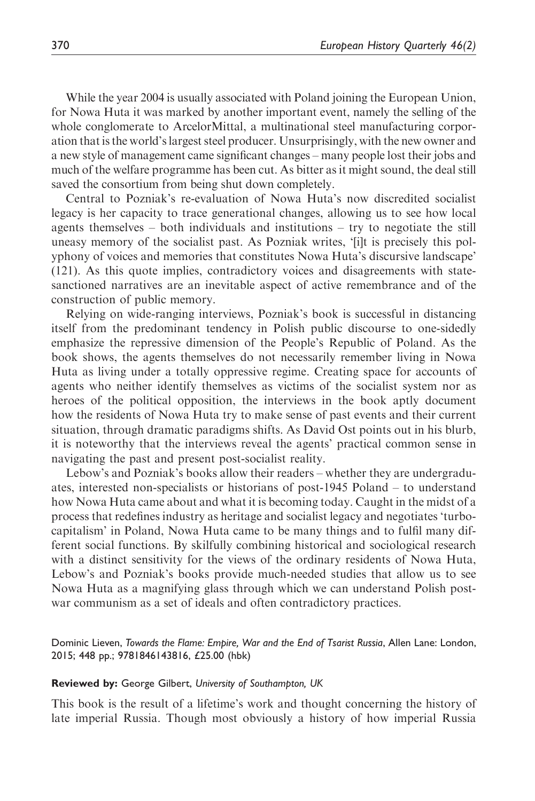While the year 2004 is usually associated with Poland joining the European Union, for Nowa Huta it was marked by another important event, namely the selling of the whole conglomerate to ArcelorMittal, a multinational steel manufacturing corporation that is the world's largest steel producer. Unsurprisingly, with the new owner and a new style of management came significant changes – many people lost their jobs and much of the welfare programme has been cut. As bitter as it might sound, the deal still saved the consortium from being shut down completely.

Central to Pozniak's re-evaluation of Nowa Huta's now discredited socialist legacy is her capacity to trace generational changes, allowing us to see how local agents themselves – both individuals and institutions – try to negotiate the still uneasy memory of the socialist past. As Pozniak writes, '[i]t is precisely this polyphony of voices and memories that constitutes Nowa Huta's discursive landscape' (121). As this quote implies, contradictory voices and disagreements with statesanctioned narratives are an inevitable aspect of active remembrance and of the construction of public memory.

Relying on wide-ranging interviews, Pozniak's book is successful in distancing itself from the predominant tendency in Polish public discourse to one-sidedly emphasize the repressive dimension of the People's Republic of Poland. As the book shows, the agents themselves do not necessarily remember living in Nowa Huta as living under a totally oppressive regime. Creating space for accounts of agents who neither identify themselves as victims of the socialist system nor as heroes of the political opposition, the interviews in the book aptly document how the residents of Nowa Huta try to make sense of past events and their current situation, through dramatic paradigms shifts. As David Ost points out in his blurb, it is noteworthy that the interviews reveal the agents' practical common sense in navigating the past and present post-socialist reality.

Lebow's and Pozniak's books allow their readers – whether they are undergraduates, interested non-specialists or historians of post-1945 Poland – to understand how Nowa Huta came about and what it is becoming today. Caught in the midst of a process that redefines industry as heritage and socialist legacy and negotiates 'turbocapitalism' in Poland, Nowa Huta came to be many things and to fulfil many different social functions. By skilfully combining historical and sociological research with a distinct sensitivity for the views of the ordinary residents of Nowa Huta, Lebow's and Pozniak's books provide much-needed studies that allow us to see Nowa Huta as a magnifying glass through which we can understand Polish postwar communism as a set of ideals and often contradictory practices.

Dominic Lieven, Towards the Flame: Empire, War and the End of Tsarist Russia, Allen Lane: London, 2015; 448 pp.; 9781846143816, £25.00 (hbk)

#### Reviewed by: George Gilbert, University of Southampton, UK

This book is the result of a lifetime's work and thought concerning the history of late imperial Russia. Though most obviously a history of how imperial Russia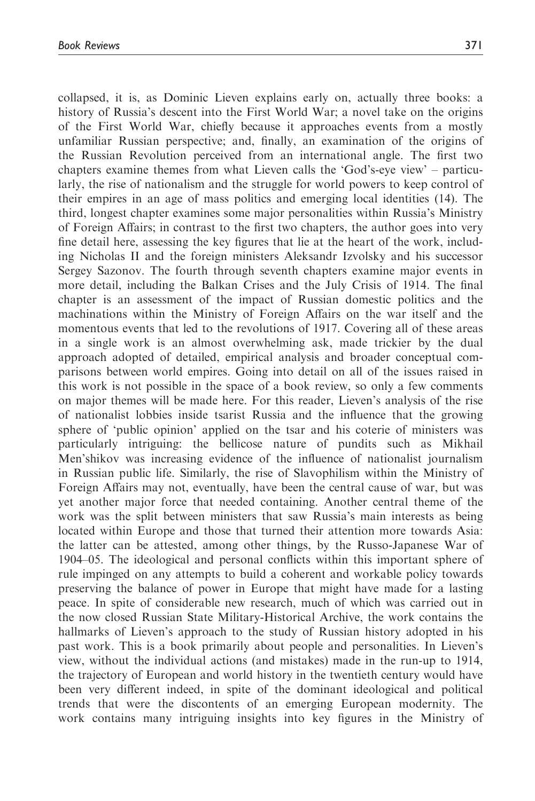collapsed, it is, as Dominic Lieven explains early on, actually three books: a history of Russia's descent into the First World War; a novel take on the origins of the First World War, chiefly because it approaches events from a mostly unfamiliar Russian perspective; and, finally, an examination of the origins of the Russian Revolution perceived from an international angle. The first two chapters examine themes from what Lieven calls the 'God's-eye view' – particularly, the rise of nationalism and the struggle for world powers to keep control of their empires in an age of mass politics and emerging local identities (14). The third, longest chapter examines some major personalities within Russia's Ministry of Foreign Affairs; in contrast to the first two chapters, the author goes into very fine detail here, assessing the key figures that lie at the heart of the work, including Nicholas II and the foreign ministers Aleksandr Izvolsky and his successor Sergey Sazonov. The fourth through seventh chapters examine major events in more detail, including the Balkan Crises and the July Crisis of 1914. The final chapter is an assessment of the impact of Russian domestic politics and the machinations within the Ministry of Foreign Affairs on the war itself and the momentous events that led to the revolutions of 1917. Covering all of these areas in a single work is an almost overwhelming ask, made trickier by the dual approach adopted of detailed, empirical analysis and broader conceptual comparisons between world empires. Going into detail on all of the issues raised in this work is not possible in the space of a book review, so only a few comments on major themes will be made here. For this reader, Lieven's analysis of the rise of nationalist lobbies inside tsarist Russia and the influence that the growing sphere of 'public opinion' applied on the tsar and his coterie of ministers was particularly intriguing: the bellicose nature of pundits such as Mikhail Men'shikov was increasing evidence of the influence of nationalist journalism in Russian public life. Similarly, the rise of Slavophilism within the Ministry of Foreign Affairs may not, eventually, have been the central cause of war, but was yet another major force that needed containing. Another central theme of the work was the split between ministers that saw Russia's main interests as being located within Europe and those that turned their attention more towards Asia: the latter can be attested, among other things, by the Russo-Japanese War of 1904–05. The ideological and personal conflicts within this important sphere of rule impinged on any attempts to build a coherent and workable policy towards preserving the balance of power in Europe that might have made for a lasting peace. In spite of considerable new research, much of which was carried out in the now closed Russian State Military-Historical Archive, the work contains the hallmarks of Lieven's approach to the study of Russian history adopted in his past work. This is a book primarily about people and personalities. In Lieven's view, without the individual actions (and mistakes) made in the run-up to 1914, the trajectory of European and world history in the twentieth century would have been very different indeed, in spite of the dominant ideological and political trends that were the discontents of an emerging European modernity. The work contains many intriguing insights into key figures in the Ministry of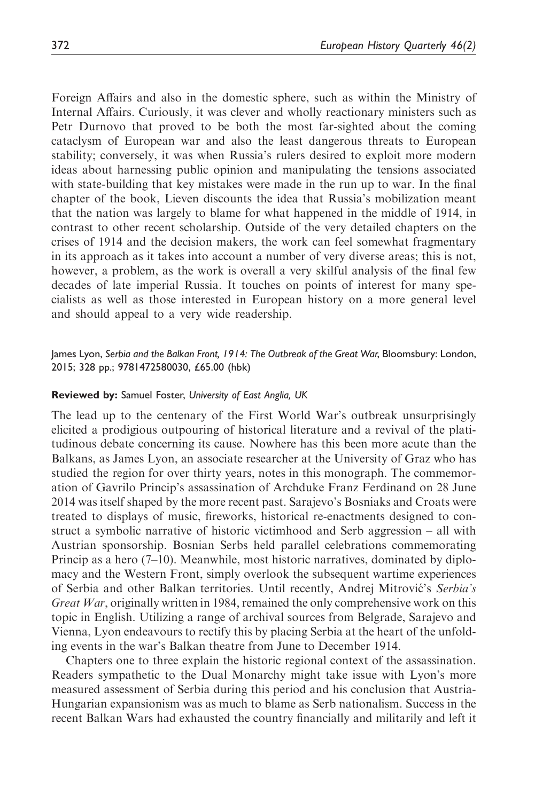Foreign Affairs and also in the domestic sphere, such as within the Ministry of Internal Affairs. Curiously, it was clever and wholly reactionary ministers such as Petr Durnovo that proved to be both the most far-sighted about the coming cataclysm of European war and also the least dangerous threats to European stability; conversely, it was when Russia's rulers desired to exploit more modern ideas about harnessing public opinion and manipulating the tensions associated with state-building that key mistakes were made in the run up to war. In the final chapter of the book, Lieven discounts the idea that Russia's mobilization meant that the nation was largely to blame for what happened in the middle of 1914, in contrast to other recent scholarship. Outside of the very detailed chapters on the crises of 1914 and the decision makers, the work can feel somewhat fragmentary in its approach as it takes into account a number of very diverse areas; this is not, however, a problem, as the work is overall a very skilful analysis of the final few decades of late imperial Russia. It touches on points of interest for many specialists as well as those interested in European history on a more general level and should appeal to a very wide readership.

# James Lyon, Serbia and the Balkan Front, 1914: The Outbreak of the Great War, Bloomsbury: London, 2015; 328 pp.; 9781472580030, £65.00 (hbk)

### Reviewed by: Samuel Foster, University of East Anglia, UK

The lead up to the centenary of the First World War's outbreak unsurprisingly elicited a prodigious outpouring of historical literature and a revival of the platitudinous debate concerning its cause. Nowhere has this been more acute than the Balkans, as James Lyon, an associate researcher at the University of Graz who has studied the region for over thirty years, notes in this monograph. The commemoration of Gavrilo Princip's assassination of Archduke Franz Ferdinand on 28 June 2014 was itself shaped by the more recent past. Sarajevo's Bosniaks and Croats were treated to displays of music, fireworks, historical re-enactments designed to construct a symbolic narrative of historic victimhood and Serb aggression – all with Austrian sponsorship. Bosnian Serbs held parallel celebrations commemorating Princip as a hero (7–10). Meanwhile, most historic narratives, dominated by diplomacy and the Western Front, simply overlook the subsequent wartime experiences of Serbia and other Balkan territories. Until recently, Andrej Mitrović's Serbia's Great War, originally written in 1984, remained the only comprehensive work on this topic in English. Utilizing a range of archival sources from Belgrade, Sarajevo and Vienna, Lyon endeavours to rectify this by placing Serbia at the heart of the unfolding events in the war's Balkan theatre from June to December 1914.

Chapters one to three explain the historic regional context of the assassination. Readers sympathetic to the Dual Monarchy might take issue with Lyon's more measured assessment of Serbia during this period and his conclusion that Austria-Hungarian expansionism was as much to blame as Serb nationalism. Success in the recent Balkan Wars had exhausted the country financially and militarily and left it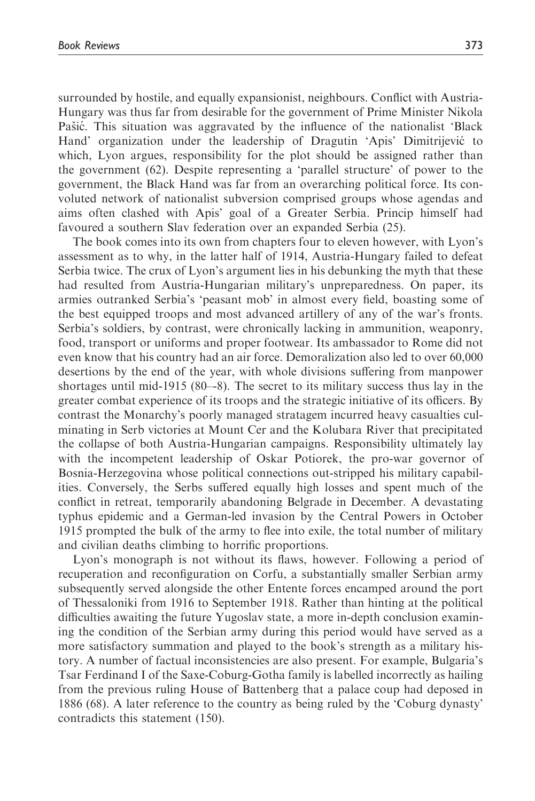surrounded by hostile, and equally expansionist, neighbours. Conflict with Austria-Hungary was thus far from desirable for the government of Prime Minister Nikola Pašić. This situation was aggravated by the influence of the nationalist 'Black Hand' organization under the leadership of Dragutin 'Apis' Dimitrijevic<sup>t</sup> to which, Lyon argues, responsibility for the plot should be assigned rather than the government (62). Despite representing a 'parallel structure' of power to the government, the Black Hand was far from an overarching political force. Its convoluted network of nationalist subversion comprised groups whose agendas and aims often clashed with Apis' goal of a Greater Serbia. Princip himself had favoured a southern Slav federation over an expanded Serbia (25).

The book comes into its own from chapters four to eleven however, with Lyon's assessment as to why, in the latter half of 1914, Austria-Hungary failed to defeat Serbia twice. The crux of Lyon's argument lies in his debunking the myth that these had resulted from Austria-Hungarian military's unpreparedness. On paper, its armies outranked Serbia's 'peasant mob' in almost every field, boasting some of the best equipped troops and most advanced artillery of any of the war's fronts. Serbia's soldiers, by contrast, were chronically lacking in ammunition, weaponry, food, transport or uniforms and proper footwear. Its ambassador to Rome did not even know that his country had an air force. Demoralization also led to over 60,000 desertions by the end of the year, with whole divisions suffering from manpower shortages until mid-1915 (80–-8). The secret to its military success thus lay in the greater combat experience of its troops and the strategic initiative of its officers. By contrast the Monarchy's poorly managed stratagem incurred heavy casualties culminating in Serb victories at Mount Cer and the Kolubara River that precipitated the collapse of both Austria-Hungarian campaigns. Responsibility ultimately lay with the incompetent leadership of Oskar Potiorek, the pro-war governor of Bosnia-Herzegovina whose political connections out-stripped his military capabilities. Conversely, the Serbs suffered equally high losses and spent much of the conflict in retreat, temporarily abandoning Belgrade in December. A devastating typhus epidemic and a German-led invasion by the Central Powers in October 1915 prompted the bulk of the army to flee into exile, the total number of military and civilian deaths climbing to horrific proportions.

Lyon's monograph is not without its flaws, however. Following a period of recuperation and reconfiguration on Corfu, a substantially smaller Serbian army subsequently served alongside the other Entente forces encamped around the port of Thessaloniki from 1916 to September 1918. Rather than hinting at the political difficulties awaiting the future Yugoslav state, a more in-depth conclusion examining the condition of the Serbian army during this period would have served as a more satisfactory summation and played to the book's strength as a military history. A number of factual inconsistencies are also present. For example, Bulgaria's Tsar Ferdinand I of the Saxe-Coburg-Gotha family is labelled incorrectly as hailing from the previous ruling House of Battenberg that a palace coup had deposed in 1886 (68). A later reference to the country as being ruled by the 'Coburg dynasty' contradicts this statement (150).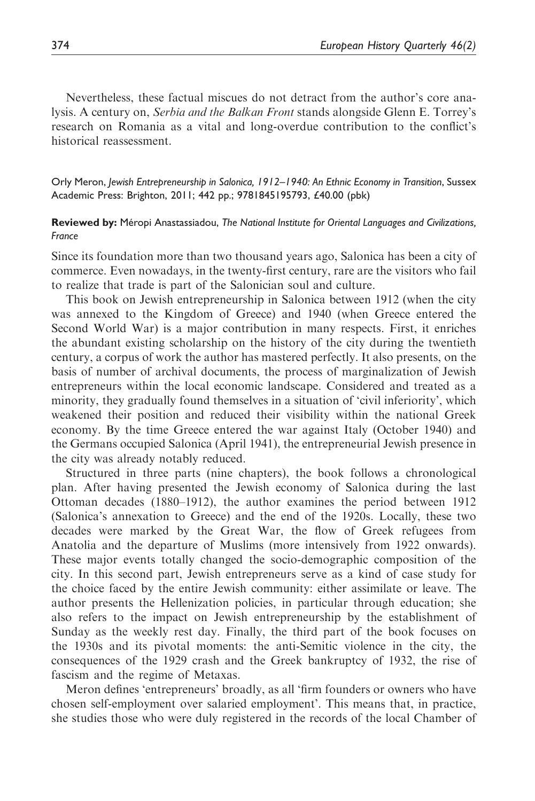Nevertheless, these factual miscues do not detract from the author's core analysis. A century on, Serbia and the Balkan Front stands alongside Glenn E. Torrey's research on Romania as a vital and long-overdue contribution to the conflict's historical reassessment.

Orly Meron, Jewish Entrepreneurship in Salonica, 1912–1940: An Ethnic Economy in Transition, Sussex Academic Press: Brighton, 2011; 442 pp.; 9781845195793, £40.00 (pbk)

# Reviewed by: Méropi Anastassiadou, The National Institute for Oriental Languages and Civilizations, France

Since its foundation more than two thousand years ago, Salonica has been a city of commerce. Even nowadays, in the twenty-first century, rare are the visitors who fail to realize that trade is part of the Salonician soul and culture.

This book on Jewish entrepreneurship in Salonica between 1912 (when the city was annexed to the Kingdom of Greece) and 1940 (when Greece entered the Second World War) is a major contribution in many respects. First, it enriches the abundant existing scholarship on the history of the city during the twentieth century, a corpus of work the author has mastered perfectly. It also presents, on the basis of number of archival documents, the process of marginalization of Jewish entrepreneurs within the local economic landscape. Considered and treated as a minority, they gradually found themselves in a situation of 'civil inferiority', which weakened their position and reduced their visibility within the national Greek economy. By the time Greece entered the war against Italy (October 1940) and the Germans occupied Salonica (April 1941), the entrepreneurial Jewish presence in the city was already notably reduced.

Structured in three parts (nine chapters), the book follows a chronological plan. After having presented the Jewish economy of Salonica during the last Ottoman decades (1880–1912), the author examines the period between 1912 (Salonica's annexation to Greece) and the end of the 1920s. Locally, these two decades were marked by the Great War, the flow of Greek refugees from Anatolia and the departure of Muslims (more intensively from 1922 onwards). These major events totally changed the socio-demographic composition of the city. In this second part, Jewish entrepreneurs serve as a kind of case study for the choice faced by the entire Jewish community: either assimilate or leave. The author presents the Hellenization policies, in particular through education; she also refers to the impact on Jewish entrepreneurship by the establishment of Sunday as the weekly rest day. Finally, the third part of the book focuses on the 1930s and its pivotal moments: the anti-Semitic violence in the city, the consequences of the 1929 crash and the Greek bankruptcy of 1932, the rise of fascism and the regime of Metaxas.

Meron defines 'entrepreneurs' broadly, as all 'firm founders or owners who have chosen self-employment over salaried employment'. This means that, in practice, she studies those who were duly registered in the records of the local Chamber of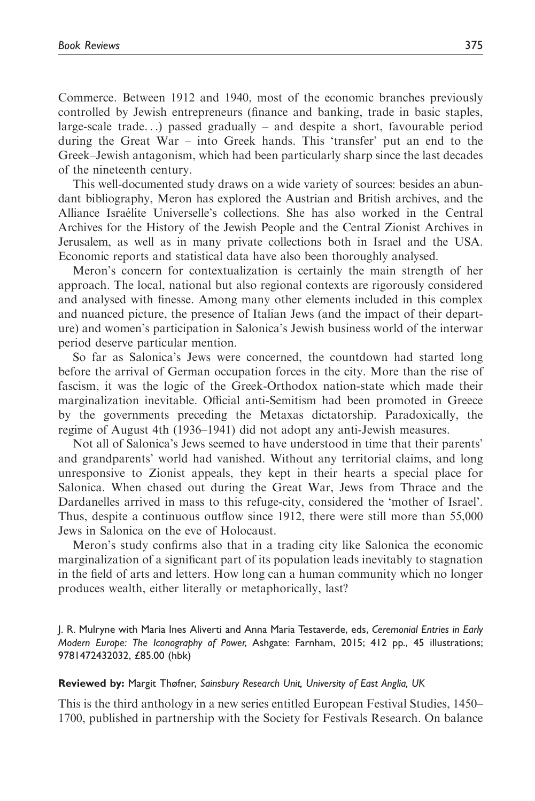Commerce. Between 1912 and 1940, most of the economic branches previously controlled by Jewish entrepreneurs (finance and banking, trade in basic staples, large-scale trade...) passed gradually – and despite a short, favourable period during the Great War – into Greek hands. This 'transfer' put an end to the Greek–Jewish antagonism, which had been particularly sharp since the last decades of the nineteenth century.

This well-documented study draws on a wide variety of sources: besides an abundant bibliography, Meron has explored the Austrian and British archives, and the Alliance Israélite Universelle's collections. She has also worked in the Central Archives for the History of the Jewish People and the Central Zionist Archives in Jerusalem, as well as in many private collections both in Israel and the USA. Economic reports and statistical data have also been thoroughly analysed.

Meron's concern for contextualization is certainly the main strength of her approach. The local, national but also regional contexts are rigorously considered and analysed with finesse. Among many other elements included in this complex and nuanced picture, the presence of Italian Jews (and the impact of their departure) and women's participation in Salonica's Jewish business world of the interwar period deserve particular mention.

So far as Salonica's Jews were concerned, the countdown had started long before the arrival of German occupation forces in the city. More than the rise of fascism, it was the logic of the Greek-Orthodox nation-state which made their marginalization inevitable. Official anti-Semitism had been promoted in Greece by the governments preceding the Metaxas dictatorship. Paradoxically, the regime of August 4th (1936–1941) did not adopt any anti-Jewish measures.

Not all of Salonica's Jews seemed to have understood in time that their parents' and grandparents' world had vanished. Without any territorial claims, and long unresponsive to Zionist appeals, they kept in their hearts a special place for Salonica. When chased out during the Great War, Jews from Thrace and the Dardanelles arrived in mass to this refuge-city, considered the 'mother of Israel'. Thus, despite a continuous outflow since 1912, there were still more than 55,000 Jews in Salonica on the eve of Holocaust.

Meron's study confirms also that in a trading city like Salonica the economic marginalization of a significant part of its population leads inevitably to stagnation in the field of arts and letters. How long can a human community which no longer produces wealth, either literally or metaphorically, last?

J. R. Mulryne with Maria Ines Aliverti and Anna Maria Testaverde, eds, Ceremonial Entries in Early Modern Europe: The Iconography of Power, Ashgate: Farnham, 2015; 412 pp., 45 illustrations; 9781472432032, £85.00 (hbk)

## Reviewed by: Margit Thøfner, Sainsbury Research Unit, University of East Anglia, UK

This is the third anthology in a new series entitled European Festival Studies, 1450– 1700, published in partnership with the Society for Festivals Research. On balance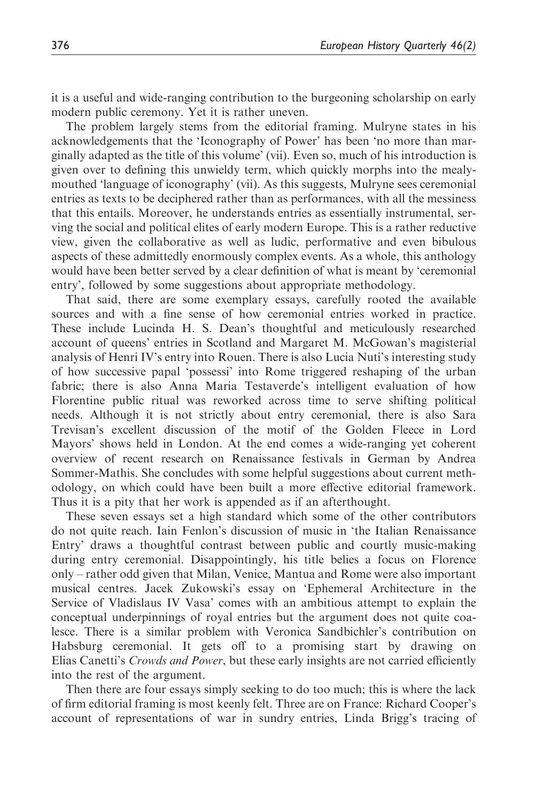it is a useful and wide-ranging contribution to the burgeoning scholarship on early modern public ceremony. Yet it is rather uneven.

The problem largely stems from the editorial framing. Mulryne states in his acknowledgements that the 'Iconography of Power' has been 'no more than marginally adapted as the title of this volume' (vii). Even so, much of his introduction is given over to defining this unwieldy term, which quickly morphs into the mealymouthed 'language of iconography' (vii). As this suggests, Mulryne sees ceremonial entries as texts to be deciphered rather than as performances, with all the messiness that this entails. Moreover, he understands entries as essentially instrumental, serving the social and political elites of early modern Europe. This is a rather reductive view, given the collaborative as well as ludic, performative and even bibulous aspects of these admittedly enormously complex events. As a whole, this anthology would have been better served by a clear definition of what is meant by 'ceremonial entry', followed by some suggestions about appropriate methodology.

That said, there are some exemplary essays, carefully rooted the available sources and with a fine sense of how ceremonial entries worked in practice. These include Lucinda H. S. Dean's thoughtful and meticulously researched account of queens' entries in Scotland and Margaret M. McGowan's magisterial analysis of Henri IV's entry into Rouen. There is also Lucia Nuti's interesting study of how successive papal 'possessi' into Rome triggered reshaping of the urban fabric; there is also Anna Maria Testaverde's intelligent evaluation of how Florentine public ritual was reworked across time to serve shifting political needs. Although it is not strictly about entry ceremonial, there is also Sara Trevisan's excellent discussion of the motif of the Golden Fleece in Lord Mayors' shows held in London. At the end comes a wide-ranging yet coherent overview of recent research on Renaissance festivals in German by Andrea Sommer-Mathis. She concludes with some helpful suggestions about current methodology, on which could have been built a more effective editorial framework. Thus it is a pity that her work is appended as if an afterthought.

These seven essays set a high standard which some of the other contributors do not quite reach. Iain Fenlon's discussion of music in 'the Italian Renaissance Entry' draws a thoughtful contrast between public and courtly music-making during entry ceremonial. Disappointingly, his title belies a focus on Florence only – rather odd given that Milan, Venice, Mantua and Rome were also important musical centres. Jacek Zukowski's essay on 'Ephemeral Architecture in the Service of Vladislaus IV Vasa' comes with an ambitious attempt to explain the conceptual underpinnings of royal entries but the argument does not quite coalesce. There is a similar problem with Veronica Sandbichler's contribution on Habsburg ceremonial. It gets off to a promising start by drawing on Elias Canetti's Crowds and Power, but these early insights are not carried efficiently into the rest of the argument.

Then there are four essays simply seeking to do too much; this is where the lack of firm editorial framing is most keenly felt. Three are on France: Richard Cooper's account of representations of war in sundry entries, Linda Brigg's tracing of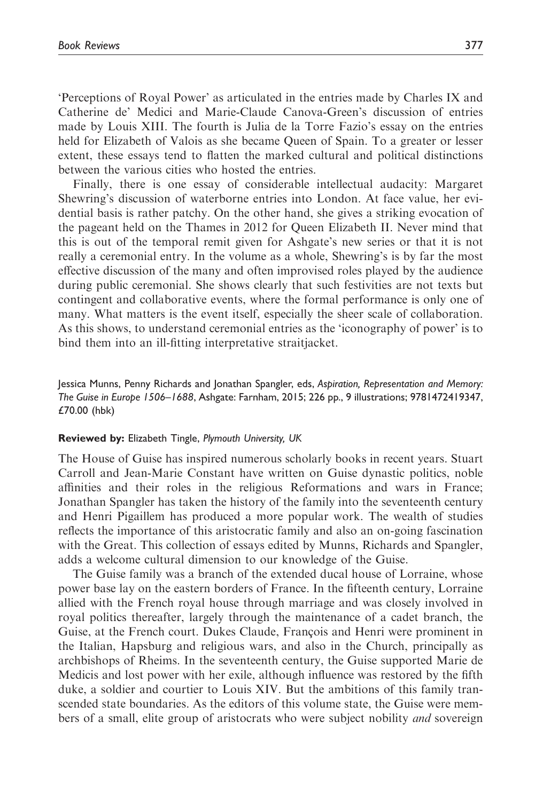'Perceptions of Royal Power' as articulated in the entries made by Charles IX and Catherine de' Medici and Marie-Claude Canova-Green's discussion of entries made by Louis XIII. The fourth is Julia de la Torre Fazio's essay on the entries held for Elizabeth of Valois as she became Queen of Spain. To a greater or lesser extent, these essays tend to flatten the marked cultural and political distinctions between the various cities who hosted the entries.

Finally, there is one essay of considerable intellectual audacity: Margaret Shewring's discussion of waterborne entries into London. At face value, her evidential basis is rather patchy. On the other hand, she gives a striking evocation of the pageant held on the Thames in 2012 for Queen Elizabeth II. Never mind that this is out of the temporal remit given for Ashgate's new series or that it is not really a ceremonial entry. In the volume as a whole, Shewring's is by far the most effective discussion of the many and often improvised roles played by the audience during public ceremonial. She shows clearly that such festivities are not texts but contingent and collaborative events, where the formal performance is only one of many. What matters is the event itself, especially the sheer scale of collaboration. As this shows, to understand ceremonial entries as the 'iconography of power' is to bind them into an ill-fitting interpretative straitjacket.

# Jessica Munns, Penny Richards and Jonathan Spangler, eds, Aspiration, Representation and Memory: The Guise in Europe 1506–1688, Ashgate: Farnham, 2015; 226 pp., 9 illustrations; 9781472419347, £70.00 (hbk)

#### Reviewed by: Elizabeth Tingle, Plymouth University, UK

The House of Guise has inspired numerous scholarly books in recent years. Stuart Carroll and Jean-Marie Constant have written on Guise dynastic politics, noble affinities and their roles in the religious Reformations and wars in France; Jonathan Spangler has taken the history of the family into the seventeenth century and Henri Pigaillem has produced a more popular work. The wealth of studies reflects the importance of this aristocratic family and also an on-going fascination with the Great. This collection of essays edited by Munns, Richards and Spangler, adds a welcome cultural dimension to our knowledge of the Guise.

The Guise family was a branch of the extended ducal house of Lorraine, whose power base lay on the eastern borders of France. In the fifteenth century, Lorraine allied with the French royal house through marriage and was closely involved in royal politics thereafter, largely through the maintenance of a cadet branch, the Guise, at the French court. Dukes Claude, François and Henri were prominent in the Italian, Hapsburg and religious wars, and also in the Church, principally as archbishops of Rheims. In the seventeenth century, the Guise supported Marie de Medicis and lost power with her exile, although influence was restored by the fifth duke, a soldier and courtier to Louis XIV. But the ambitions of this family transcended state boundaries. As the editors of this volume state, the Guise were members of a small, elite group of aristocrats who were subject nobility *and* sovereign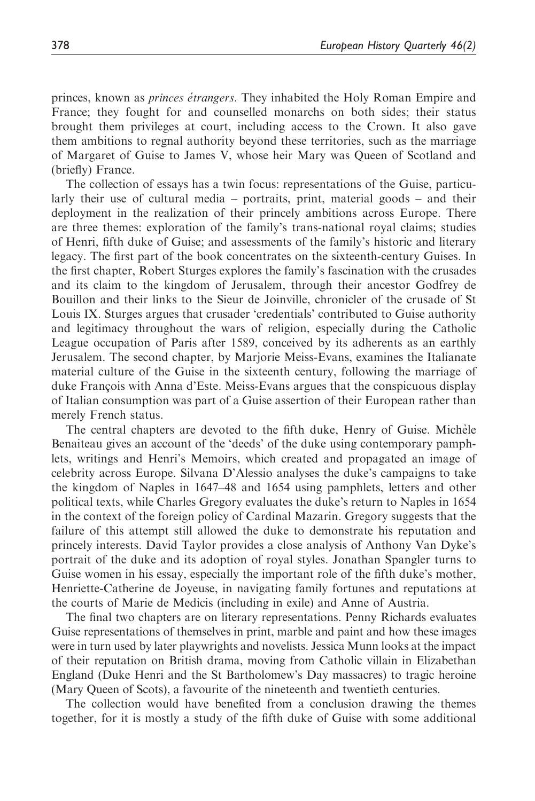princes, known as *princes étrangers*. They inhabited the Holy Roman Empire and France; they fought for and counselled monarchs on both sides; their status brought them privileges at court, including access to the Crown. It also gave them ambitions to regnal authority beyond these territories, such as the marriage of Margaret of Guise to James V, whose heir Mary was Queen of Scotland and (briefly) France.

The collection of essays has a twin focus: representations of the Guise, particularly their use of cultural media – portraits, print, material goods – and their deployment in the realization of their princely ambitions across Europe. There are three themes: exploration of the family's trans-national royal claims; studies of Henri, fifth duke of Guise; and assessments of the family's historic and literary legacy. The first part of the book concentrates on the sixteenth-century Guises. In the first chapter, Robert Sturges explores the family's fascination with the crusades and its claim to the kingdom of Jerusalem, through their ancestor Godfrey de Bouillon and their links to the Sieur de Joinville, chronicler of the crusade of St Louis IX. Sturges argues that crusader 'credentials' contributed to Guise authority and legitimacy throughout the wars of religion, especially during the Catholic League occupation of Paris after 1589, conceived by its adherents as an earthly Jerusalem. The second chapter, by Marjorie Meiss-Evans, examines the Italianate material culture of the Guise in the sixteenth century, following the marriage of duke Francois with Anna d'Este. Meiss-Evans argues that the conspicuous display of Italian consumption was part of a Guise assertion of their European rather than merely French status.

The central chapters are devoted to the fifth duke, Henry of Guise. Michèle Benaiteau gives an account of the 'deeds' of the duke using contemporary pamphlets, writings and Henri's Memoirs, which created and propagated an image of celebrity across Europe. Silvana D'Alessio analyses the duke's campaigns to take the kingdom of Naples in 1647–48 and 1654 using pamphlets, letters and other political texts, while Charles Gregory evaluates the duke's return to Naples in 1654 in the context of the foreign policy of Cardinal Mazarin. Gregory suggests that the failure of this attempt still allowed the duke to demonstrate his reputation and princely interests. David Taylor provides a close analysis of Anthony Van Dyke's portrait of the duke and its adoption of royal styles. Jonathan Spangler turns to Guise women in his essay, especially the important role of the fifth duke's mother, Henriette-Catherine de Joyeuse, in navigating family fortunes and reputations at the courts of Marie de Medicis (including in exile) and Anne of Austria.

The final two chapters are on literary representations. Penny Richards evaluates Guise representations of themselves in print, marble and paint and how these images were in turn used by later playwrights and novelists. Jessica Munn looks at the impact of their reputation on British drama, moving from Catholic villain in Elizabethan England (Duke Henri and the St Bartholomew's Day massacres) to tragic heroine (Mary Queen of Scots), a favourite of the nineteenth and twentieth centuries.

The collection would have benefited from a conclusion drawing the themes together, for it is mostly a study of the fifth duke of Guise with some additional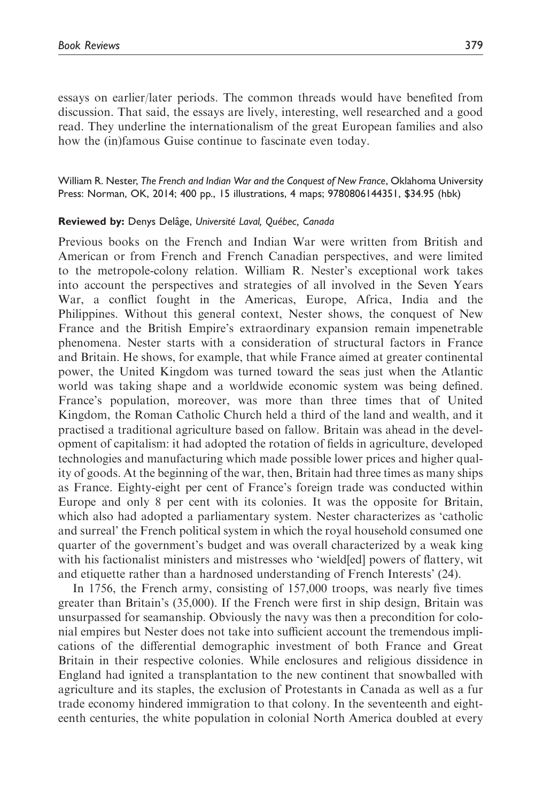essays on earlier/later periods. The common threads would have benefited from discussion. That said, the essays are lively, interesting, well researched and a good read. They underline the internationalism of the great European families and also how the (in)famous Guise continue to fascinate even today.

William R. Nester, The French and Indian War and the Conquest of New France, Oklahoma University Press: Norman, OK, 2014; 400 pp., 15 illustrations, 4 maps; 9780806144351, \$34.95 (hbk)

# Reviewed by: Denys Delâge, Université Laval, Québec, Canada

Previous books on the French and Indian War were written from British and American or from French and French Canadian perspectives, and were limited to the metropole-colony relation. William R. Nester's exceptional work takes into account the perspectives and strategies of all involved in the Seven Years War, a conflict fought in the Americas, Europe, Africa, India and the Philippines. Without this general context, Nester shows, the conquest of New France and the British Empire's extraordinary expansion remain impenetrable phenomena. Nester starts with a consideration of structural factors in France and Britain. He shows, for example, that while France aimed at greater continental power, the United Kingdom was turned toward the seas just when the Atlantic world was taking shape and a worldwide economic system was being defined. France's population, moreover, was more than three times that of United Kingdom, the Roman Catholic Church held a third of the land and wealth, and it practised a traditional agriculture based on fallow. Britain was ahead in the development of capitalism: it had adopted the rotation of fields in agriculture, developed technologies and manufacturing which made possible lower prices and higher quality of goods. At the beginning of the war, then, Britain had three times as many ships as France. Eighty-eight per cent of France's foreign trade was conducted within Europe and only 8 per cent with its colonies. It was the opposite for Britain, which also had adopted a parliamentary system. Nester characterizes as 'catholic and surreal' the French political system in which the royal household consumed one quarter of the government's budget and was overall characterized by a weak king with his factionalist ministers and mistresses who 'wield[ed] powers of flattery, wit and etiquette rather than a hardnosed understanding of French Interests' (24).

In 1756, the French army, consisting of 157,000 troops, was nearly five times greater than Britain's (35,000). If the French were first in ship design, Britain was unsurpassed for seamanship. Obviously the navy was then a precondition for colonial empires but Nester does not take into sufficient account the tremendous implications of the differential demographic investment of both France and Great Britain in their respective colonies. While enclosures and religious dissidence in England had ignited a transplantation to the new continent that snowballed with agriculture and its staples, the exclusion of Protestants in Canada as well as a fur trade economy hindered immigration to that colony. In the seventeenth and eighteenth centuries, the white population in colonial North America doubled at every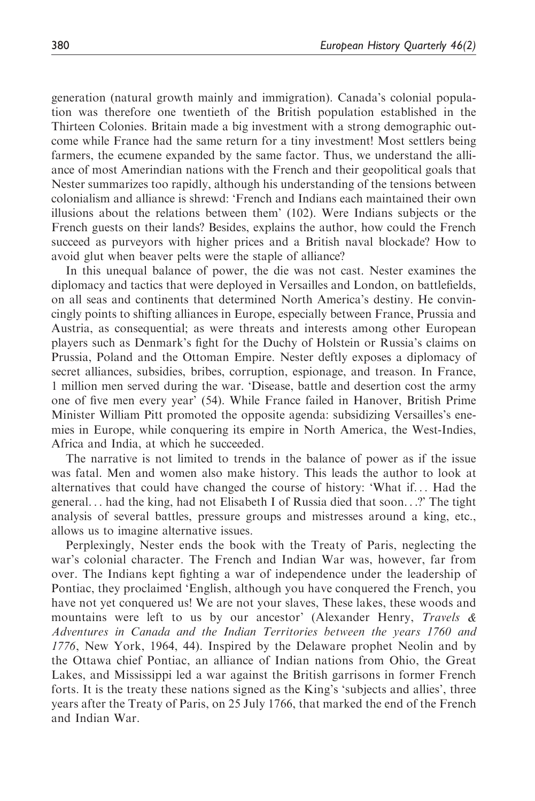generation (natural growth mainly and immigration). Canada's colonial population was therefore one twentieth of the British population established in the Thirteen Colonies. Britain made a big investment with a strong demographic outcome while France had the same return for a tiny investment! Most settlers being farmers, the ecumene expanded by the same factor. Thus, we understand the alliance of most Amerindian nations with the French and their geopolitical goals that Nester summarizes too rapidly, although his understanding of the tensions between colonialism and alliance is shrewd: 'French and Indians each maintained their own illusions about the relations between them' (102). Were Indians subjects or the French guests on their lands? Besides, explains the author, how could the French succeed as purveyors with higher prices and a British naval blockade? How to avoid glut when beaver pelts were the staple of alliance?

In this unequal balance of power, the die was not cast. Nester examines the diplomacy and tactics that were deployed in Versailles and London, on battlefields, on all seas and continents that determined North America's destiny. He convincingly points to shifting alliances in Europe, especially between France, Prussia and Austria, as consequential; as were threats and interests among other European players such as Denmark's fight for the Duchy of Holstein or Russia's claims on Prussia, Poland and the Ottoman Empire. Nester deftly exposes a diplomacy of secret alliances, subsidies, bribes, corruption, espionage, and treason. In France, 1 million men served during the war. 'Disease, battle and desertion cost the army one of five men every year' (54). While France failed in Hanover, British Prime Minister William Pitt promoted the opposite agenda: subsidizing Versailles's enemies in Europe, while conquering its empire in North America, the West-Indies, Africa and India, at which he succeeded.

The narrative is not limited to trends in the balance of power as if the issue was fatal. Men and women also make history. This leads the author to look at alternatives that could have changed the course of history: 'What if... Had the general... had the king, had not Elisabeth I of Russia died that soon...?' The tight analysis of several battles, pressure groups and mistresses around a king, etc., allows us to imagine alternative issues.

Perplexingly, Nester ends the book with the Treaty of Paris, neglecting the war's colonial character. The French and Indian War was, however, far from over. The Indians kept fighting a war of independence under the leadership of Pontiac, they proclaimed 'English, although you have conquered the French, you have not yet conquered us! We are not your slaves, These lakes, these woods and mountains were left to us by our ancestor' (Alexander Henry, Travels  $\&$ Adventures in Canada and the Indian Territories between the years 1760 and 1776, New York, 1964, 44). Inspired by the Delaware prophet Neolin and by the Ottawa chief Pontiac, an alliance of Indian nations from Ohio, the Great Lakes, and Mississippi led a war against the British garrisons in former French forts. It is the treaty these nations signed as the King's 'subjects and allies', three years after the Treaty of Paris, on 25 July 1766, that marked the end of the French and Indian War.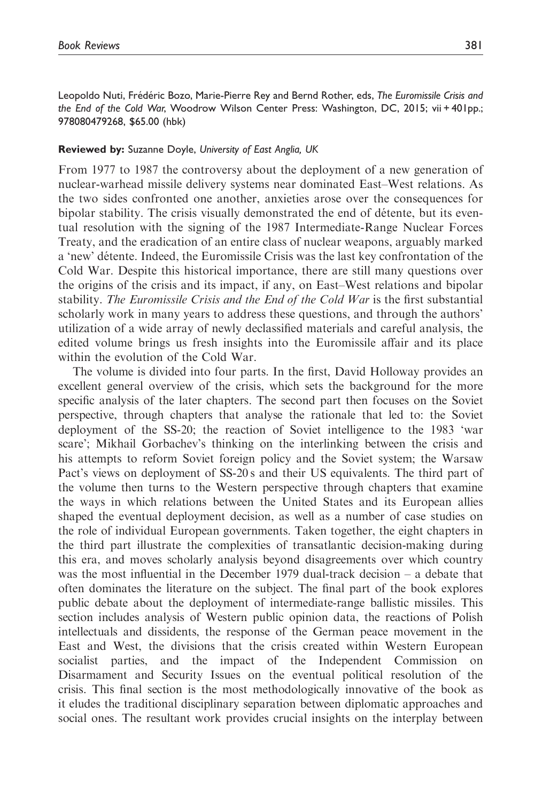Leopoldo Nuti, Frédéric Bozo, Marie-Pierre Rey and Bernd Rother, eds, The Euromissile Crisis and the End of the Cold War, Woodrow Wilson Center Press: Washington, DC, 2015; vii + 401pp.; 978080479268, \$65.00 (hbk)

## Reviewed by: Suzanne Doyle, University of East Anglia, UK

From 1977 to 1987 the controversy about the deployment of a new generation of nuclear-warhead missile delivery systems near dominated East–West relations. As the two sides confronted one another, anxieties arose over the consequences for bipolar stability. The crisis visually demonstrated the end of détente, but its eventual resolution with the signing of the 1987 Intermediate-Range Nuclear Forces Treaty, and the eradication of an entire class of nuclear weapons, arguably marked a 'new' détente. Indeed, the Euromissile Crisis was the last key confrontation of the Cold War. Despite this historical importance, there are still many questions over the origins of the crisis and its impact, if any, on East–West relations and bipolar stability. The Euromissile Crisis and the End of the Cold War is the first substantial scholarly work in many years to address these questions, and through the authors' utilization of a wide array of newly declassified materials and careful analysis, the edited volume brings us fresh insights into the Euromissile affair and its place within the evolution of the Cold War.

The volume is divided into four parts. In the first, David Holloway provides an excellent general overview of the crisis, which sets the background for the more specific analysis of the later chapters. The second part then focuses on the Soviet perspective, through chapters that analyse the rationale that led to: the Soviet deployment of the SS-20; the reaction of Soviet intelligence to the 1983 'war scare'; Mikhail Gorbachev's thinking on the interlinking between the crisis and his attempts to reform Soviet foreign policy and the Soviet system; the Warsaw Pact's views on deployment of SS-20 s and their US equivalents. The third part of the volume then turns to the Western perspective through chapters that examine the ways in which relations between the United States and its European allies shaped the eventual deployment decision, as well as a number of case studies on the role of individual European governments. Taken together, the eight chapters in the third part illustrate the complexities of transatlantic decision-making during this era, and moves scholarly analysis beyond disagreements over which country was the most influential in the December 1979 dual-track decision – a debate that often dominates the literature on the subject. The final part of the book explores public debate about the deployment of intermediate-range ballistic missiles. This section includes analysis of Western public opinion data, the reactions of Polish intellectuals and dissidents, the response of the German peace movement in the East and West, the divisions that the crisis created within Western European socialist parties, and the impact of the Independent Commission on Disarmament and Security Issues on the eventual political resolution of the crisis. This final section is the most methodologically innovative of the book as it eludes the traditional disciplinary separation between diplomatic approaches and social ones. The resultant work provides crucial insights on the interplay between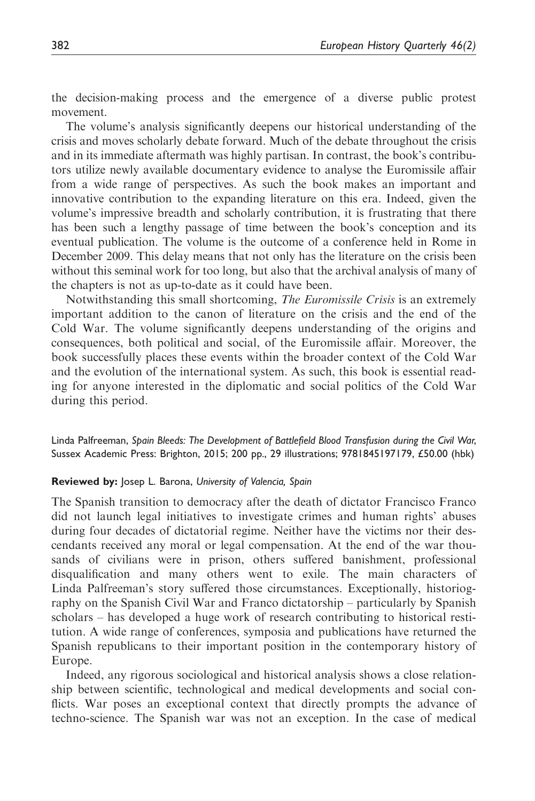the decision-making process and the emergence of a diverse public protest movement.

The volume's analysis significantly deepens our historical understanding of the crisis and moves scholarly debate forward. Much of the debate throughout the crisis and in its immediate aftermath was highly partisan. In contrast, the book's contributors utilize newly available documentary evidence to analyse the Euromissile affair from a wide range of perspectives. As such the book makes an important and innovative contribution to the expanding literature on this era. Indeed, given the volume's impressive breadth and scholarly contribution, it is frustrating that there has been such a lengthy passage of time between the book's conception and its eventual publication. The volume is the outcome of a conference held in Rome in December 2009. This delay means that not only has the literature on the crisis been without this seminal work for too long, but also that the archival analysis of many of the chapters is not as up-to-date as it could have been.

Notwithstanding this small shortcoming, *The Euromissile Crisis* is an extremely important addition to the canon of literature on the crisis and the end of the Cold War. The volume significantly deepens understanding of the origins and consequences, both political and social, of the Euromissile affair. Moreover, the book successfully places these events within the broader context of the Cold War and the evolution of the international system. As such, this book is essential reading for anyone interested in the diplomatic and social politics of the Cold War during this period.

Linda Palfreeman, Spain Bleeds: The Development of Battlefield Blood Transfusion during the Civil War, Sussex Academic Press: Brighton, 2015; 200 pp., 29 illustrations; 9781845197179, £50.00 (hbk)

#### Reviewed by: Josep L. Barona, University of Valencia, Spain

The Spanish transition to democracy after the death of dictator Francisco Franco did not launch legal initiatives to investigate crimes and human rights' abuses during four decades of dictatorial regime. Neither have the victims nor their descendants received any moral or legal compensation. At the end of the war thousands of civilians were in prison, others suffered banishment, professional disqualification and many others went to exile. The main characters of Linda Palfreeman's story suffered those circumstances. Exceptionally, historiography on the Spanish Civil War and Franco dictatorship – particularly by Spanish scholars – has developed a huge work of research contributing to historical restitution. A wide range of conferences, symposia and publications have returned the Spanish republicans to their important position in the contemporary history of Europe.

Indeed, any rigorous sociological and historical analysis shows a close relationship between scientific, technological and medical developments and social conflicts. War poses an exceptional context that directly prompts the advance of techno-science. The Spanish war was not an exception. In the case of medical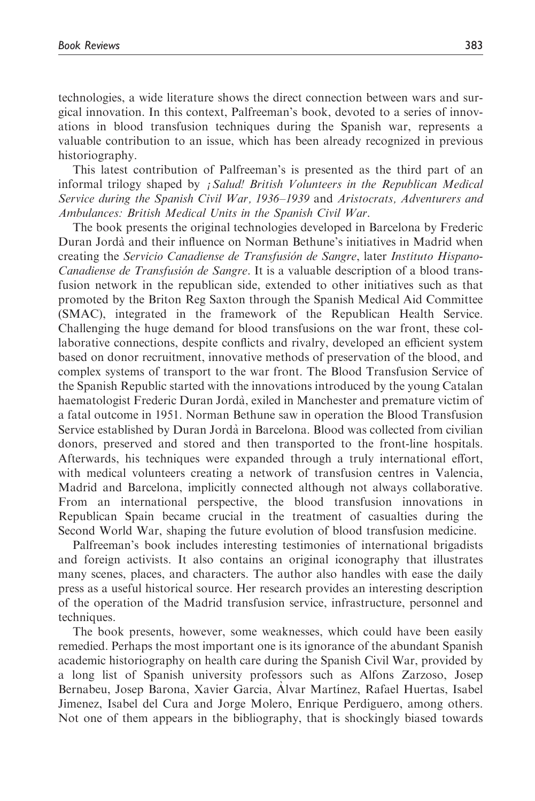technologies, a wide literature shows the direct connection between wars and surgical innovation. In this context, Palfreeman's book, devoted to a series of innovations in blood transfusion techniques during the Spanish war, represents a valuable contribution to an issue, which has been already recognized in previous historiography.

This latest contribution of Palfreeman's is presented as the third part of an informal trilogy shaped by *¡Salud! British Volunteers in the Republican Medical* Service during the Spanish Civil War, 1936–1939 and Aristocrats, Adventurers and Ambulances: British Medical Units in the Spanish Civil War.

The book presents the original technologies developed in Barcelona by Frederic Duran Jorda` and their influence on Norman Bethune's initiatives in Madrid when creating the Servicio Canadiense de Transfusión de Sangre, later Instituto Hispano-Canadiense de Transfusión de Sangre. It is a valuable description of a blood transfusion network in the republican side, extended to other initiatives such as that promoted by the Briton Reg Saxton through the Spanish Medical Aid Committee (SMAC), integrated in the framework of the Republican Health Service. Challenging the huge demand for blood transfusions on the war front, these collaborative connections, despite conflicts and rivalry, developed an efficient system based on donor recruitment, innovative methods of preservation of the blood, and complex systems of transport to the war front. The Blood Transfusion Service of the Spanish Republic started with the innovations introduced by the young Catalan haematologist Frederic Duran Jorda`, exiled in Manchester and premature victim of a fatal outcome in 1951. Norman Bethune saw in operation the Blood Transfusion Service established by Duran Jorda` in Barcelona. Blood was collected from civilian donors, preserved and stored and then transported to the front-line hospitals. Afterwards, his techniques were expanded through a truly international effort, with medical volunteers creating a network of transfusion centres in Valencia, Madrid and Barcelona, implicitly connected although not always collaborative. From an international perspective, the blood transfusion innovations in Republican Spain became crucial in the treatment of casualties during the Second World War, shaping the future evolution of blood transfusion medicine.

Palfreeman's book includes interesting testimonies of international brigadists and foreign activists. It also contains an original iconography that illustrates many scenes, places, and characters. The author also handles with ease the daily press as a useful historical source. Her research provides an interesting description of the operation of the Madrid transfusion service, infrastructure, personnel and techniques.

The book presents, however, some weaknesses, which could have been easily remedied. Perhaps the most important one is its ignorance of the abundant Spanish academic historiography on health care during the Spanish Civil War, provided by a long list of Spanish university professors such as Alfons Zarzoso, Josep Bernabeu, Josep Barona, Xavier Garcia, Alvar Martínez, Rafael Huertas, Isabel Jimenez, Isabel del Cura and Jorge Molero, Enrique Perdiguero, among others. Not one of them appears in the bibliography, that is shockingly biased towards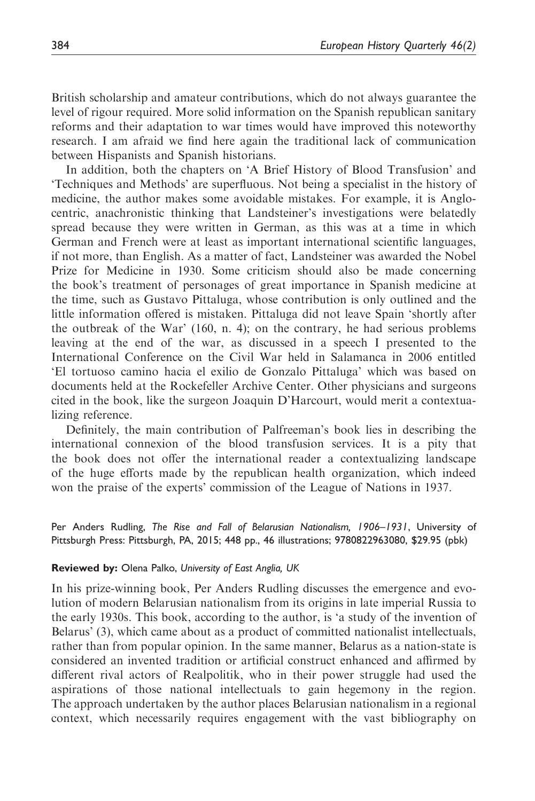British scholarship and amateur contributions, which do not always guarantee the level of rigour required. More solid information on the Spanish republican sanitary reforms and their adaptation to war times would have improved this noteworthy research. I am afraid we find here again the traditional lack of communication between Hispanists and Spanish historians.

In addition, both the chapters on 'A Brief History of Blood Transfusion' and 'Techniques and Methods' are superfluous. Not being a specialist in the history of medicine, the author makes some avoidable mistakes. For example, it is Anglocentric, anachronistic thinking that Landsteiner's investigations were belatedly spread because they were written in German, as this was at a time in which German and French were at least as important international scientific languages, if not more, than English. As a matter of fact, Landsteiner was awarded the Nobel Prize for Medicine in 1930. Some criticism should also be made concerning the book's treatment of personages of great importance in Spanish medicine at the time, such as Gustavo Pittaluga, whose contribution is only outlined and the little information offered is mistaken. Pittaluga did not leave Spain 'shortly after the outbreak of the War' (160, n. 4); on the contrary, he had serious problems leaving at the end of the war, as discussed in a speech I presented to the International Conference on the Civil War held in Salamanca in 2006 entitled 'El tortuoso camino hacia el exilio de Gonzalo Pittaluga' which was based on documents held at the Rockefeller Archive Center. Other physicians and surgeons cited in the book, like the surgeon Joaquin D'Harcourt, would merit a contextualizing reference.

Definitely, the main contribution of Palfreeman's book lies in describing the international connexion of the blood transfusion services. It is a pity that the book does not offer the international reader a contextualizing landscape of the huge efforts made by the republican health organization, which indeed won the praise of the experts' commission of the League of Nations in 1937.

Per Anders Rudling, The Rise and Fall of Belarusian Nationalism, 1906–1931, University of Pittsburgh Press: Pittsburgh, PA, 2015; 448 pp., 46 illustrations; 9780822963080, \$29.95 (pbk)

## Reviewed by: Olena Palko, University of East Anglia, UK

In his prize-winning book, Per Anders Rudling discusses the emergence and evolution of modern Belarusian nationalism from its origins in late imperial Russia to the early 1930s. This book, according to the author, is 'a study of the invention of Belarus' (3), which came about as a product of committed nationalist intellectuals, rather than from popular opinion. In the same manner, Belarus as a nation-state is considered an invented tradition or artificial construct enhanced and affirmed by different rival actors of Realpolitik, who in their power struggle had used the aspirations of those national intellectuals to gain hegemony in the region. The approach undertaken by the author places Belarusian nationalism in a regional context, which necessarily requires engagement with the vast bibliography on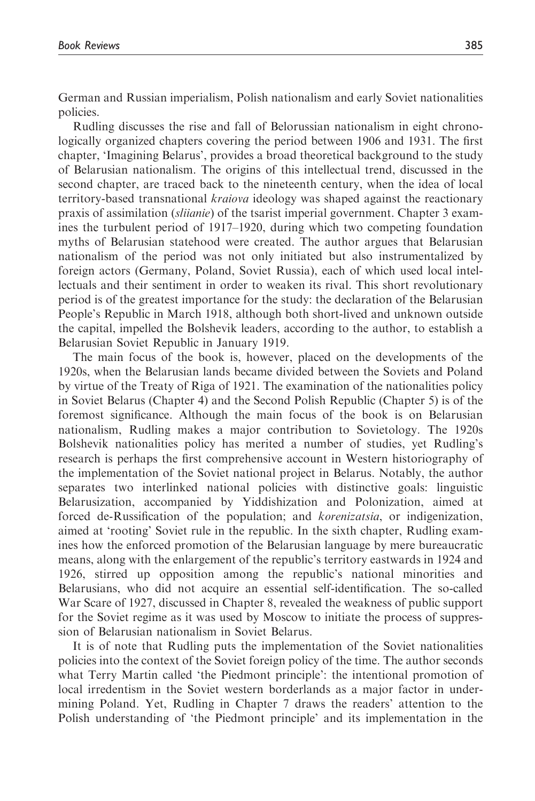German and Russian imperialism, Polish nationalism and early Soviet nationalities policies.

Rudling discusses the rise and fall of Belorussian nationalism in eight chronologically organized chapters covering the period between 1906 and 1931. The first chapter, 'Imagining Belarus', provides a broad theoretical background to the study of Belarusian nationalism. The origins of this intellectual trend, discussed in the second chapter, are traced back to the nineteenth century, when the idea of local territory-based transnational kraiova ideology was shaped against the reactionary praxis of assimilation (sliianie) of the tsarist imperial government. Chapter 3 examines the turbulent period of 1917–1920, during which two competing foundation myths of Belarusian statehood were created. The author argues that Belarusian nationalism of the period was not only initiated but also instrumentalized by foreign actors (Germany, Poland, Soviet Russia), each of which used local intellectuals and their sentiment in order to weaken its rival. This short revolutionary period is of the greatest importance for the study: the declaration of the Belarusian People's Republic in March 1918, although both short-lived and unknown outside the capital, impelled the Bolshevik leaders, according to the author, to establish a Belarusian Soviet Republic in January 1919.

The main focus of the book is, however, placed on the developments of the 1920s, when the Belarusian lands became divided between the Soviets and Poland by virtue of the Treaty of Riga of 1921. The examination of the nationalities policy in Soviet Belarus (Chapter 4) and the Second Polish Republic (Chapter 5) is of the foremost significance. Although the main focus of the book is on Belarusian nationalism, Rudling makes a major contribution to Sovietology. The 1920s Bolshevik nationalities policy has merited a number of studies, yet Rudling's research is perhaps the first comprehensive account in Western historiography of the implementation of the Soviet national project in Belarus. Notably, the author separates two interlinked national policies with distinctive goals: linguistic Belarusization, accompanied by Yiddishization and Polonization, aimed at forced de-Russification of the population; and korenizatsia, or indigenization, aimed at 'rooting' Soviet rule in the republic. In the sixth chapter, Rudling examines how the enforced promotion of the Belarusian language by mere bureaucratic means, along with the enlargement of the republic's territory eastwards in 1924 and 1926, stirred up opposition among the republic's national minorities and Belarusians, who did not acquire an essential self-identification. The so-called War Scare of 1927, discussed in Chapter 8, revealed the weakness of public support for the Soviet regime as it was used by Moscow to initiate the process of suppression of Belarusian nationalism in Soviet Belarus.

It is of note that Rudling puts the implementation of the Soviet nationalities policies into the context of the Soviet foreign policy of the time. The author seconds what Terry Martin called 'the Piedmont principle': the intentional promotion of local irredentism in the Soviet western borderlands as a major factor in undermining Poland. Yet, Rudling in Chapter 7 draws the readers' attention to the Polish understanding of 'the Piedmont principle' and its implementation in the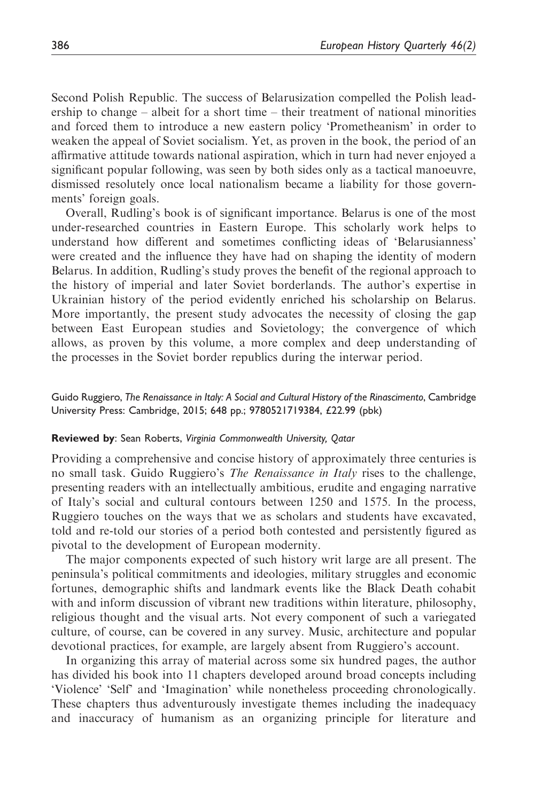Second Polish Republic. The success of Belarusization compelled the Polish leadership to change – albeit for a short time – their treatment of national minorities and forced them to introduce a new eastern policy 'Prometheanism' in order to weaken the appeal of Soviet socialism. Yet, as proven in the book, the period of an affirmative attitude towards national aspiration, which in turn had never enjoyed a significant popular following, was seen by both sides only as a tactical manoeuvre, dismissed resolutely once local nationalism became a liability for those governments' foreign goals.

Overall, Rudling's book is of significant importance. Belarus is one of the most under-researched countries in Eastern Europe. This scholarly work helps to understand how different and sometimes conflicting ideas of 'Belarusianness' were created and the influence they have had on shaping the identity of modern Belarus. In addition, Rudling's study proves the benefit of the regional approach to the history of imperial and later Soviet borderlands. The author's expertise in Ukrainian history of the period evidently enriched his scholarship on Belarus. More importantly, the present study advocates the necessity of closing the gap between East European studies and Sovietology; the convergence of which allows, as proven by this volume, a more complex and deep understanding of the processes in the Soviet border republics during the interwar period.

## Guido Ruggiero, The Renaissance in Italy: A Social and Cultural History of the Rinascimento, Cambridge University Press: Cambridge, 2015; 648 pp.; 9780521719384, £22.99 (pbk)

## Reviewed by: Sean Roberts, Virginia Commonwealth University, Qatar

Providing a comprehensive and concise history of approximately three centuries is no small task. Guido Ruggiero's *The Renaissance in Italy* rises to the challenge, presenting readers with an intellectually ambitious, erudite and engaging narrative of Italy's social and cultural contours between 1250 and 1575. In the process, Ruggiero touches on the ways that we as scholars and students have excavated, told and re-told our stories of a period both contested and persistently figured as pivotal to the development of European modernity.

The major components expected of such history writ large are all present. The peninsula's political commitments and ideologies, military struggles and economic fortunes, demographic shifts and landmark events like the Black Death cohabit with and inform discussion of vibrant new traditions within literature, philosophy, religious thought and the visual arts. Not every component of such a variegated culture, of course, can be covered in any survey. Music, architecture and popular devotional practices, for example, are largely absent from Ruggiero's account.

In organizing this array of material across some six hundred pages, the author has divided his book into 11 chapters developed around broad concepts including 'Violence' 'Self' and 'Imagination' while nonetheless proceeding chronologically. These chapters thus adventurously investigate themes including the inadequacy and inaccuracy of humanism as an organizing principle for literature and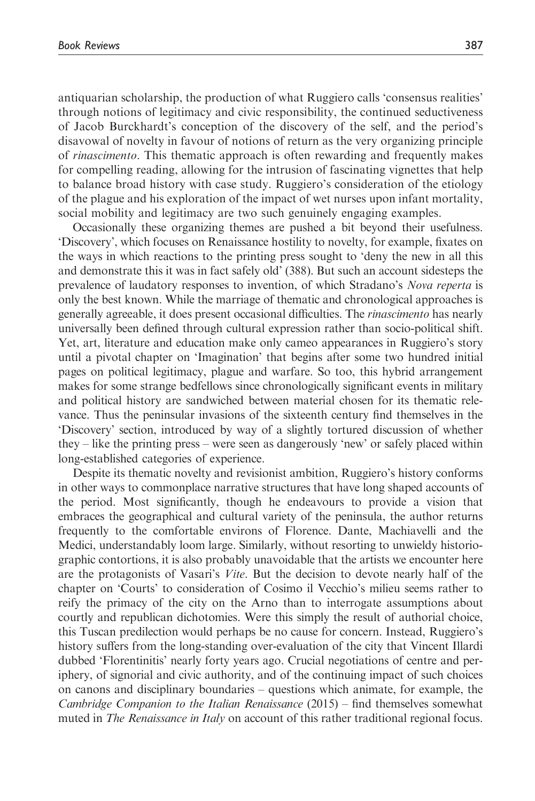antiquarian scholarship, the production of what Ruggiero calls 'consensus realities' through notions of legitimacy and civic responsibility, the continued seductiveness of Jacob Burckhardt's conception of the discovery of the self, and the period's disavowal of novelty in favour of notions of return as the very organizing principle of rinascimento. This thematic approach is often rewarding and frequently makes for compelling reading, allowing for the intrusion of fascinating vignettes that help to balance broad history with case study. Ruggiero's consideration of the etiology of the plague and his exploration of the impact of wet nurses upon infant mortality, social mobility and legitimacy are two such genuinely engaging examples.

Occasionally these organizing themes are pushed a bit beyond their usefulness. 'Discovery', which focuses on Renaissance hostility to novelty, for example, fixates on the ways in which reactions to the printing press sought to 'deny the new in all this and demonstrate this it was in fact safely old' (388). But such an account sidesteps the prevalence of laudatory responses to invention, of which Stradano's Nova reperta is only the best known. While the marriage of thematic and chronological approaches is generally agreeable, it does present occasional difficulties. The rinascimento has nearly universally been defined through cultural expression rather than socio-political shift. Yet, art, literature and education make only cameo appearances in Ruggiero's story until a pivotal chapter on 'Imagination' that begins after some two hundred initial pages on political legitimacy, plague and warfare. So too, this hybrid arrangement makes for some strange bedfellows since chronologically significant events in military and political history are sandwiched between material chosen for its thematic relevance. Thus the peninsular invasions of the sixteenth century find themselves in the 'Discovery' section, introduced by way of a slightly tortured discussion of whether they – like the printing press – were seen as dangerously 'new' or safely placed within long-established categories of experience.

Despite its thematic novelty and revisionist ambition, Ruggiero's history conforms in other ways to commonplace narrative structures that have long shaped accounts of the period. Most significantly, though he endeavours to provide a vision that embraces the geographical and cultural variety of the peninsula, the author returns frequently to the comfortable environs of Florence. Dante, Machiavelli and the Medici, understandably loom large. Similarly, without resorting to unwieldy historiographic contortions, it is also probably unavoidable that the artists we encounter here are the protagonists of Vasari's Vite. But the decision to devote nearly half of the chapter on 'Courts' to consideration of Cosimo il Vecchio's milieu seems rather to reify the primacy of the city on the Arno than to interrogate assumptions about courtly and republican dichotomies. Were this simply the result of authorial choice, this Tuscan predilection would perhaps be no cause for concern. Instead, Ruggiero's history suffers from the long-standing over-evaluation of the city that Vincent Illardi dubbed 'Florentinitis' nearly forty years ago. Crucial negotiations of centre and periphery, of signorial and civic authority, and of the continuing impact of such choices on canons and disciplinary boundaries – questions which animate, for example, the Cambridge Companion to the Italian Renaissance (2015) – find themselves somewhat muted in *The Renaissance in Italy* on account of this rather traditional regional focus.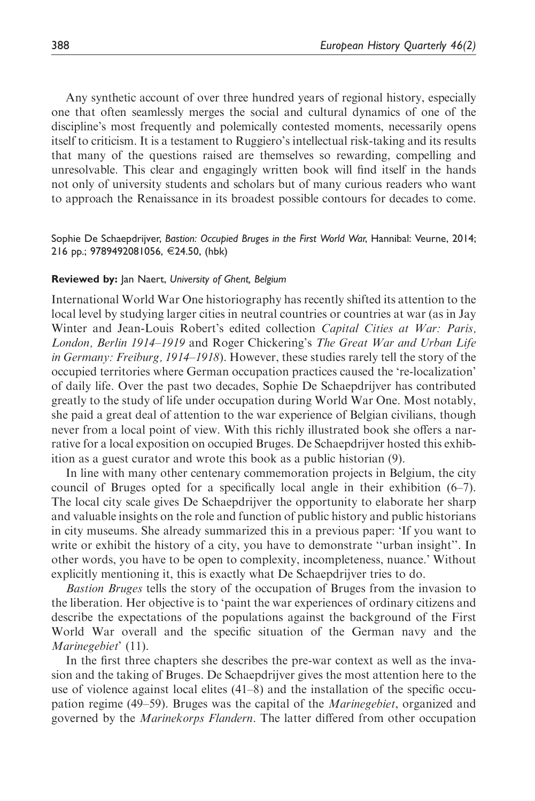Any synthetic account of over three hundred years of regional history, especially one that often seamlessly merges the social and cultural dynamics of one of the discipline's most frequently and polemically contested moments, necessarily opens itself to criticism. It is a testament to Ruggiero's intellectual risk-taking and its results that many of the questions raised are themselves so rewarding, compelling and unresolvable. This clear and engagingly written book will find itself in the hands not only of university students and scholars but of many curious readers who want to approach the Renaissance in its broadest possible contours for decades to come.

# Sophie De Schaepdrijver, Bastion: Occupied Bruges in the First World War, Hannibal: Veurne, 2014; 216 pp.; 9789492081056, E24.50, (hbk)

### **Reviewed by:** Jan Naert, University of Ghent, Belgium

International World War One historiography has recently shifted its attention to the local level by studying larger cities in neutral countries or countries at war (as in Jay Winter and Jean-Louis Robert's edited collection Capital Cities at War: Paris, London, Berlin 1914–1919 and Roger Chickering's The Great War and Urban Life in Germany: Freiburg, 1914–1918). However, these studies rarely tell the story of the occupied territories where German occupation practices caused the 're-localization' of daily life. Over the past two decades, Sophie De Schaepdrijver has contributed greatly to the study of life under occupation during World War One. Most notably, she paid a great deal of attention to the war experience of Belgian civilians, though never from a local point of view. With this richly illustrated book she offers a narrative for a local exposition on occupied Bruges. De Schaepdrijver hosted this exhibition as a guest curator and wrote this book as a public historian (9).

In line with many other centenary commemoration projects in Belgium, the city council of Bruges opted for a specifically local angle in their exhibition (6–7). The local city scale gives De Schaepdrijver the opportunity to elaborate her sharp and valuable insights on the role and function of public history and public historians in city museums. She already summarized this in a previous paper: 'If you want to write or exhibit the history of a city, you have to demonstrate ''urban insight''. In other words, you have to be open to complexity, incompleteness, nuance.' Without explicitly mentioning it, this is exactly what De Schaepdrijver tries to do.

*Bastion Bruges* tells the story of the occupation of Bruges from the invasion to the liberation. Her objective is to 'paint the war experiences of ordinary citizens and describe the expectations of the populations against the background of the First World War overall and the specific situation of the German navy and the Marinegebiet' (11).

In the first three chapters she describes the pre-war context as well as the invasion and the taking of Bruges. De Schaepdrijver gives the most attention here to the use of violence against local elites (41–8) and the installation of the specific occupation regime (49–59). Bruges was the capital of the Marinegebiet, organized and governed by the Marinekorps Flandern. The latter differed from other occupation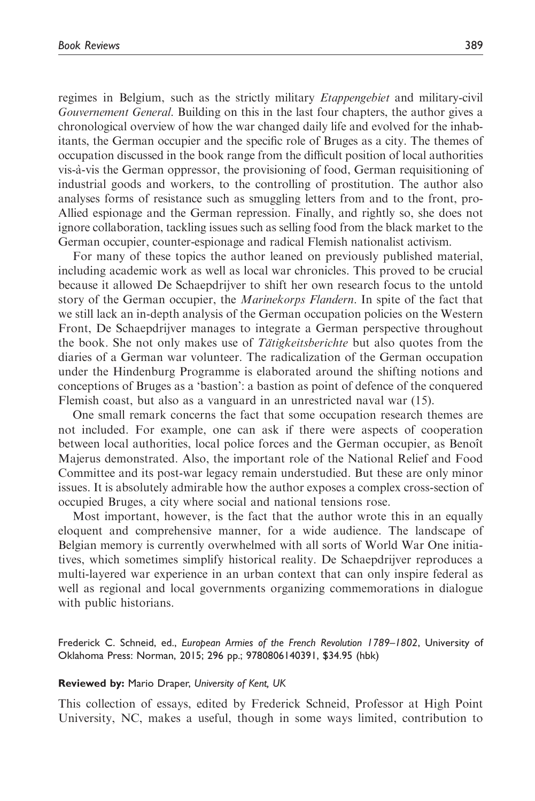regimes in Belgium, such as the strictly military Etappengebiet and military-civil Gouvernement General. Building on this in the last four chapters, the author gives a chronological overview of how the war changed daily life and evolved for the inhabitants, the German occupier and the specific role of Bruges as a city. The themes of occupation discussed in the book range from the difficult position of local authorities vis-a`-vis the German oppressor, the provisioning of food, German requisitioning of industrial goods and workers, to the controlling of prostitution. The author also analyses forms of resistance such as smuggling letters from and to the front, pro-Allied espionage and the German repression. Finally, and rightly so, she does not ignore collaboration, tackling issues such as selling food from the black market to the German occupier, counter-espionage and radical Flemish nationalist activism.

For many of these topics the author leaned on previously published material, including academic work as well as local war chronicles. This proved to be crucial because it allowed De Schaepdrijver to shift her own research focus to the untold story of the German occupier, the Marinekorps Flandern. In spite of the fact that we still lack an in-depth analysis of the German occupation policies on the Western Front, De Schaepdrijver manages to integrate a German perspective throughout the book. She not only makes use of *Tätigkeitsberichte* but also quotes from the diaries of a German war volunteer. The radicalization of the German occupation under the Hindenburg Programme is elaborated around the shifting notions and conceptions of Bruges as a 'bastion': a bastion as point of defence of the conquered Flemish coast, but also as a vanguard in an unrestricted naval war (15).

One small remark concerns the fact that some occupation research themes are not included. For example, one can ask if there were aspects of cooperation between local authorities, local police forces and the German occupier, as Benoît Majerus demonstrated. Also, the important role of the National Relief and Food Committee and its post-war legacy remain understudied. But these are only minor issues. It is absolutely admirable how the author exposes a complex cross-section of occupied Bruges, a city where social and national tensions rose.

Most important, however, is the fact that the author wrote this in an equally eloquent and comprehensive manner, for a wide audience. The landscape of Belgian memory is currently overwhelmed with all sorts of World War One initiatives, which sometimes simplify historical reality. De Schaepdrijver reproduces a multi-layered war experience in an urban context that can only inspire federal as well as regional and local governments organizing commemorations in dialogue with public historians.

Frederick C. Schneid, ed., European Armies of the French Revolution 1789–1802, University of Oklahoma Press: Norman, 2015; 296 pp.; 9780806140391, \$34.95 (hbk)

#### Reviewed by: Mario Draper, University of Kent, UK

This collection of essays, edited by Frederick Schneid, Professor at High Point University, NC, makes a useful, though in some ways limited, contribution to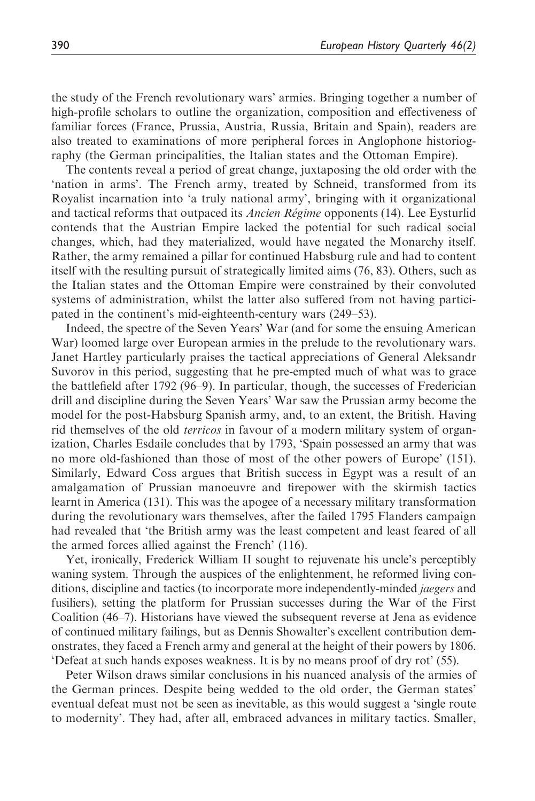the study of the French revolutionary wars' armies. Bringing together a number of high-profile scholars to outline the organization, composition and effectiveness of familiar forces (France, Prussia, Austria, Russia, Britain and Spain), readers are also treated to examinations of more peripheral forces in Anglophone historiography (the German principalities, the Italian states and the Ottoman Empire).

The contents reveal a period of great change, juxtaposing the old order with the 'nation in arms'. The French army, treated by Schneid, transformed from its Royalist incarnation into 'a truly national army', bringing with it organizational and tactical reforms that outpaced its *Ancien Régime* opponents (14). Lee Eysturlid contends that the Austrian Empire lacked the potential for such radical social changes, which, had they materialized, would have negated the Monarchy itself. Rather, the army remained a pillar for continued Habsburg rule and had to content itself with the resulting pursuit of strategically limited aims (76, 83). Others, such as the Italian states and the Ottoman Empire were constrained by their convoluted systems of administration, whilst the latter also suffered from not having participated in the continent's mid-eighteenth-century wars (249–53).

Indeed, the spectre of the Seven Years' War (and for some the ensuing American War) loomed large over European armies in the prelude to the revolutionary wars. Janet Hartley particularly praises the tactical appreciations of General Aleksandr Suvorov in this period, suggesting that he pre-empted much of what was to grace the battlefield after 1792 (96–9). In particular, though, the successes of Frederician drill and discipline during the Seven Years' War saw the Prussian army become the model for the post-Habsburg Spanish army, and, to an extent, the British. Having rid themselves of the old terricos in favour of a modern military system of organization, Charles Esdaile concludes that by 1793, 'Spain possessed an army that was no more old-fashioned than those of most of the other powers of Europe' (151). Similarly, Edward Coss argues that British success in Egypt was a result of an amalgamation of Prussian manoeuvre and firepower with the skirmish tactics learnt in America (131). This was the apogee of a necessary military transformation during the revolutionary wars themselves, after the failed 1795 Flanders campaign had revealed that 'the British army was the least competent and least feared of all the armed forces allied against the French' (116).

Yet, ironically, Frederick William II sought to rejuvenate his uncle's perceptibly waning system. Through the auspices of the enlightenment, he reformed living conditions, discipline and tactics (to incorporate more independently-minded *jaegers* and fusiliers), setting the platform for Prussian successes during the War of the First Coalition (46–7). Historians have viewed the subsequent reverse at Jena as evidence of continued military failings, but as Dennis Showalter's excellent contribution demonstrates, they faced a French army and general at the height of their powers by 1806. 'Defeat at such hands exposes weakness. It is by no means proof of dry rot' (55).

Peter Wilson draws similar conclusions in his nuanced analysis of the armies of the German princes. Despite being wedded to the old order, the German states' eventual defeat must not be seen as inevitable, as this would suggest a 'single route to modernity'. They had, after all, embraced advances in military tactics. Smaller,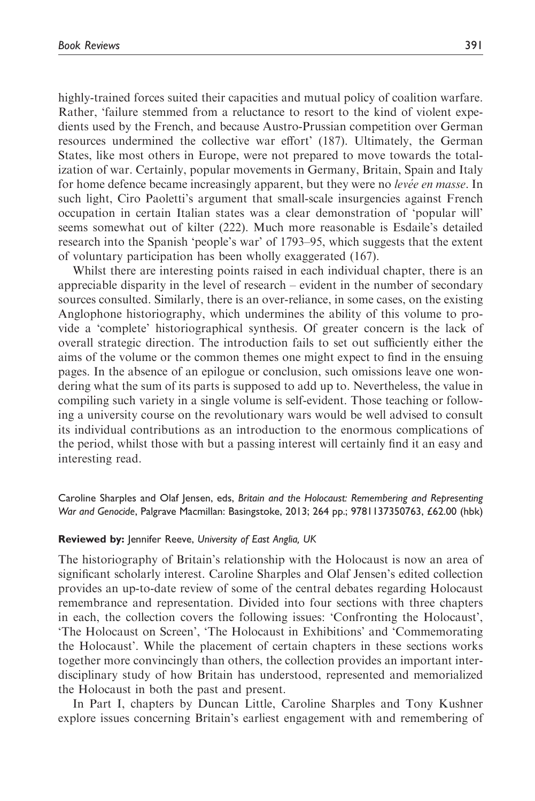highly-trained forces suited their capacities and mutual policy of coalition warfare. Rather, 'failure stemmed from a reluctance to resort to the kind of violent expedients used by the French, and because Austro-Prussian competition over German resources undermined the collective war effort' (187). Ultimately, the German States, like most others in Europe, were not prepared to move towards the totalization of war. Certainly, popular movements in Germany, Britain, Spain and Italy for home defence became increasingly apparent, but they were no *levée en masse*. In such light, Ciro Paoletti's argument that small-scale insurgencies against French occupation in certain Italian states was a clear demonstration of 'popular will' seems somewhat out of kilter (222). Much more reasonable is Esdaile's detailed research into the Spanish 'people's war' of 1793–95, which suggests that the extent of voluntary participation has been wholly exaggerated (167).

Whilst there are interesting points raised in each individual chapter, there is an appreciable disparity in the level of research – evident in the number of secondary sources consulted. Similarly, there is an over-reliance, in some cases, on the existing Anglophone historiography, which undermines the ability of this volume to provide a 'complete' historiographical synthesis. Of greater concern is the lack of overall strategic direction. The introduction fails to set out sufficiently either the aims of the volume or the common themes one might expect to find in the ensuing pages. In the absence of an epilogue or conclusion, such omissions leave one wondering what the sum of its parts is supposed to add up to. Nevertheless, the value in compiling such variety in a single volume is self-evident. Those teaching or following a university course on the revolutionary wars would be well advised to consult its individual contributions as an introduction to the enormous complications of the period, whilst those with but a passing interest will certainly find it an easy and interesting read.

Caroline Sharples and Olaf Jensen, eds, Britain and the Holocaust: Remembering and Representing War and Genocide, Palgrave Macmillan: Basingstoke, 2013; 264 pp.; 9781137350763, £62.00 (hbk)

#### Reviewed by: Jennifer Reeve, University of East Anglia, UK

The historiography of Britain's relationship with the Holocaust is now an area of significant scholarly interest. Caroline Sharples and Olaf Jensen's edited collection provides an up-to-date review of some of the central debates regarding Holocaust remembrance and representation. Divided into four sections with three chapters in each, the collection covers the following issues: 'Confronting the Holocaust', 'The Holocaust on Screen', 'The Holocaust in Exhibitions' and 'Commemorating the Holocaust'. While the placement of certain chapters in these sections works together more convincingly than others, the collection provides an important interdisciplinary study of how Britain has understood, represented and memorialized the Holocaust in both the past and present.

In Part I, chapters by Duncan Little, Caroline Sharples and Tony Kushner explore issues concerning Britain's earliest engagement with and remembering of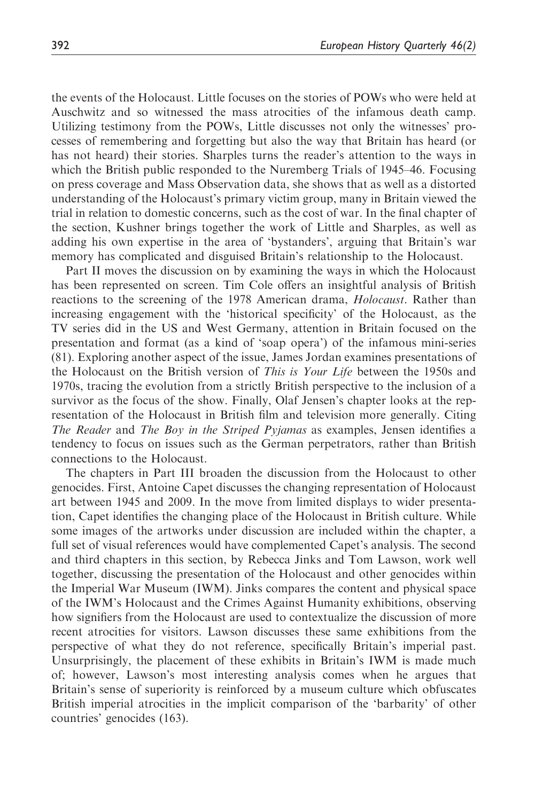the events of the Holocaust. Little focuses on the stories of POWs who were held at Auschwitz and so witnessed the mass atrocities of the infamous death camp. Utilizing testimony from the POWs, Little discusses not only the witnesses' processes of remembering and forgetting but also the way that Britain has heard (or has not heard) their stories. Sharples turns the reader's attention to the ways in which the British public responded to the Nuremberg Trials of 1945–46. Focusing on press coverage and Mass Observation data, she shows that as well as a distorted understanding of the Holocaust's primary victim group, many in Britain viewed the trial in relation to domestic concerns, such as the cost of war. In the final chapter of the section, Kushner brings together the work of Little and Sharples, as well as adding his own expertise in the area of 'bystanders', arguing that Britain's war memory has complicated and disguised Britain's relationship to the Holocaust.

Part II moves the discussion on by examining the ways in which the Holocaust has been represented on screen. Tim Cole offers an insightful analysis of British reactions to the screening of the 1978 American drama, *Holocaust*. Rather than increasing engagement with the 'historical specificity' of the Holocaust, as the TV series did in the US and West Germany, attention in Britain focused on the presentation and format (as a kind of 'soap opera') of the infamous mini-series (81). Exploring another aspect of the issue, James Jordan examines presentations of the Holocaust on the British version of This is Your Life between the 1950s and 1970s, tracing the evolution from a strictly British perspective to the inclusion of a survivor as the focus of the show. Finally, Olaf Jensen's chapter looks at the representation of the Holocaust in British film and television more generally. Citing The Reader and The Boy in the Striped Pyjamas as examples, Jensen identifies a tendency to focus on issues such as the German perpetrators, rather than British connections to the Holocaust.

The chapters in Part III broaden the discussion from the Holocaust to other genocides. First, Antoine Capet discusses the changing representation of Holocaust art between 1945 and 2009. In the move from limited displays to wider presentation, Capet identifies the changing place of the Holocaust in British culture. While some images of the artworks under discussion are included within the chapter, a full set of visual references would have complemented Capet's analysis. The second and third chapters in this section, by Rebecca Jinks and Tom Lawson, work well together, discussing the presentation of the Holocaust and other genocides within the Imperial War Museum (IWM). Jinks compares the content and physical space of the IWM's Holocaust and the Crimes Against Humanity exhibitions, observing how signifiers from the Holocaust are used to contextualize the discussion of more recent atrocities for visitors. Lawson discusses these same exhibitions from the perspective of what they do not reference, specifically Britain's imperial past. Unsurprisingly, the placement of these exhibits in Britain's IWM is made much of; however, Lawson's most interesting analysis comes when he argues that Britain's sense of superiority is reinforced by a museum culture which obfuscates British imperial atrocities in the implicit comparison of the 'barbarity' of other countries' genocides (163).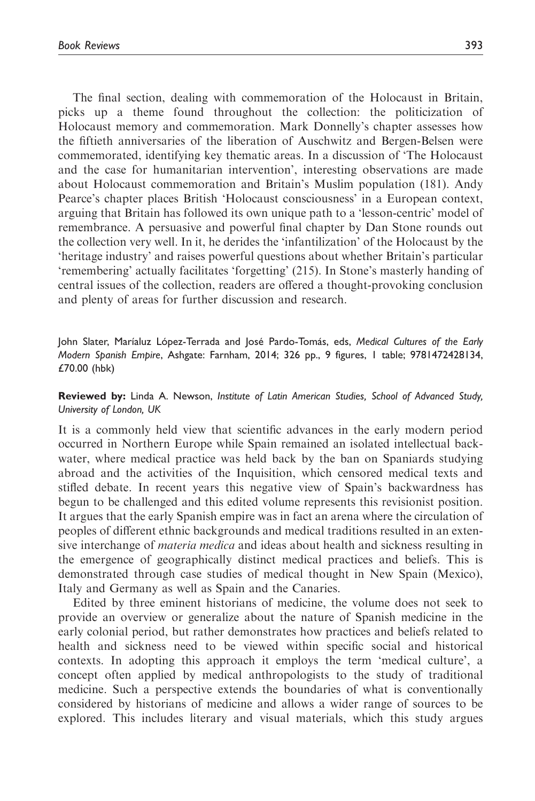The final section, dealing with commemoration of the Holocaust in Britain, picks up a theme found throughout the collection: the politicization of Holocaust memory and commemoration. Mark Donnelly's chapter assesses how the fiftieth anniversaries of the liberation of Auschwitz and Bergen-Belsen were commemorated, identifying key thematic areas. In a discussion of 'The Holocaust and the case for humanitarian intervention', interesting observations are made about Holocaust commemoration and Britain's Muslim population (181). Andy Pearce's chapter places British 'Holocaust consciousness' in a European context, arguing that Britain has followed its own unique path to a 'lesson-centric' model of remembrance. A persuasive and powerful final chapter by Dan Stone rounds out the collection very well. In it, he derides the 'infantilization' of the Holocaust by the 'heritage industry' and raises powerful questions about whether Britain's particular 'remembering' actually facilitates 'forgetting' (215). In Stone's masterly handing of central issues of the collection, readers are offered a thought-provoking conclusion and plenty of areas for further discussion and research.

John Slater, Maríaluz López-Terrada and José Pardo-Tomás, eds, Medical Cultures of the Early Modern Spanish Empire, Ashgate: Farnham, 2014; 326 pp., 9 figures, 1 table; 9781472428134, £70.00 (hbk)

Reviewed by: Linda A. Newson, Institute of Latin American Studies, School of Advanced Study, University of London, UK

It is a commonly held view that scientific advances in the early modern period occurred in Northern Europe while Spain remained an isolated intellectual backwater, where medical practice was held back by the ban on Spaniards studying abroad and the activities of the Inquisition, which censored medical texts and stifled debate. In recent years this negative view of Spain's backwardness has begun to be challenged and this edited volume represents this revisionist position. It argues that the early Spanish empire was in fact an arena where the circulation of peoples of different ethnic backgrounds and medical traditions resulted in an extensive interchange of materia medica and ideas about health and sickness resulting in the emergence of geographically distinct medical practices and beliefs. This is demonstrated through case studies of medical thought in New Spain (Mexico), Italy and Germany as well as Spain and the Canaries.

Edited by three eminent historians of medicine, the volume does not seek to provide an overview or generalize about the nature of Spanish medicine in the early colonial period, but rather demonstrates how practices and beliefs related to health and sickness need to be viewed within specific social and historical contexts. In adopting this approach it employs the term 'medical culture', a concept often applied by medical anthropologists to the study of traditional medicine. Such a perspective extends the boundaries of what is conventionally considered by historians of medicine and allows a wider range of sources to be explored. This includes literary and visual materials, which this study argues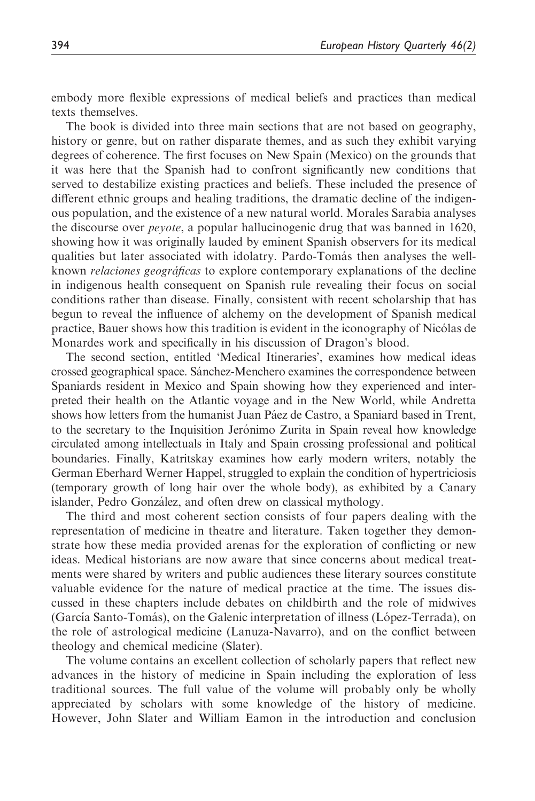embody more flexible expressions of medical beliefs and practices than medical texts themselves.

The book is divided into three main sections that are not based on geography, history or genre, but on rather disparate themes, and as such they exhibit varying degrees of coherence. The first focuses on New Spain (Mexico) on the grounds that it was here that the Spanish had to confront significantly new conditions that served to destabilize existing practices and beliefs. These included the presence of different ethnic groups and healing traditions, the dramatic decline of the indigenous population, and the existence of a new natural world. Morales Sarabia analyses the discourse over peyote, a popular hallucinogenic drug that was banned in 1620, showing how it was originally lauded by eminent Spanish observers for its medical qualities but later associated with idolatry. Pardo-Toma´s then analyses the wellknown *relaciones geográficas* to explore contemporary explanations of the decline in indigenous health consequent on Spanish rule revealing their focus on social conditions rather than disease. Finally, consistent with recent scholarship that has begun to reveal the influence of alchemy on the development of Spanish medical practice, Bauer shows how this tradition is evident in the iconography of Nicólas de Monardes work and specifically in his discussion of Dragon's blood.

The second section, entitled 'Medical Itineraries', examines how medical ideas crossed geographical space. Sa´nchez-Menchero examines the correspondence between Spaniards resident in Mexico and Spain showing how they experienced and interpreted their health on the Atlantic voyage and in the New World, while Andretta shows how letters from the humanist Juan Páez de Castro, a Spaniard based in Trent, to the secretary to the Inquisition Jero´nimo Zurita in Spain reveal how knowledge circulated among intellectuals in Italy and Spain crossing professional and political boundaries. Finally, Katritskay examines how early modern writers, notably the German Eberhard Werner Happel, struggled to explain the condition of hypertriciosis (temporary growth of long hair over the whole body), as exhibited by a Canary islander, Pedro González, and often drew on classical mythology.

The third and most coherent section consists of four papers dealing with the representation of medicine in theatre and literature. Taken together they demonstrate how these media provided arenas for the exploration of conflicting or new ideas. Medical historians are now aware that since concerns about medical treatments were shared by writers and public audiences these literary sources constitute valuable evidence for the nature of medical practice at the time. The issues discussed in these chapters include debates on childbirth and the role of midwives (García Santo-Tomás), on the Galenic interpretation of illness (López-Terrada), on the role of astrological medicine (Lanuza-Navarro), and on the conflict between theology and chemical medicine (Slater).

The volume contains an excellent collection of scholarly papers that reflect new advances in the history of medicine in Spain including the exploration of less traditional sources. The full value of the volume will probably only be wholly appreciated by scholars with some knowledge of the history of medicine. However, John Slater and William Eamon in the introduction and conclusion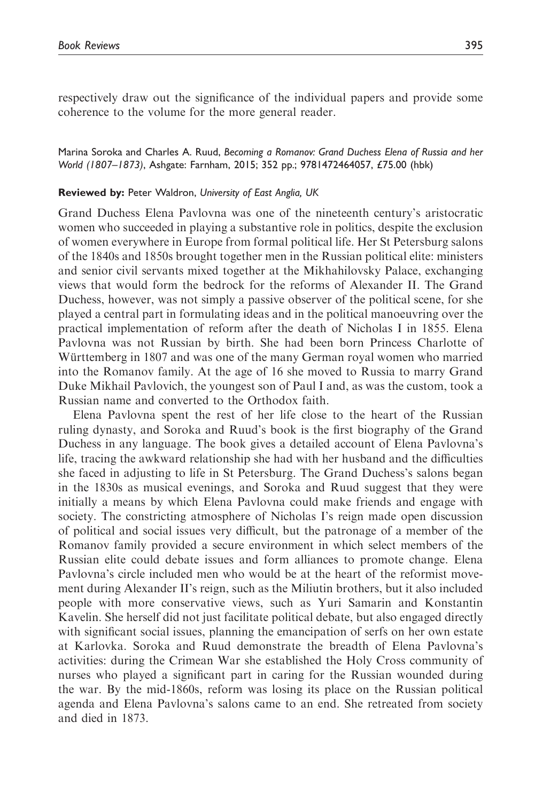respectively draw out the significance of the individual papers and provide some coherence to the volume for the more general reader.

Marina Soroka and Charles A. Ruud, Becoming a Romanov: Grand Duchess Elena of Russia and her World (1807–1873), Ashgate: Farnham, 2015; 352 pp.; 9781472464057, £75.00 (hbk)

## Reviewed by: Peter Waldron, University of East Anglia, UK

Grand Duchess Elena Pavlovna was one of the nineteenth century's aristocratic women who succeeded in playing a substantive role in politics, despite the exclusion of women everywhere in Europe from formal political life. Her St Petersburg salons of the 1840s and 1850s brought together men in the Russian political elite: ministers and senior civil servants mixed together at the Mikhahilovsky Palace, exchanging views that would form the bedrock for the reforms of Alexander II. The Grand Duchess, however, was not simply a passive observer of the political scene, for she played a central part in formulating ideas and in the political manoeuvring over the practical implementation of reform after the death of Nicholas I in 1855. Elena Pavlovna was not Russian by birth. She had been born Princess Charlotte of Württemberg in 1807 and was one of the many German royal women who married into the Romanov family. At the age of 16 she moved to Russia to marry Grand Duke Mikhail Pavlovich, the youngest son of Paul I and, as was the custom, took a Russian name and converted to the Orthodox faith.

Elena Pavlovna spent the rest of her life close to the heart of the Russian ruling dynasty, and Soroka and Ruud's book is the first biography of the Grand Duchess in any language. The book gives a detailed account of Elena Pavlovna's life, tracing the awkward relationship she had with her husband and the difficulties she faced in adjusting to life in St Petersburg. The Grand Duchess's salons began in the 1830s as musical evenings, and Soroka and Ruud suggest that they were initially a means by which Elena Pavlovna could make friends and engage with society. The constricting atmosphere of Nicholas I's reign made open discussion of political and social issues very difficult, but the patronage of a member of the Romanov family provided a secure environment in which select members of the Russian elite could debate issues and form alliances to promote change. Elena Pavlovna's circle included men who would be at the heart of the reformist movement during Alexander II's reign, such as the Miliutin brothers, but it also included people with more conservative views, such as Yuri Samarin and Konstantin Kavelin. She herself did not just facilitate political debate, but also engaged directly with significant social issues, planning the emancipation of serfs on her own estate at Karlovka. Soroka and Ruud demonstrate the breadth of Elena Pavlovna's activities: during the Crimean War she established the Holy Cross community of nurses who played a significant part in caring for the Russian wounded during the war. By the mid-1860s, reform was losing its place on the Russian political agenda and Elena Pavlovna's salons came to an end. She retreated from society and died in 1873.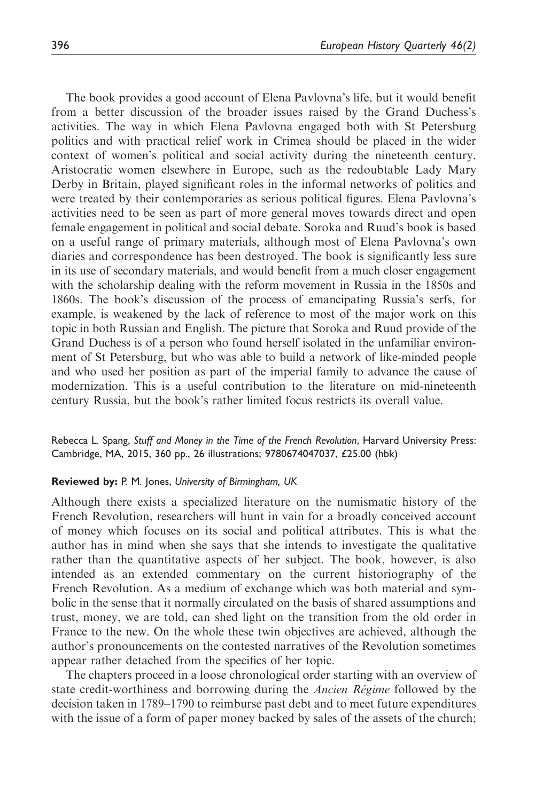The book provides a good account of Elena Pavlovna's life, but it would benefit from a better discussion of the broader issues raised by the Grand Duchess's activities. The way in which Elena Pavlovna engaged both with St Petersburg politics and with practical relief work in Crimea should be placed in the wider context of women's political and social activity during the nineteenth century. Aristocratic women elsewhere in Europe, such as the redoubtable Lady Mary Derby in Britain, played significant roles in the informal networks of politics and were treated by their contemporaries as serious political figures. Elena Pavlovna's activities need to be seen as part of more general moves towards direct and open female engagement in political and social debate. Soroka and Ruud's book is based on a useful range of primary materials, although most of Elena Pavlovna's own diaries and correspondence has been destroyed. The book is significantly less sure in its use of secondary materials, and would benefit from a much closer engagement with the scholarship dealing with the reform movement in Russia in the 1850s and 1860s. The book's discussion of the process of emancipating Russia's serfs, for example, is weakened by the lack of reference to most of the major work on this topic in both Russian and English. The picture that Soroka and Ruud provide of the Grand Duchess is of a person who found herself isolated in the unfamiliar environment of St Petersburg, but who was able to build a network of like-minded people and who used her position as part of the imperial family to advance the cause of modernization. This is a useful contribution to the literature on mid-nineteenth century Russia, but the book's rather limited focus restricts its overall value.

Rebecca L. Spang, Stuff and Money in the Time of the French Revolution, Harvard University Press: Cambridge, MA, 2015, 360 pp., 26 illustrations; 9780674047037, £25.00 (hbk)

#### Reviewed by: P. M. Jones, University of Birmingham, UK

Although there exists a specialized literature on the numismatic history of the French Revolution, researchers will hunt in vain for a broadly conceived account of money which focuses on its social and political attributes. This is what the author has in mind when she says that she intends to investigate the qualitative rather than the quantitative aspects of her subject. The book, however, is also intended as an extended commentary on the current historiography of the French Revolution. As a medium of exchange which was both material and symbolic in the sense that it normally circulated on the basis of shared assumptions and trust, money, we are told, can shed light on the transition from the old order in France to the new. On the whole these twin objectives are achieved, although the author's pronouncements on the contested narratives of the Revolution sometimes appear rather detached from the specifics of her topic.

The chapters proceed in a loose chronological order starting with an overview of state credit-worthiness and borrowing during the *Ancien Régime* followed by the decision taken in 1789–1790 to reimburse past debt and to meet future expenditures with the issue of a form of paper money backed by sales of the assets of the church;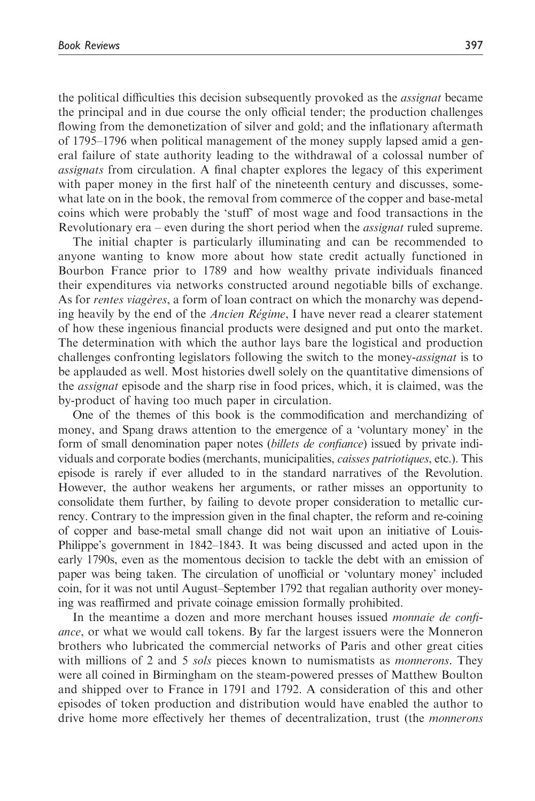the political difficulties this decision subsequently provoked as the assignat became the principal and in due course the only official tender; the production challenges flowing from the demonetization of silver and gold; and the inflationary aftermath of 1795–1796 when political management of the money supply lapsed amid a general failure of state authority leading to the withdrawal of a colossal number of assignats from circulation. A final chapter explores the legacy of this experiment with paper money in the first half of the nineteenth century and discusses, somewhat late on in the book, the removal from commerce of the copper and base-metal coins which were probably the 'stuff' of most wage and food transactions in the Revolutionary era – even during the short period when the assignat ruled supreme.

The initial chapter is particularly illuminating and can be recommended to anyone wanting to know more about how state credit actually functioned in Bourbon France prior to 1789 and how wealthy private individuals financed their expenditures via networks constructed around negotiable bills of exchange. As for *rentes viagères*, a form of loan contract on which the monarchy was depending heavily by the end of the *Ancien Régime*, I have never read a clearer statement of how these ingenious financial products were designed and put onto the market. The determination with which the author lays bare the logistical and production challenges confronting legislators following the switch to the money-assignat is to be applauded as well. Most histories dwell solely on the quantitative dimensions of the assignat episode and the sharp rise in food prices, which, it is claimed, was the by-product of having too much paper in circulation.

One of the themes of this book is the commodification and merchandizing of money, and Spang draws attention to the emergence of a 'voluntary money' in the form of small denomination paper notes *(billets de confiance)* issued by private individuals and corporate bodies (merchants, municipalities, caisses patriotiques, etc.). This episode is rarely if ever alluded to in the standard narratives of the Revolution. However, the author weakens her arguments, or rather misses an opportunity to consolidate them further, by failing to devote proper consideration to metallic currency. Contrary to the impression given in the final chapter, the reform and re-coining of copper and base-metal small change did not wait upon an initiative of Louis-Philippe's government in 1842–1843. It was being discussed and acted upon in the early 1790s, even as the momentous decision to tackle the debt with an emission of paper was being taken. The circulation of unofficial or 'voluntary money' included coin, for it was not until August–September 1792 that regalian authority over moneying was reaffirmed and private coinage emission formally prohibited.

In the meantime a dozen and more merchant houses issued monnaie de confiance, or what we would call tokens. By far the largest issuers were the Monneron brothers who lubricated the commercial networks of Paris and other great cities with millions of 2 and 5 *sols* pieces known to numismatists as *monnerons*. They were all coined in Birmingham on the steam-powered presses of Matthew Boulton and shipped over to France in 1791 and 1792. A consideration of this and other episodes of token production and distribution would have enabled the author to drive home more effectively her themes of decentralization, trust (the monnerons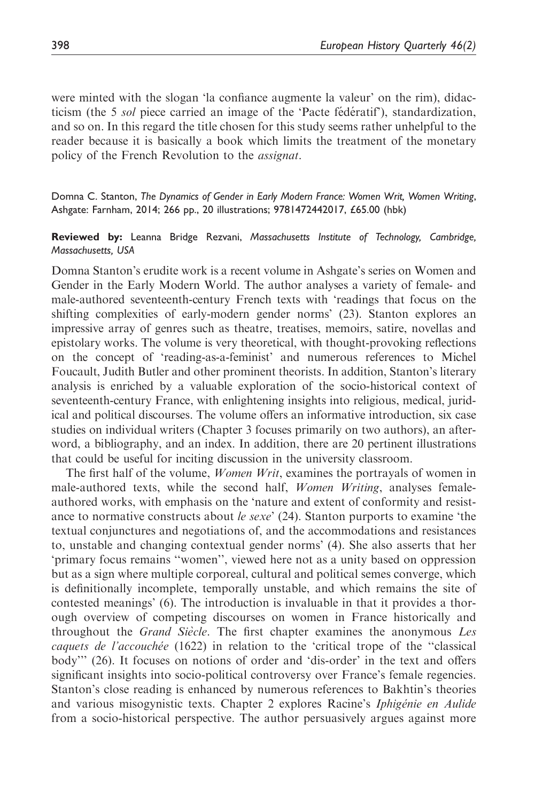were minted with the slogan 'la confiance augmente la valeur' on the rim), didacticism (the 5 sol piece carried an image of the 'Pacte federatif'), standardization, and so on. In this regard the title chosen for this study seems rather unhelpful to the reader because it is basically a book which limits the treatment of the monetary policy of the French Revolution to the assignat.

Domna C. Stanton, The Dynamics of Gender in Early Modern France: Women Writ, Women Writing, Ashgate: Farnham, 2014; 266 pp., 20 illustrations; 9781472442017, £65.00 (hbk)

Reviewed by: Leanna Bridge Rezvani, Massachusetts Institute of Technology, Cambridge, Massachusetts, USA

Domna Stanton's erudite work is a recent volume in Ashgate's series on Women and Gender in the Early Modern World. The author analyses a variety of female- and male-authored seventeenth-century French texts with 'readings that focus on the shifting complexities of early-modern gender norms' (23). Stanton explores an impressive array of genres such as theatre, treatises, memoirs, satire, novellas and epistolary works. The volume is very theoretical, with thought-provoking reflections on the concept of 'reading-as-a-feminist' and numerous references to Michel Foucault, Judith Butler and other prominent theorists. In addition, Stanton's literary analysis is enriched by a valuable exploration of the socio-historical context of seventeenth-century France, with enlightening insights into religious, medical, juridical and political discourses. The volume offers an informative introduction, six case studies on individual writers (Chapter 3 focuses primarily on two authors), an afterword, a bibliography, and an index. In addition, there are 20 pertinent illustrations that could be useful for inciting discussion in the university classroom.

The first half of the volume, *Women Writ*, examines the portrayals of women in male-authored texts, while the second half, *Women Writing*, analyses femaleauthored works, with emphasis on the 'nature and extent of conformity and resistance to normative constructs about *le sexe*' (24). Stanton purports to examine 'the textual conjunctures and negotiations of, and the accommodations and resistances to, unstable and changing contextual gender norms' (4). She also asserts that her 'primary focus remains ''women'', viewed here not as a unity based on oppression but as a sign where multiple corporeal, cultural and political semes converge, which is definitionally incomplete, temporally unstable, and which remains the site of contested meanings' (6). The introduction is invaluable in that it provides a thorough overview of competing discourses on women in France historically and throughout the *Grand Siècle*. The first chapter examines the anonymous Les caquets de l'accouchée (1622) in relation to the 'critical trope of the "classical body''' (26). It focuses on notions of order and 'dis-order' in the text and offers significant insights into socio-political controversy over France's female regencies. Stanton's close reading is enhanced by numerous references to Bakhtin's theories and various misogynistic texts. Chapter 2 explores Racine's *Iphigénie en Aulide* from a socio-historical perspective. The author persuasively argues against more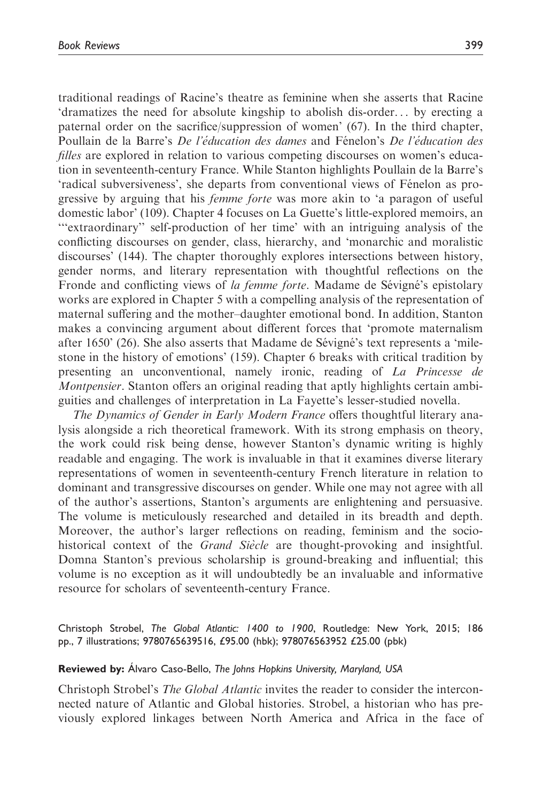traditional readings of Racine's theatre as feminine when she asserts that Racine 'dramatizes the need for absolute kingship to abolish dis-order... by erecting a paternal order on the sacrifice/suppression of women' (67). In the third chapter, Poullain de la Barre's *De l'éducation des dames* and Fénelon's *De l'éducation des* filles are explored in relation to various competing discourses on women's education in seventeenth-century France. While Stanton highlights Poullain de la Barre's 'radical subversiveness', she departs from conventional views of Fénelon as progressive by arguing that his femme forte was more akin to 'a paragon of useful domestic labor' (109). Chapter 4 focuses on La Guette's little-explored memoirs, an '''extraordinary'' self-production of her time' with an intriguing analysis of the conflicting discourses on gender, class, hierarchy, and 'monarchic and moralistic discourses' (144). The chapter thoroughly explores intersections between history, gender norms, and literary representation with thoughtful reflections on the Fronde and conflicting views of *la femme forte*. Madame de Sévigné's epistolary works are explored in Chapter 5 with a compelling analysis of the representation of maternal suffering and the mother–daughter emotional bond. In addition, Stanton makes a convincing argument about different forces that 'promote maternalism after 1650' (26). She also asserts that Madame de Sévigné's text represents a 'milestone in the history of emotions' (159). Chapter 6 breaks with critical tradition by presenting an unconventional, namely ironic, reading of La Princesse de Montpensier. Stanton offers an original reading that aptly highlights certain ambiguities and challenges of interpretation in La Fayette's lesser-studied novella.

The Dynamics of Gender in Early Modern France offers thoughtful literary analysis alongside a rich theoretical framework. With its strong emphasis on theory, the work could risk being dense, however Stanton's dynamic writing is highly readable and engaging. The work is invaluable in that it examines diverse literary representations of women in seventeenth-century French literature in relation to dominant and transgressive discourses on gender. While one may not agree with all of the author's assertions, Stanton's arguments are enlightening and persuasive. The volume is meticulously researched and detailed in its breadth and depth. Moreover, the author's larger reflections on reading, feminism and the sociohistorical context of the *Grand Siècle* are thought-provoking and insightful. Domna Stanton's previous scholarship is ground-breaking and influential; this volume is no exception as it will undoubtedly be an invaluable and informative resource for scholars of seventeenth-century France.

Christoph Strobel, The Global Atlantic: 1400 to 1900, Routledge: New York, 2015; 186 pp., 7 illustrations; 9780765639516, £95.00 (hbk); 978076563952 £25.00 (pbk)

## Reviewed by: Alvaro Caso-Bello, The Johns Hopkins University, Maryland, USA

Christoph Strobel's The Global Atlantic invites the reader to consider the interconnected nature of Atlantic and Global histories. Strobel, a historian who has previously explored linkages between North America and Africa in the face of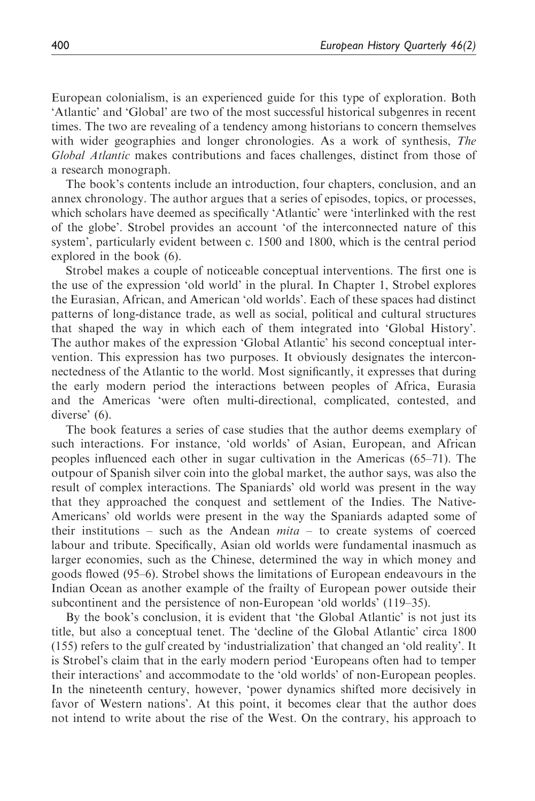European colonialism, is an experienced guide for this type of exploration. Both 'Atlantic' and 'Global' are two of the most successful historical subgenres in recent times. The two are revealing of a tendency among historians to concern themselves with wider geographies and longer chronologies. As a work of synthesis, The Global Atlantic makes contributions and faces challenges, distinct from those of a research monograph.

The book's contents include an introduction, four chapters, conclusion, and an annex chronology. The author argues that a series of episodes, topics, or processes, which scholars have deemed as specifically 'Atlantic' were 'interlinked with the rest of the globe'. Strobel provides an account 'of the interconnected nature of this system', particularly evident between c. 1500 and 1800, which is the central period explored in the book (6).

Strobel makes a couple of noticeable conceptual interventions. The first one is the use of the expression 'old world' in the plural. In Chapter 1, Strobel explores the Eurasian, African, and American 'old worlds'. Each of these spaces had distinct patterns of long-distance trade, as well as social, political and cultural structures that shaped the way in which each of them integrated into 'Global History'. The author makes of the expression 'Global Atlantic' his second conceptual intervention. This expression has two purposes. It obviously designates the interconnectedness of the Atlantic to the world. Most significantly, it expresses that during the early modern period the interactions between peoples of Africa, Eurasia and the Americas 'were often multi-directional, complicated, contested, and diverse' (6).

The book features a series of case studies that the author deems exemplary of such interactions. For instance, 'old worlds' of Asian, European, and African peoples influenced each other in sugar cultivation in the Americas (65–71). The outpour of Spanish silver coin into the global market, the author says, was also the result of complex interactions. The Spaniards' old world was present in the way that they approached the conquest and settlement of the Indies. The Native-Americans' old worlds were present in the way the Spaniards adapted some of their institutions – such as the Andean  $mita$  – to create systems of coerced labour and tribute. Specifically, Asian old worlds were fundamental inasmuch as larger economies, such as the Chinese, determined the way in which money and goods flowed (95–6). Strobel shows the limitations of European endeavours in the Indian Ocean as another example of the frailty of European power outside their subcontinent and the persistence of non-European 'old worlds' (119–35).

By the book's conclusion, it is evident that 'the Global Atlantic' is not just its title, but also a conceptual tenet. The 'decline of the Global Atlantic' circa 1800 (155) refers to the gulf created by 'industrialization' that changed an 'old reality'. It is Strobel's claim that in the early modern period 'Europeans often had to temper their interactions' and accommodate to the 'old worlds' of non-European peoples. In the nineteenth century, however, 'power dynamics shifted more decisively in favor of Western nations'. At this point, it becomes clear that the author does not intend to write about the rise of the West. On the contrary, his approach to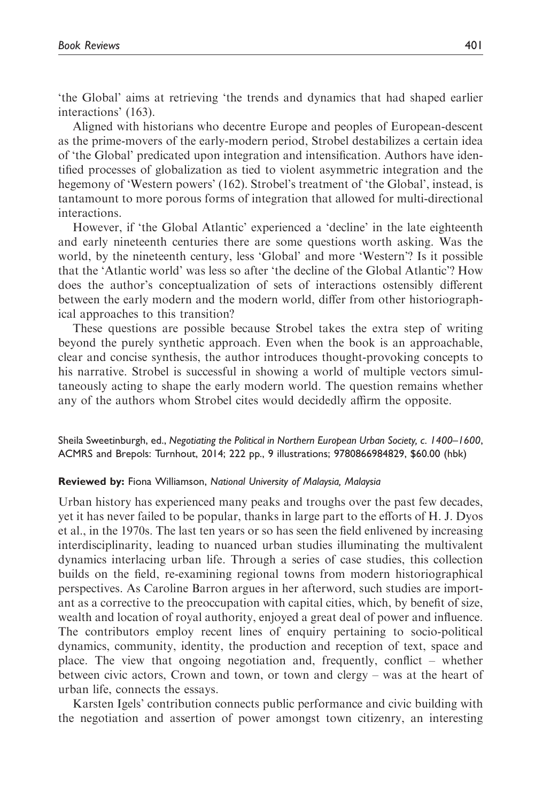'the Global' aims at retrieving 'the trends and dynamics that had shaped earlier interactions' (163).

Aligned with historians who decentre Europe and peoples of European-descent as the prime-movers of the early-modern period, Strobel destabilizes a certain idea of 'the Global' predicated upon integration and intensification. Authors have identified processes of globalization as tied to violent asymmetric integration and the hegemony of 'Western powers' (162). Strobel's treatment of 'the Global', instead, is tantamount to more porous forms of integration that allowed for multi-directional interactions.

However, if 'the Global Atlantic' experienced a 'decline' in the late eighteenth and early nineteenth centuries there are some questions worth asking. Was the world, by the nineteenth century, less 'Global' and more 'Western'? Is it possible that the 'Atlantic world' was less so after 'the decline of the Global Atlantic'? How does the author's conceptualization of sets of interactions ostensibly different between the early modern and the modern world, differ from other historiographical approaches to this transition?

These questions are possible because Strobel takes the extra step of writing beyond the purely synthetic approach. Even when the book is an approachable, clear and concise synthesis, the author introduces thought-provoking concepts to his narrative. Strobel is successful in showing a world of multiple vectors simultaneously acting to shape the early modern world. The question remains whether any of the authors whom Strobel cites would decidedly affirm the opposite.

Sheila Sweetinburgh, ed., Negotiating the Political in Northern European Urban Society, c. 1400–1600, ACMRS and Brepols: Turnhout, 2014; 222 pp., 9 illustrations; 9780866984829, \$60.00 (hbk)

## Reviewed by: Fiona Williamson, National University of Malaysia, Malaysia

Urban history has experienced many peaks and troughs over the past few decades, yet it has never failed to be popular, thanks in large part to the efforts of H. J. Dyos et al., in the 1970s. The last ten years or so has seen the field enlivened by increasing interdisciplinarity, leading to nuanced urban studies illuminating the multivalent dynamics interlacing urban life. Through a series of case studies, this collection builds on the field, re-examining regional towns from modern historiographical perspectives. As Caroline Barron argues in her afterword, such studies are important as a corrective to the preoccupation with capital cities, which, by benefit of size, wealth and location of royal authority, enjoyed a great deal of power and influence. The contributors employ recent lines of enquiry pertaining to socio-political dynamics, community, identity, the production and reception of text, space and place. The view that ongoing negotiation and, frequently, conflict – whether between civic actors, Crown and town, or town and clergy – was at the heart of urban life, connects the essays.

Karsten Igels' contribution connects public performance and civic building with the negotiation and assertion of power amongst town citizenry, an interesting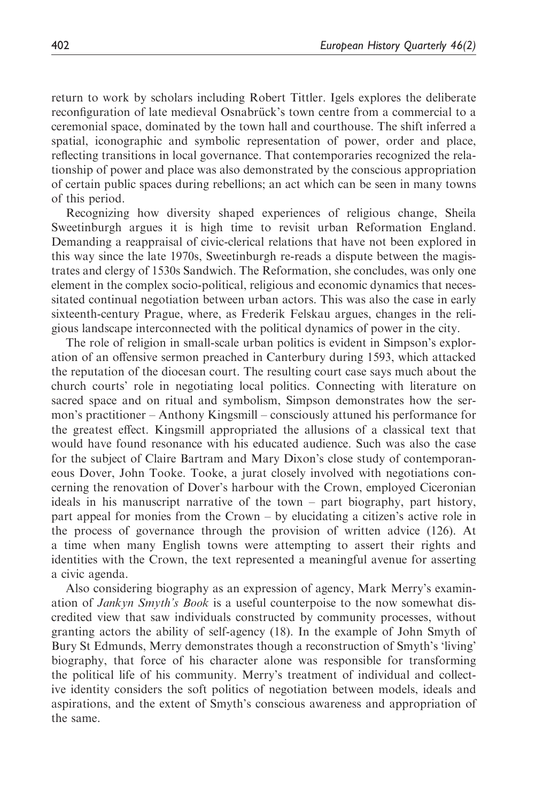return to work by scholars including Robert Tittler. Igels explores the deliberate reconfiguration of late medieval Osnabrück's town centre from a commercial to a ceremonial space, dominated by the town hall and courthouse. The shift inferred a spatial, iconographic and symbolic representation of power, order and place, reflecting transitions in local governance. That contemporaries recognized the relationship of power and place was also demonstrated by the conscious appropriation of certain public spaces during rebellions; an act which can be seen in many towns of this period.

Recognizing how diversity shaped experiences of religious change, Sheila Sweetinburgh argues it is high time to revisit urban Reformation England. Demanding a reappraisal of civic-clerical relations that have not been explored in this way since the late 1970s, Sweetinburgh re-reads a dispute between the magistrates and clergy of 1530s Sandwich. The Reformation, she concludes, was only one element in the complex socio-political, religious and economic dynamics that necessitated continual negotiation between urban actors. This was also the case in early sixteenth-century Prague, where, as Frederik Felskau argues, changes in the religious landscape interconnected with the political dynamics of power in the city.

The role of religion in small-scale urban politics is evident in Simpson's exploration of an offensive sermon preached in Canterbury during 1593, which attacked the reputation of the diocesan court. The resulting court case says much about the church courts' role in negotiating local politics. Connecting with literature on sacred space and on ritual and symbolism, Simpson demonstrates how the sermon's practitioner – Anthony Kingsmill – consciously attuned his performance for the greatest effect. Kingsmill appropriated the allusions of a classical text that would have found resonance with his educated audience. Such was also the case for the subject of Claire Bartram and Mary Dixon's close study of contemporaneous Dover, John Tooke. Tooke, a jurat closely involved with negotiations concerning the renovation of Dover's harbour with the Crown, employed Ciceronian ideals in his manuscript narrative of the town – part biography, part history, part appeal for monies from the Crown – by elucidating a citizen's active role in the process of governance through the provision of written advice (126). At a time when many English towns were attempting to assert their rights and identities with the Crown, the text represented a meaningful avenue for asserting a civic agenda.

Also considering biography as an expression of agency, Mark Merry's examination of *Jankyn Smyth's Book* is a useful counterpoise to the now somewhat discredited view that saw individuals constructed by community processes, without granting actors the ability of self-agency (18). In the example of John Smyth of Bury St Edmunds, Merry demonstrates though a reconstruction of Smyth's 'living' biography, that force of his character alone was responsible for transforming the political life of his community. Merry's treatment of individual and collective identity considers the soft politics of negotiation between models, ideals and aspirations, and the extent of Smyth's conscious awareness and appropriation of the same.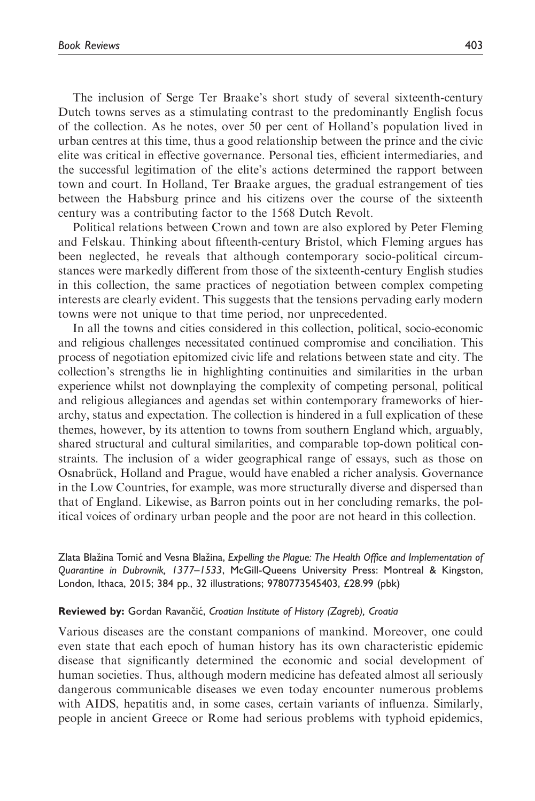The inclusion of Serge Ter Braake's short study of several sixteenth-century Dutch towns serves as a stimulating contrast to the predominantly English focus of the collection. As he notes, over 50 per cent of Holland's population lived in urban centres at this time, thus a good relationship between the prince and the civic elite was critical in effective governance. Personal ties, efficient intermediaries, and the successful legitimation of the elite's actions determined the rapport between town and court. In Holland, Ter Braake argues, the gradual estrangement of ties between the Habsburg prince and his citizens over the course of the sixteenth century was a contributing factor to the 1568 Dutch Revolt.

Political relations between Crown and town are also explored by Peter Fleming and Felskau. Thinking about fifteenth-century Bristol, which Fleming argues has been neglected, he reveals that although contemporary socio-political circumstances were markedly different from those of the sixteenth-century English studies in this collection, the same practices of negotiation between complex competing interests are clearly evident. This suggests that the tensions pervading early modern towns were not unique to that time period, nor unprecedented.

In all the towns and cities considered in this collection, political, socio-economic and religious challenges necessitated continued compromise and conciliation. This process of negotiation epitomized civic life and relations between state and city. The collection's strengths lie in highlighting continuities and similarities in the urban experience whilst not downplaying the complexity of competing personal, political and religious allegiances and agendas set within contemporary frameworks of hierarchy, status and expectation. The collection is hindered in a full explication of these themes, however, by its attention to towns from southern England which, arguably, shared structural and cultural similarities, and comparable top-down political constraints. The inclusion of a wider geographical range of essays, such as those on Osnabrück, Holland and Prague, would have enabled a richer analysis. Governance in the Low Countries, for example, was more structurally diverse and dispersed than that of England. Likewise, as Barron points out in her concluding remarks, the political voices of ordinary urban people and the poor are not heard in this collection.

Zlata Blažina Tomić and Vesna Blažina, Expelling the Plague: The Health Office and Implementation of Quarantine in Dubrovnik, 1377–1533, McGill-Queens University Press: Montreal & Kingston, London, Ithaca, 2015; 384 pp., 32 illustrations; 9780773545403, £28.99 (pbk)

## Reviewed by: Gordan Ravančić, Croatian Institute of History (Zagreb), Croatia

Various diseases are the constant companions of mankind. Moreover, one could even state that each epoch of human history has its own characteristic epidemic disease that significantly determined the economic and social development of human societies. Thus, although modern medicine has defeated almost all seriously dangerous communicable diseases we even today encounter numerous problems with AIDS, hepatitis and, in some cases, certain variants of influenza. Similarly, people in ancient Greece or Rome had serious problems with typhoid epidemics,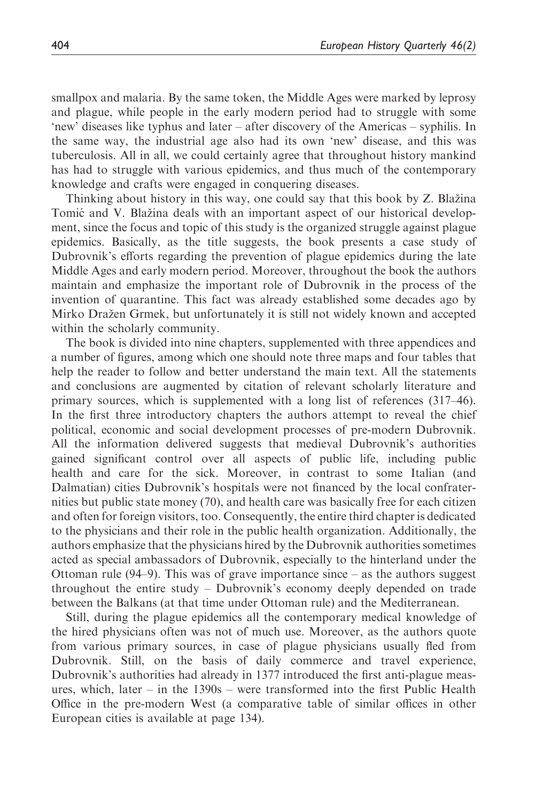smallpox and malaria. By the same token, the Middle Ages were marked by leprosy and plague, while people in the early modern period had to struggle with some 'new' diseases like typhus and later – after discovery of the Americas – syphilis. In the same way, the industrial age also had its own 'new' disease, and this was tuberculosis. All in all, we could certainly agree that throughout history mankind has had to struggle with various epidemics, and thus much of the contemporary knowledge and crafts were engaged in conquering diseases.

Thinking about history in this way, one could say that this book by Z. Blažina Tomic´ and V. Blažina deals with an important aspect of our historical development, since the focus and topic of this study is the organized struggle against plague epidemics. Basically, as the title suggests, the book presents a case study of Dubrovnik's efforts regarding the prevention of plague epidemics during the late Middle Ages and early modern period. Moreover, throughout the book the authors maintain and emphasize the important role of Dubrovnik in the process of the invention of quarantine. This fact was already established some decades ago by Mirko Dražen Grmek, but unfortunately it is still not widely known and accepted within the scholarly community.

The book is divided into nine chapters, supplemented with three appendices and a number of figures, among which one should note three maps and four tables that help the reader to follow and better understand the main text. All the statements and conclusions are augmented by citation of relevant scholarly literature and primary sources, which is supplemented with a long list of references (317–46). In the first three introductory chapters the authors attempt to reveal the chief political, economic and social development processes of pre-modern Dubrovnik. All the information delivered suggests that medieval Dubrovnik's authorities gained significant control over all aspects of public life, including public health and care for the sick. Moreover, in contrast to some Italian (and Dalmatian) cities Dubrovnik's hospitals were not financed by the local confraternities but public state money (70), and health care was basically free for each citizen and often for foreign visitors, too. Consequently, the entire third chapter is dedicated to the physicians and their role in the public health organization. Additionally, the authors emphasize that the physicians hired by the Dubrovnik authorities sometimes acted as special ambassadors of Dubrovnik, especially to the hinterland under the Ottoman rule  $(94-9)$ . This was of grave importance since – as the authors suggest throughout the entire study – Dubrovnik's economy deeply depended on trade between the Balkans (at that time under Ottoman rule) and the Mediterranean.

Still, during the plague epidemics all the contemporary medical knowledge of the hired physicians often was not of much use. Moreover, as the authors quote from various primary sources, in case of plague physicians usually fled from Dubrovnik. Still, on the basis of daily commerce and travel experience, Dubrovnik's authorities had already in 1377 introduced the first anti-plague measures, which, later – in the 1390s – were transformed into the first Public Health Office in the pre-modern West (a comparative table of similar offices in other European cities is available at page 134).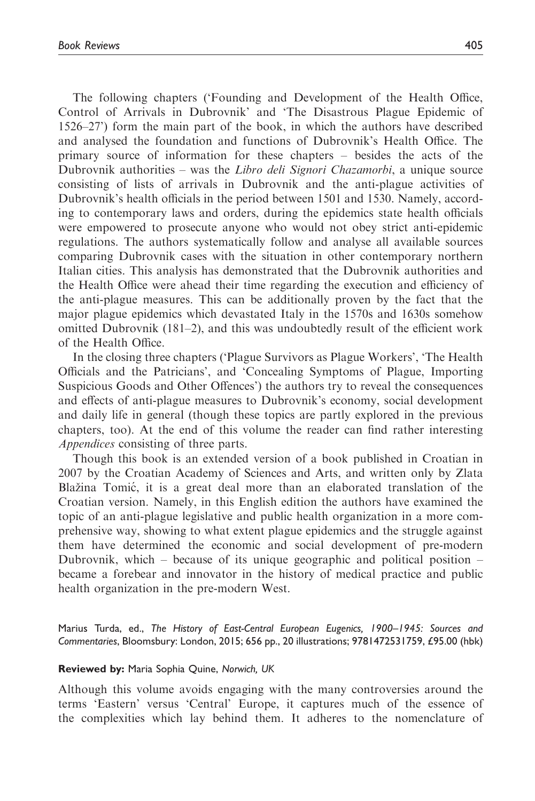The following chapters ('Founding and Development of the Health Office, Control of Arrivals in Dubrovnik' and 'The Disastrous Plague Epidemic of 1526–27') form the main part of the book, in which the authors have described and analysed the foundation and functions of Dubrovnik's Health Office. The primary source of information for these chapters – besides the acts of the Dubrovnik authorities – was the Libro deli Signori Chazamorbi, a unique source consisting of lists of arrivals in Dubrovnik and the anti-plague activities of Dubrovnik's health officials in the period between 1501 and 1530. Namely, according to contemporary laws and orders, during the epidemics state health officials were empowered to prosecute anyone who would not obey strict anti-epidemic regulations. The authors systematically follow and analyse all available sources comparing Dubrovnik cases with the situation in other contemporary northern Italian cities. This analysis has demonstrated that the Dubrovnik authorities and the Health Office were ahead their time regarding the execution and efficiency of the anti-plague measures. This can be additionally proven by the fact that the major plague epidemics which devastated Italy in the 1570s and 1630s somehow omitted Dubrovnik (181–2), and this was undoubtedly result of the efficient work of the Health Office.

In the closing three chapters ('Plague Survivors as Plague Workers', 'The Health Officials and the Patricians', and 'Concealing Symptoms of Plague, Importing Suspicious Goods and Other Offences') the authors try to reveal the consequences and effects of anti-plague measures to Dubrovnik's economy, social development and daily life in general (though these topics are partly explored in the previous chapters, too). At the end of this volume the reader can find rather interesting Appendices consisting of three parts.

Though this book is an extended version of a book published in Croatian in 2007 by the Croatian Academy of Sciences and Arts, and written only by Zlata Blažina Tomić, it is a great deal more than an elaborated translation of the Croatian version. Namely, in this English edition the authors have examined the topic of an anti-plague legislative and public health organization in a more comprehensive way, showing to what extent plague epidemics and the struggle against them have determined the economic and social development of pre-modern Dubrovnik, which – because of its unique geographic and political position – became a forebear and innovator in the history of medical practice and public health organization in the pre-modern West.

Marius Turda, ed., The History of East-Central European Eugenics, 1900–1945: Sources and Commentaries, Bloomsbury: London, 2015; 656 pp., 20 illustrations; 9781472531759, £95.00 (hbk)

## Reviewed by: Maria Sophia Quine, Norwich, UK

Although this volume avoids engaging with the many controversies around the terms 'Eastern' versus 'Central' Europe, it captures much of the essence of the complexities which lay behind them. It adheres to the nomenclature of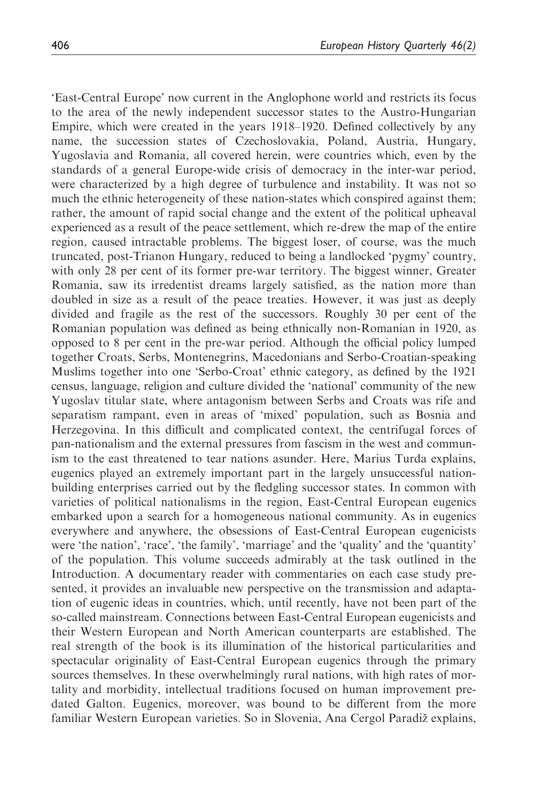'East-Central Europe' now current in the Anglophone world and restricts its focus to the area of the newly independent successor states to the Austro-Hungarian Empire, which were created in the years 1918–1920. Defined collectively by any name, the succession states of Czechoslovakia, Poland, Austria, Hungary, Yugoslavia and Romania, all covered herein, were countries which, even by the standards of a general Europe-wide crisis of democracy in the inter-war period, were characterized by a high degree of turbulence and instability. It was not so much the ethnic heterogeneity of these nation-states which conspired against them; rather, the amount of rapid social change and the extent of the political upheaval experienced as a result of the peace settlement, which re-drew the map of the entire region, caused intractable problems. The biggest loser, of course, was the much truncated, post-Trianon Hungary, reduced to being a landlocked 'pygmy' country, with only 28 per cent of its former pre-war territory. The biggest winner, Greater Romania, saw its irredentist dreams largely satisfied, as the nation more than doubled in size as a result of the peace treaties. However, it was just as deeply divided and fragile as the rest of the successors. Roughly 30 per cent of the Romanian population was defined as being ethnically non-Romanian in 1920, as opposed to 8 per cent in the pre-war period. Although the official policy lumped together Croats, Serbs, Montenegrins, Macedonians and Serbo-Croatian-speaking Muslims together into one 'Serbo-Croat' ethnic category, as defined by the 1921 census, language, religion and culture divided the 'national' community of the new Yugoslav titular state, where antagonism between Serbs and Croats was rife and separatism rampant, even in areas of 'mixed' population, such as Bosnia and Herzegovina. In this difficult and complicated context, the centrifugal forces of pan-nationalism and the external pressures from fascism in the west and communism to the east threatened to tear nations asunder. Here, Marius Turda explains, eugenics played an extremely important part in the largely unsuccessful nationbuilding enterprises carried out by the fledgling successor states. In common with varieties of political nationalisms in the region, East-Central European eugenics embarked upon a search for a homogeneous national community. As in eugenics everywhere and anywhere, the obsessions of East-Central European eugenicists were 'the nation', 'race', 'the family', 'marriage' and the 'quality' and the 'quantity' of the population. This volume succeeds admirably at the task outlined in the Introduction. A documentary reader with commentaries on each case study presented, it provides an invaluable new perspective on the transmission and adaptation of eugenic ideas in countries, which, until recently, have not been part of the so-called mainstream. Connections between East-Central European eugenicists and their Western European and North American counterparts are established. The real strength of the book is its illumination of the historical particularities and spectacular originality of East-Central European eugenics through the primary sources themselves. In these overwhelmingly rural nations, with high rates of mortality and morbidity, intellectual traditions focused on human improvement predated Galton. Eugenics, moreover, was bound to be different from the more familiar Western European varieties. So in Slovenia, Ana Cergol Paradiž explains,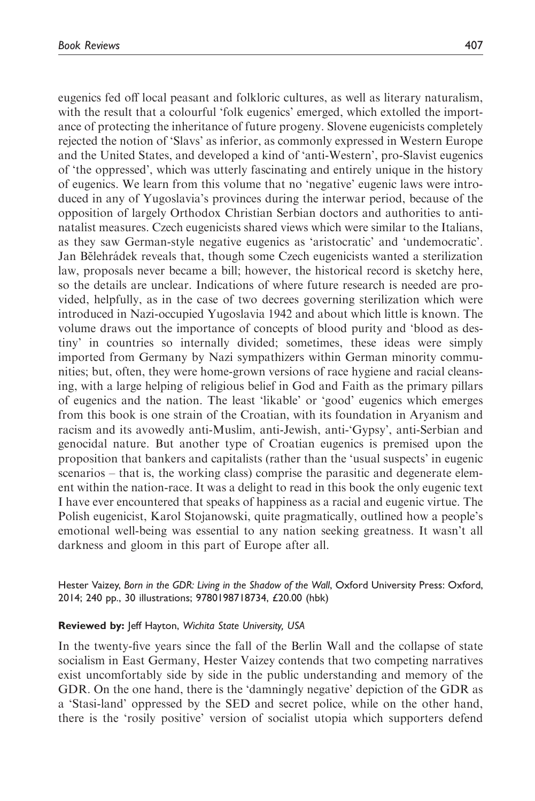eugenics fed off local peasant and folkloric cultures, as well as literary naturalism, with the result that a colourful 'folk eugenics' emerged, which extolled the importance of protecting the inheritance of future progeny. Slovene eugenicists completely rejected the notion of 'Slavs' as inferior, as commonly expressed in Western Europe and the United States, and developed a kind of 'anti-Western', pro-Slavist eugenics of 'the oppressed', which was utterly fascinating and entirely unique in the history of eugenics. We learn from this volume that no 'negative' eugenic laws were introduced in any of Yugoslavia's provinces during the interwar period, because of the opposition of largely Orthodox Christian Serbian doctors and authorities to antinatalist measures. Czech eugenicists shared views which were similar to the Italians, as they saw German-style negative eugenics as 'aristocratic' and 'undemocratic'. Jan Bělehrádek reveals that, though some Czech eugenicists wanted a sterilization law, proposals never became a bill; however, the historical record is sketchy here, so the details are unclear. Indications of where future research is needed are provided, helpfully, as in the case of two decrees governing sterilization which were introduced in Nazi-occupied Yugoslavia 1942 and about which little is known. The volume draws out the importance of concepts of blood purity and 'blood as destiny' in countries so internally divided; sometimes, these ideas were simply imported from Germany by Nazi sympathizers within German minority communities; but, often, they were home-grown versions of race hygiene and racial cleansing, with a large helping of religious belief in God and Faith as the primary pillars of eugenics and the nation. The least 'likable' or 'good' eugenics which emerges from this book is one strain of the Croatian, with its foundation in Aryanism and racism and its avowedly anti-Muslim, anti-Jewish, anti-'Gypsy', anti-Serbian and genocidal nature. But another type of Croatian eugenics is premised upon the proposition that bankers and capitalists (rather than the 'usual suspects' in eugenic scenarios – that is, the working class) comprise the parasitic and degenerate element within the nation-race. It was a delight to read in this book the only eugenic text I have ever encountered that speaks of happiness as a racial and eugenic virtue. The Polish eugenicist, Karol Stojanowski, quite pragmatically, outlined how a people's emotional well-being was essential to any nation seeking greatness. It wasn't all darkness and gloom in this part of Europe after all.

# Hester Vaizey, Born in the GDR: Living in the Shadow of the Wall, Oxford University Press: Oxford, 2014; 240 pp., 30 illustrations; 9780198718734, £20.00 (hbk)

# Reviewed by: Jeff Hayton, Wichita State University, USA

In the twenty-five years since the fall of the Berlin Wall and the collapse of state socialism in East Germany, Hester Vaizey contends that two competing narratives exist uncomfortably side by side in the public understanding and memory of the GDR. On the one hand, there is the 'damningly negative' depiction of the GDR as a 'Stasi-land' oppressed by the SED and secret police, while on the other hand, there is the 'rosily positive' version of socialist utopia which supporters defend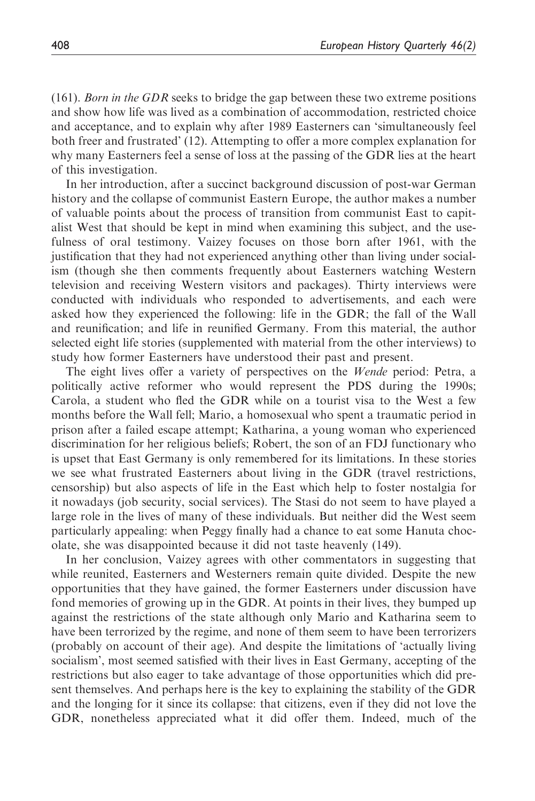$(161)$ . Born in the GDR seeks to bridge the gap between these two extreme positions and show how life was lived as a combination of accommodation, restricted choice and acceptance, and to explain why after 1989 Easterners can 'simultaneously feel both freer and frustrated' (12). Attempting to offer a more complex explanation for why many Easterners feel a sense of loss at the passing of the GDR lies at the heart of this investigation.

In her introduction, after a succinct background discussion of post-war German history and the collapse of communist Eastern Europe, the author makes a number of valuable points about the process of transition from communist East to capitalist West that should be kept in mind when examining this subject, and the usefulness of oral testimony. Vaizey focuses on those born after 1961, with the justification that they had not experienced anything other than living under socialism (though she then comments frequently about Easterners watching Western television and receiving Western visitors and packages). Thirty interviews were conducted with individuals who responded to advertisements, and each were asked how they experienced the following: life in the GDR; the fall of the Wall and reunification; and life in reunified Germany. From this material, the author selected eight life stories (supplemented with material from the other interviews) to study how former Easterners have understood their past and present.

The eight lives offer a variety of perspectives on the *Wende* period: Petra, a politically active reformer who would represent the PDS during the 1990s; Carola, a student who fled the GDR while on a tourist visa to the West a few months before the Wall fell; Mario, a homosexual who spent a traumatic period in prison after a failed escape attempt; Katharina, a young woman who experienced discrimination for her religious beliefs; Robert, the son of an FDJ functionary who is upset that East Germany is only remembered for its limitations. In these stories we see what frustrated Easterners about living in the GDR (travel restrictions, censorship) but also aspects of life in the East which help to foster nostalgia for it nowadays (job security, social services). The Stasi do not seem to have played a large role in the lives of many of these individuals. But neither did the West seem particularly appealing: when Peggy finally had a chance to eat some Hanuta chocolate, she was disappointed because it did not taste heavenly (149).

In her conclusion, Vaizey agrees with other commentators in suggesting that while reunited, Easterners and Westerners remain quite divided. Despite the new opportunities that they have gained, the former Easterners under discussion have fond memories of growing up in the GDR. At points in their lives, they bumped up against the restrictions of the state although only Mario and Katharina seem to have been terrorized by the regime, and none of them seem to have been terrorizers (probably on account of their age). And despite the limitations of 'actually living socialism', most seemed satisfied with their lives in East Germany, accepting of the restrictions but also eager to take advantage of those opportunities which did present themselves. And perhaps here is the key to explaining the stability of the GDR and the longing for it since its collapse: that citizens, even if they did not love the GDR, nonetheless appreciated what it did offer them. Indeed, much of the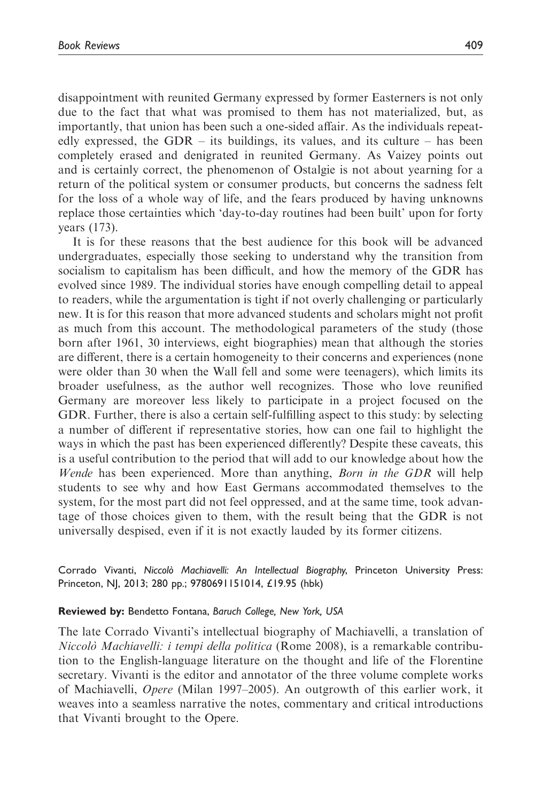disappointment with reunited Germany expressed by former Easterners is not only due to the fact that what was promised to them has not materialized, but, as importantly, that union has been such a one-sided affair. As the individuals repeatedly expressed, the GDR – its buildings, its values, and its culture – has been completely erased and denigrated in reunited Germany. As Vaizey points out and is certainly correct, the phenomenon of Ostalgie is not about yearning for a return of the political system or consumer products, but concerns the sadness felt for the loss of a whole way of life, and the fears produced by having unknowns replace those certainties which 'day-to-day routines had been built' upon for forty years (173).

It is for these reasons that the best audience for this book will be advanced undergraduates, especially those seeking to understand why the transition from socialism to capitalism has been difficult, and how the memory of the GDR has evolved since 1989. The individual stories have enough compelling detail to appeal to readers, while the argumentation is tight if not overly challenging or particularly new. It is for this reason that more advanced students and scholars might not profit as much from this account. The methodological parameters of the study (those born after 1961, 30 interviews, eight biographies) mean that although the stories are different, there is a certain homogeneity to their concerns and experiences (none were older than 30 when the Wall fell and some were teenagers), which limits its broader usefulness, as the author well recognizes. Those who love reunified Germany are moreover less likely to participate in a project focused on the GDR. Further, there is also a certain self-fulfilling aspect to this study: by selecting a number of different if representative stories, how can one fail to highlight the ways in which the past has been experienced differently? Despite these caveats, this is a useful contribution to the period that will add to our knowledge about how the Wende has been experienced. More than anything, *Born in the GDR* will help students to see why and how East Germans accommodated themselves to the system, for the most part did not feel oppressed, and at the same time, took advantage of those choices given to them, with the result being that the GDR is not universally despised, even if it is not exactly lauded by its former citizens.

Corrado Vivanti, Niccolo` Machiavelli: An Intellectual Biography, Princeton University Press: Princeton, NJ, 2013; 280 pp.; 9780691151014, £19.95 (hbk)

## Reviewed by: Bendetto Fontana, Baruch College, New York, USA

The late Corrado Vivanti's intellectual biography of Machiavelli, a translation of Niccolò Machiavelli: i tempi della politica (Rome 2008), is a remarkable contribution to the English-language literature on the thought and life of the Florentine secretary. Vivanti is the editor and annotator of the three volume complete works of Machiavelli, Opere (Milan 1997–2005). An outgrowth of this earlier work, it weaves into a seamless narrative the notes, commentary and critical introductions that Vivanti brought to the Opere.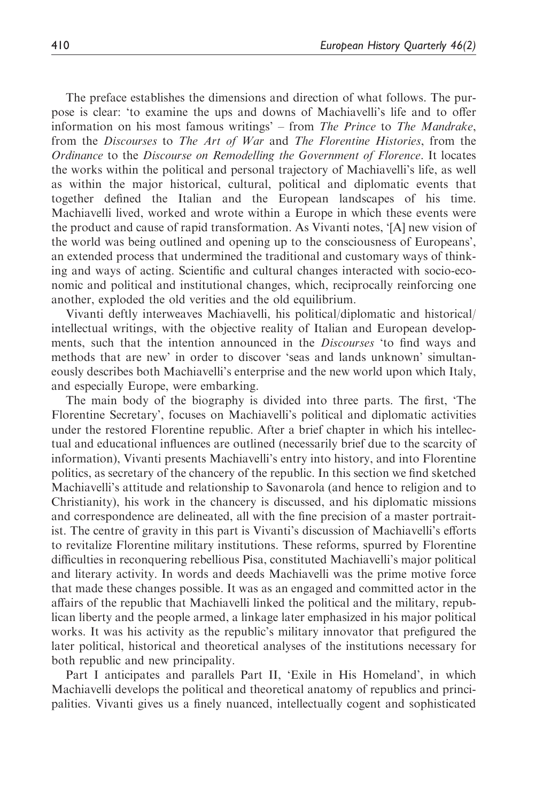The preface establishes the dimensions and direction of what follows. The purpose is clear: 'to examine the ups and downs of Machiavelli's life and to offer information on his most famous writings' – from The Prince to The Mandrake, from the Discourses to The Art of War and The Florentine Histories, from the Ordinance to the Discourse on Remodelling the Government of Florence. It locates the works within the political and personal trajectory of Machiavelli's life, as well as within the major historical, cultural, political and diplomatic events that together defined the Italian and the European landscapes of his time. Machiavelli lived, worked and wrote within a Europe in which these events were the product and cause of rapid transformation. As Vivanti notes, '[A] new vision of the world was being outlined and opening up to the consciousness of Europeans', an extended process that undermined the traditional and customary ways of thinking and ways of acting. Scientific and cultural changes interacted with socio-economic and political and institutional changes, which, reciprocally reinforcing one another, exploded the old verities and the old equilibrium.

Vivanti deftly interweaves Machiavelli, his political/diplomatic and historical/ intellectual writings, with the objective reality of Italian and European developments, such that the intention announced in the *Discourses* 'to find ways and methods that are new' in order to discover 'seas and lands unknown' simultaneously describes both Machiavelli's enterprise and the new world upon which Italy, and especially Europe, were embarking.

The main body of the biography is divided into three parts. The first, 'The Florentine Secretary', focuses on Machiavelli's political and diplomatic activities under the restored Florentine republic. After a brief chapter in which his intellectual and educational influences are outlined (necessarily brief due to the scarcity of information), Vivanti presents Machiavelli's entry into history, and into Florentine politics, as secretary of the chancery of the republic. In this section we find sketched Machiavelli's attitude and relationship to Savonarola (and hence to religion and to Christianity), his work in the chancery is discussed, and his diplomatic missions and correspondence are delineated, all with the fine precision of a master portraitist. The centre of gravity in this part is Vivanti's discussion of Machiavelli's efforts to revitalize Florentine military institutions. These reforms, spurred by Florentine difficulties in reconquering rebellious Pisa, constituted Machiavelli's major political and literary activity. In words and deeds Machiavelli was the prime motive force that made these changes possible. It was as an engaged and committed actor in the affairs of the republic that Machiavelli linked the political and the military, republican liberty and the people armed, a linkage later emphasized in his major political works. It was his activity as the republic's military innovator that prefigured the later political, historical and theoretical analyses of the institutions necessary for both republic and new principality.

Part I anticipates and parallels Part II, 'Exile in His Homeland', in which Machiavelli develops the political and theoretical anatomy of republics and principalities. Vivanti gives us a finely nuanced, intellectually cogent and sophisticated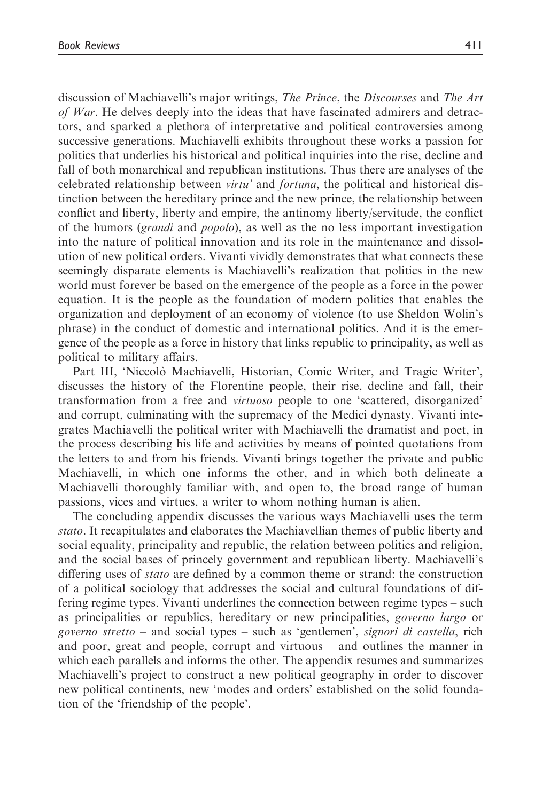discussion of Machiavelli's major writings, The Prince, the Discourses and The Art of War. He delves deeply into the ideas that have fascinated admirers and detractors, and sparked a plethora of interpretative and political controversies among successive generations. Machiavelli exhibits throughout these works a passion for politics that underlies his historical and political inquiries into the rise, decline and fall of both monarchical and republican institutions. Thus there are analyses of the celebrated relationship between virtu' and fortuna, the political and historical distinction between the hereditary prince and the new prince, the relationship between conflict and liberty, liberty and empire, the antinomy liberty/servitude, the conflict of the humors (grandi and popolo), as well as the no less important investigation into the nature of political innovation and its role in the maintenance and dissolution of new political orders. Vivanti vividly demonstrates that what connects these seemingly disparate elements is Machiavelli's realization that politics in the new world must forever be based on the emergence of the people as a force in the power equation. It is the people as the foundation of modern politics that enables the organization and deployment of an economy of violence (to use Sheldon Wolin's phrase) in the conduct of domestic and international politics. And it is the emergence of the people as a force in history that links republic to principality, as well as political to military affairs.

Part III, 'Niccolò Machiavelli, Historian, Comic Writer, and Tragic Writer', discusses the history of the Florentine people, their rise, decline and fall, their transformation from a free and virtuoso people to one 'scattered, disorganized' and corrupt, culminating with the supremacy of the Medici dynasty. Vivanti integrates Machiavelli the political writer with Machiavelli the dramatist and poet, in the process describing his life and activities by means of pointed quotations from the letters to and from his friends. Vivanti brings together the private and public Machiavelli, in which one informs the other, and in which both delineate a Machiavelli thoroughly familiar with, and open to, the broad range of human passions, vices and virtues, a writer to whom nothing human is alien.

The concluding appendix discusses the various ways Machiavelli uses the term stato. It recapitulates and elaborates the Machiavellian themes of public liberty and social equality, principality and republic, the relation between politics and religion, and the social bases of princely government and republican liberty. Machiavelli's differing uses of stato are defined by a common theme or strand: the construction of a political sociology that addresses the social and cultural foundations of differing regime types. Vivanti underlines the connection between regime types – such as principalities or republics, hereditary or new principalities, governo largo or governo stretto – and social types – such as 'gentlemen', signori di castella, rich and poor, great and people, corrupt and virtuous – and outlines the manner in which each parallels and informs the other. The appendix resumes and summarizes Machiavelli's project to construct a new political geography in order to discover new political continents, new 'modes and orders' established on the solid foundation of the 'friendship of the people'.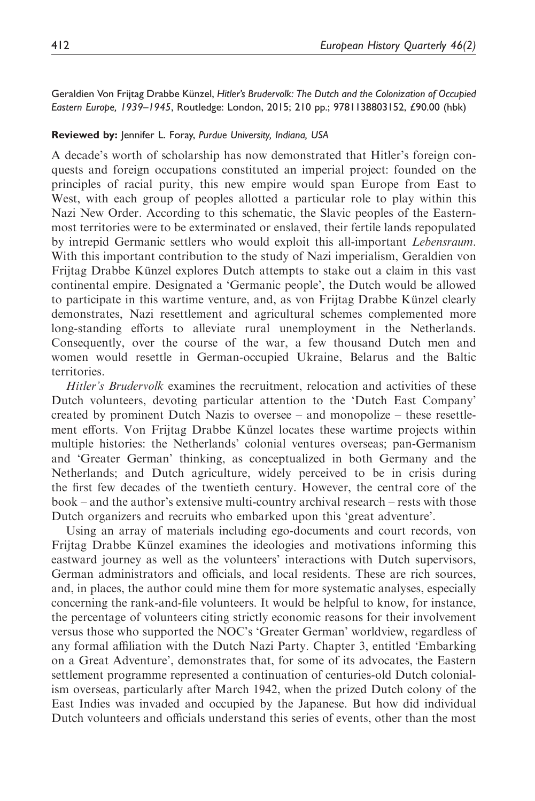Geraldien Von Frijtag Drabbe Künzel, Hitler's Brudervolk: The Dutch and the Colonization of Occupied Eastern Europe, 1939–1945, Routledge: London, 2015; 210 pp.; 9781138803152, £90.00 (hbk)

#### Reviewed by: Jennifer L. Foray, Purdue University, Indiana, USA

A decade's worth of scholarship has now demonstrated that Hitler's foreign conquests and foreign occupations constituted an imperial project: founded on the principles of racial purity, this new empire would span Europe from East to West, with each group of peoples allotted a particular role to play within this Nazi New Order. According to this schematic, the Slavic peoples of the Easternmost territories were to be exterminated or enslaved, their fertile lands repopulated by intrepid Germanic settlers who would exploit this all-important *Lebensraum*. With this important contribution to the study of Nazi imperialism, Geraldien von Frijtag Drabbe Künzel explores Dutch attempts to stake out a claim in this vast continental empire. Designated a 'Germanic people', the Dutch would be allowed to participate in this wartime venture, and, as von Frijtag Drabbe Künzel clearly demonstrates, Nazi resettlement and agricultural schemes complemented more long-standing efforts to alleviate rural unemployment in the Netherlands. Consequently, over the course of the war, a few thousand Dutch men and women would resettle in German-occupied Ukraine, Belarus and the Baltic territories.

Hitler's Brudervolk examines the recruitment, relocation and activities of these Dutch volunteers, devoting particular attention to the 'Dutch East Company' created by prominent Dutch Nazis to oversee – and monopolize – these resettlement efforts. Von Frijtag Drabbe Künzel locates these wartime projects within multiple histories: the Netherlands' colonial ventures overseas; pan-Germanism and 'Greater German' thinking, as conceptualized in both Germany and the Netherlands; and Dutch agriculture, widely perceived to be in crisis during the first few decades of the twentieth century. However, the central core of the book – and the author's extensive multi-country archival research – rests with those Dutch organizers and recruits who embarked upon this 'great adventure'.

Using an array of materials including ego-documents and court records, von Frijtag Drabbe Künzel examines the ideologies and motivations informing this eastward journey as well as the volunteers' interactions with Dutch supervisors, German administrators and officials, and local residents. These are rich sources, and, in places, the author could mine them for more systematic analyses, especially concerning the rank-and-file volunteers. It would be helpful to know, for instance, the percentage of volunteers citing strictly economic reasons for their involvement versus those who supported the NOC's 'Greater German' worldview, regardless of any formal affiliation with the Dutch Nazi Party. Chapter 3, entitled 'Embarking on a Great Adventure', demonstrates that, for some of its advocates, the Eastern settlement programme represented a continuation of centuries-old Dutch colonialism overseas, particularly after March 1942, when the prized Dutch colony of the East Indies was invaded and occupied by the Japanese. But how did individual Dutch volunteers and officials understand this series of events, other than the most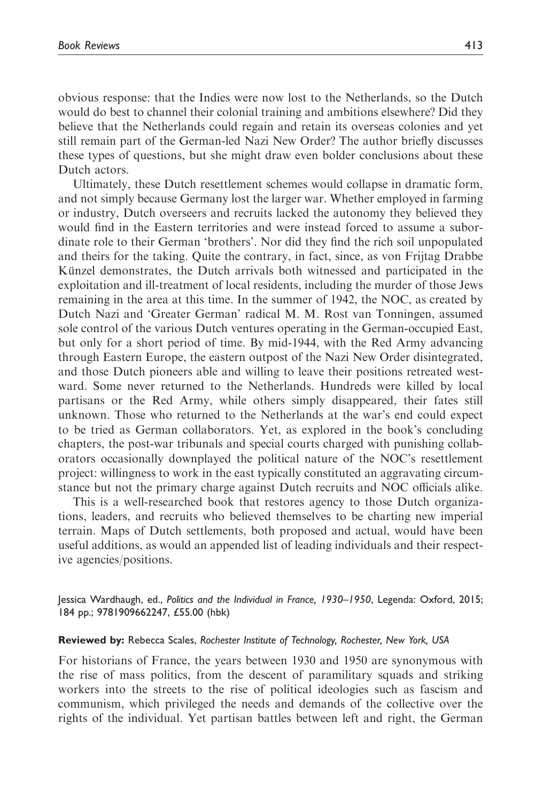obvious response: that the Indies were now lost to the Netherlands, so the Dutch would do best to channel their colonial training and ambitions elsewhere? Did they believe that the Netherlands could regain and retain its overseas colonies and yet still remain part of the German-led Nazi New Order? The author briefly discusses these types of questions, but she might draw even bolder conclusions about these Dutch actors.

Ultimately, these Dutch resettlement schemes would collapse in dramatic form, and not simply because Germany lost the larger war. Whether employed in farming or industry, Dutch overseers and recruits lacked the autonomy they believed they would find in the Eastern territories and were instead forced to assume a subordinate role to their German 'brothers'. Nor did they find the rich soil unpopulated and theirs for the taking. Quite the contrary, in fact, since, as von Frijtag Drabbe Künzel demonstrates, the Dutch arrivals both witnessed and participated in the exploitation and ill-treatment of local residents, including the murder of those Jews remaining in the area at this time. In the summer of 1942, the NOC, as created by Dutch Nazi and 'Greater German' radical M. M. Rost van Tonningen, assumed sole control of the various Dutch ventures operating in the German-occupied East, but only for a short period of time. By mid-1944, with the Red Army advancing through Eastern Europe, the eastern outpost of the Nazi New Order disintegrated, and those Dutch pioneers able and willing to leave their positions retreated westward. Some never returned to the Netherlands. Hundreds were killed by local partisans or the Red Army, while others simply disappeared, their fates still unknown. Those who returned to the Netherlands at the war's end could expect to be tried as German collaborators. Yet, as explored in the book's concluding chapters, the post-war tribunals and special courts charged with punishing collaborators occasionally downplayed the political nature of the NOC's resettlement project: willingness to work in the east typically constituted an aggravating circumstance but not the primary charge against Dutch recruits and NOC officials alike.

This is a well-researched book that restores agency to those Dutch organizations, leaders, and recruits who believed themselves to be charting new imperial terrain. Maps of Dutch settlements, both proposed and actual, would have been useful additions, as would an appended list of leading individuals and their respective agencies/positions.

Jessica Wardhaugh, ed., Politics and the Individual in France, 1930–1950, Legenda: Oxford, 2015; 184 pp.; 9781909662247, £55.00 (hbk)

#### Reviewed by: Rebecca Scales, Rochester Institute of Technology, Rochester, New York, USA

For historians of France, the years between 1930 and 1950 are synonymous with the rise of mass politics, from the descent of paramilitary squads and striking workers into the streets to the rise of political ideologies such as fascism and communism, which privileged the needs and demands of the collective over the rights of the individual. Yet partisan battles between left and right, the German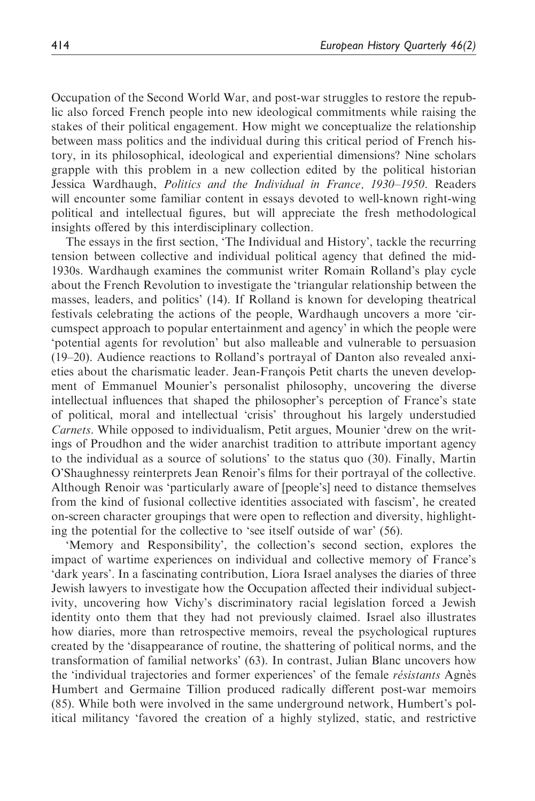Occupation of the Second World War, and post-war struggles to restore the republic also forced French people into new ideological commitments while raising the stakes of their political engagement. How might we conceptualize the relationship between mass politics and the individual during this critical period of French history, in its philosophical, ideological and experiential dimensions? Nine scholars grapple with this problem in a new collection edited by the political historian Jessica Wardhaugh, Politics and the Individual in France, 1930–1950. Readers will encounter some familiar content in essays devoted to well-known right-wing political and intellectual figures, but will appreciate the fresh methodological insights offered by this interdisciplinary collection.

The essays in the first section, 'The Individual and History', tackle the recurring tension between collective and individual political agency that defined the mid-1930s. Wardhaugh examines the communist writer Romain Rolland's play cycle about the French Revolution to investigate the 'triangular relationship between the masses, leaders, and politics' (14). If Rolland is known for developing theatrical festivals celebrating the actions of the people, Wardhaugh uncovers a more 'circumspect approach to popular entertainment and agency' in which the people were 'potential agents for revolution' but also malleable and vulnerable to persuasion (19–20). Audience reactions to Rolland's portrayal of Danton also revealed anxieties about the charismatic leader. Jean-François Petit charts the uneven development of Emmanuel Mounier's personalist philosophy, uncovering the diverse intellectual influences that shaped the philosopher's perception of France's state of political, moral and intellectual 'crisis' throughout his largely understudied Carnets. While opposed to individualism, Petit argues, Mounier 'drew on the writings of Proudhon and the wider anarchist tradition to attribute important agency to the individual as a source of solutions' to the status quo (30). Finally, Martin O'Shaughnessy reinterprets Jean Renoir's films for their portrayal of the collective. Although Renoir was 'particularly aware of [people's] need to distance themselves from the kind of fusional collective identities associated with fascism', he created on-screen character groupings that were open to reflection and diversity, highlighting the potential for the collective to 'see itself outside of war' (56).

'Memory and Responsibility', the collection's second section, explores the impact of wartime experiences on individual and collective memory of France's 'dark years'. In a fascinating contribution, Liora Israel analyses the diaries of three Jewish lawyers to investigate how the Occupation affected their individual subjectivity, uncovering how Vichy's discriminatory racial legislation forced a Jewish identity onto them that they had not previously claimed. Israel also illustrates how diaries, more than retrospective memoirs, reveal the psychological ruptures created by the 'disappearance of routine, the shattering of political norms, and the transformation of familial networks' (63). In contrast, Julian Blanc uncovers how the 'individual trajectories and former experiences' of the female *résistants* Agnès Humbert and Germaine Tillion produced radically different post-war memoirs (85). While both were involved in the same underground network, Humbert's political militancy 'favored the creation of a highly stylized, static, and restrictive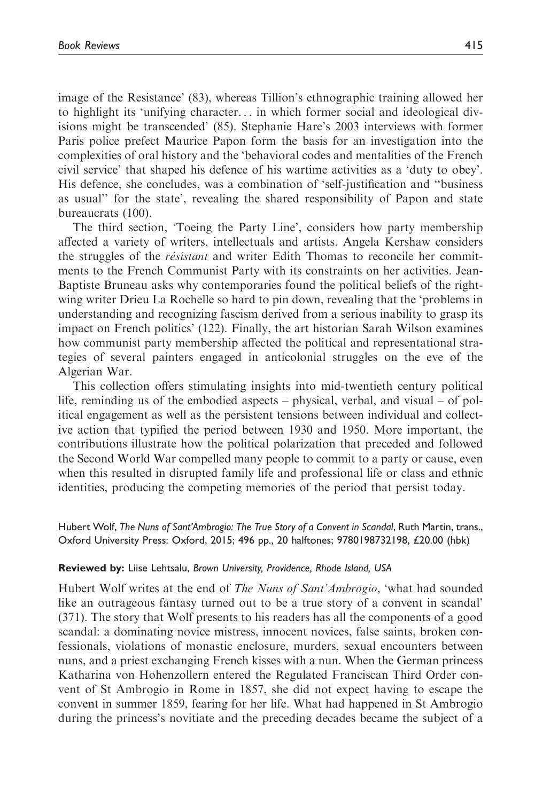image of the Resistance' (83), whereas Tillion's ethnographic training allowed her to highlight its 'unifying character... in which former social and ideological divisions might be transcended' (85). Stephanie Hare's 2003 interviews with former Paris police prefect Maurice Papon form the basis for an investigation into the complexities of oral history and the 'behavioral codes and mentalities of the French civil service' that shaped his defence of his wartime activities as a 'duty to obey'. His defence, she concludes, was a combination of 'self-justification and ''business as usual'' for the state', revealing the shared responsibility of Papon and state bureaucrats (100).

The third section, 'Toeing the Party Line', considers how party membership affected a variety of writers, intellectuals and artists. Angela Kershaw considers the struggles of the *résistant* and writer Edith Thomas to reconcile her commitments to the French Communist Party with its constraints on her activities. Jean-Baptiste Bruneau asks why contemporaries found the political beliefs of the rightwing writer Drieu La Rochelle so hard to pin down, revealing that the 'problems in understanding and recognizing fascism derived from a serious inability to grasp its impact on French politics' (122). Finally, the art historian Sarah Wilson examines how communist party membership affected the political and representational strategies of several painters engaged in anticolonial struggles on the eve of the Algerian War.

This collection offers stimulating insights into mid-twentieth century political life, reminding us of the embodied aspects – physical, verbal, and visual – of political engagement as well as the persistent tensions between individual and collective action that typified the period between 1930 and 1950. More important, the contributions illustrate how the political polarization that preceded and followed the Second World War compelled many people to commit to a party or cause, even when this resulted in disrupted family life and professional life or class and ethnic identities, producing the competing memories of the period that persist today.

Hubert Wolf, The Nuns of Sant'Ambrogio: The True Story of a Convent in Scandal, Ruth Martin, trans., Oxford University Press: Oxford, 2015; 496 pp., 20 halftones; 9780198732198, £20.00 (hbk)

## Reviewed by: Liise Lehtsalu, Brown University, Providence, Rhode Island, USA

Hubert Wolf writes at the end of *The Nuns of Sant'Ambrogio*, 'what had sounded like an outrageous fantasy turned out to be a true story of a convent in scandal' (371). The story that Wolf presents to his readers has all the components of a good scandal: a dominating novice mistress, innocent novices, false saints, broken confessionals, violations of monastic enclosure, murders, sexual encounters between nuns, and a priest exchanging French kisses with a nun. When the German princess Katharina von Hohenzollern entered the Regulated Franciscan Third Order convent of St Ambrogio in Rome in 1857, she did not expect having to escape the convent in summer 1859, fearing for her life. What had happened in St Ambrogio during the princess's novitiate and the preceding decades became the subject of a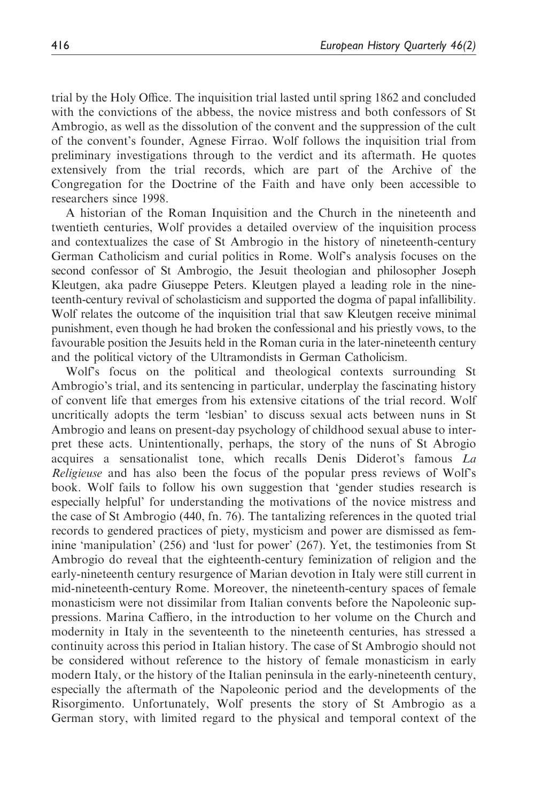trial by the Holy Office. The inquisition trial lasted until spring 1862 and concluded with the convictions of the abbess, the novice mistress and both confessors of St Ambrogio, as well as the dissolution of the convent and the suppression of the cult of the convent's founder, Agnese Firrao. Wolf follows the inquisition trial from preliminary investigations through to the verdict and its aftermath. He quotes extensively from the trial records, which are part of the Archive of the Congregation for the Doctrine of the Faith and have only been accessible to researchers since 1998.

A historian of the Roman Inquisition and the Church in the nineteenth and twentieth centuries, Wolf provides a detailed overview of the inquisition process and contextualizes the case of St Ambrogio in the history of nineteenth-century German Catholicism and curial politics in Rome. Wolf's analysis focuses on the second confessor of St Ambrogio, the Jesuit theologian and philosopher Joseph Kleutgen, aka padre Giuseppe Peters. Kleutgen played a leading role in the nineteenth-century revival of scholasticism and supported the dogma of papal infallibility. Wolf relates the outcome of the inquisition trial that saw Kleutgen receive minimal punishment, even though he had broken the confessional and his priestly vows, to the favourable position the Jesuits held in the Roman curia in the later-nineteenth century and the political victory of the Ultramondists in German Catholicism.

Wolf's focus on the political and theological contexts surrounding St Ambrogio's trial, and its sentencing in particular, underplay the fascinating history of convent life that emerges from his extensive citations of the trial record. Wolf uncritically adopts the term 'lesbian' to discuss sexual acts between nuns in St Ambrogio and leans on present-day psychology of childhood sexual abuse to interpret these acts. Unintentionally, perhaps, the story of the nuns of St Abrogio acquires a sensationalist tone, which recalls Denis Diderot's famous La Religieuse and has also been the focus of the popular press reviews of Wolf's book. Wolf fails to follow his own suggestion that 'gender studies research is especially helpful' for understanding the motivations of the novice mistress and the case of St Ambrogio (440, fn. 76). The tantalizing references in the quoted trial records to gendered practices of piety, mysticism and power are dismissed as feminine 'manipulation' (256) and 'lust for power' (267). Yet, the testimonies from St Ambrogio do reveal that the eighteenth-century feminization of religion and the early-nineteenth century resurgence of Marian devotion in Italy were still current in mid-nineteenth-century Rome. Moreover, the nineteenth-century spaces of female monasticism were not dissimilar from Italian convents before the Napoleonic suppressions. Marina Caffiero, in the introduction to her volume on the Church and modernity in Italy in the seventeenth to the nineteenth centuries, has stressed a continuity across this period in Italian history. The case of St Ambrogio should not be considered without reference to the history of female monasticism in early modern Italy, or the history of the Italian peninsula in the early-nineteenth century, especially the aftermath of the Napoleonic period and the developments of the Risorgimento. Unfortunately, Wolf presents the story of St Ambrogio as a German story, with limited regard to the physical and temporal context of the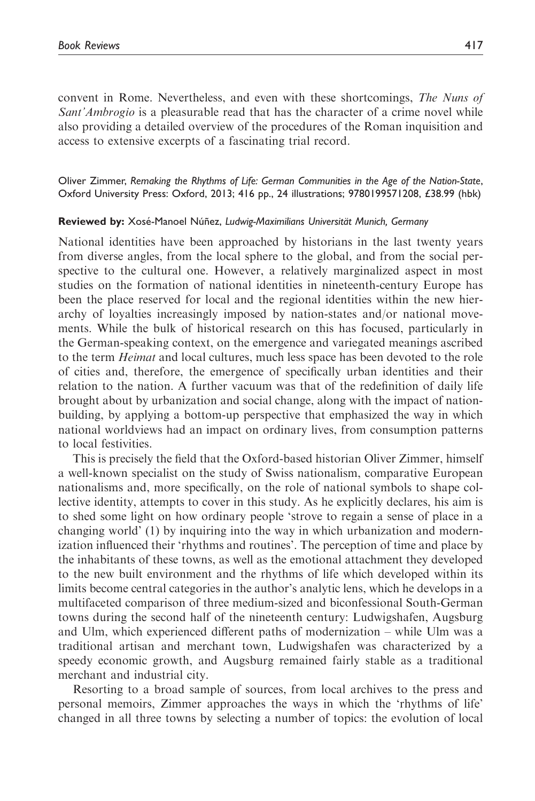convent in Rome. Nevertheless, and even with these shortcomings, The Nuns of Sant'Ambrogio is a pleasurable read that has the character of a crime novel while also providing a detailed overview of the procedures of the Roman inquisition and access to extensive excerpts of a fascinating trial record.

Oliver Zimmer, Remaking the Rhythms of Life: German Communities in the Age of the Nation-State, Oxford University Press: Oxford, 2013; 416 pp., 24 illustrations; 9780199571208, £38.99 (hbk)

#### Reviewed by: Xosé-Manoel Núñez, Ludwig-Maximilians Universität Munich, Germany

National identities have been approached by historians in the last twenty years from diverse angles, from the local sphere to the global, and from the social perspective to the cultural one. However, a relatively marginalized aspect in most studies on the formation of national identities in nineteenth-century Europe has been the place reserved for local and the regional identities within the new hierarchy of loyalties increasingly imposed by nation-states and/or national movements. While the bulk of historical research on this has focused, particularly in the German-speaking context, on the emergence and variegated meanings ascribed to the term Heimat and local cultures, much less space has been devoted to the role of cities and, therefore, the emergence of specifically urban identities and their relation to the nation. A further vacuum was that of the redefinition of daily life brought about by urbanization and social change, along with the impact of nationbuilding, by applying a bottom-up perspective that emphasized the way in which national worldviews had an impact on ordinary lives, from consumption patterns to local festivities.

This is precisely the field that the Oxford-based historian Oliver Zimmer, himself a well-known specialist on the study of Swiss nationalism, comparative European nationalisms and, more specifically, on the role of national symbols to shape collective identity, attempts to cover in this study. As he explicitly declares, his aim is to shed some light on how ordinary people 'strove to regain a sense of place in a changing world' (1) by inquiring into the way in which urbanization and modernization influenced their 'rhythms and routines'. The perception of time and place by the inhabitants of these towns, as well as the emotional attachment they developed to the new built environment and the rhythms of life which developed within its limits become central categories in the author's analytic lens, which he develops in a multifaceted comparison of three medium-sized and biconfessional South-German towns during the second half of the nineteenth century: Ludwigshafen, Augsburg and Ulm, which experienced different paths of modernization – while Ulm was a traditional artisan and merchant town, Ludwigshafen was characterized by a speedy economic growth, and Augsburg remained fairly stable as a traditional merchant and industrial city.

Resorting to a broad sample of sources, from local archives to the press and personal memoirs, Zimmer approaches the ways in which the 'rhythms of life' changed in all three towns by selecting a number of topics: the evolution of local